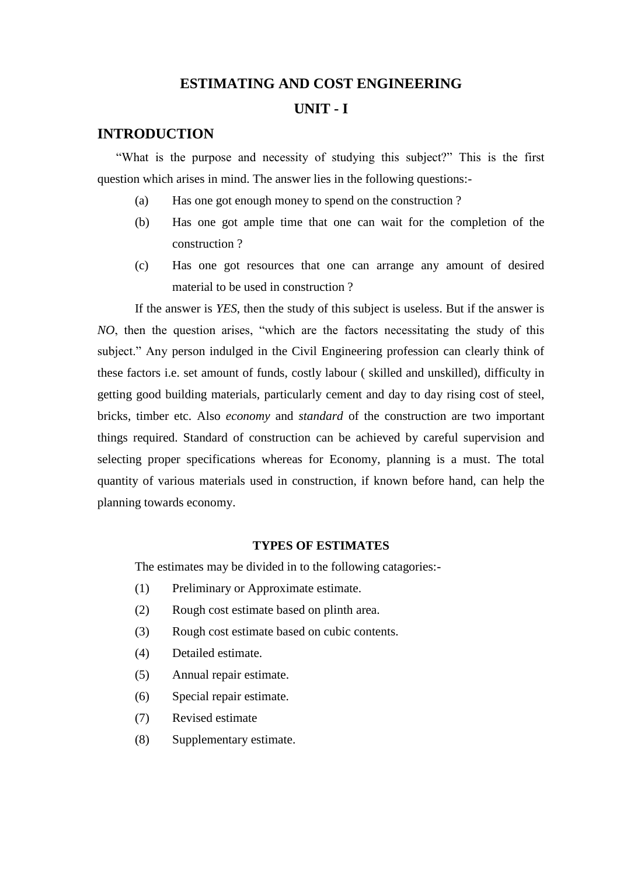#### **ESTIMATING AND COST ENGINEERING**

#### **UNIT - I**

# **INTRODUCTION**

 "What is the purpose and necessity of studying this subject?" This is the first question which arises in mind. The answer lies in the following questions:-

- (a) Has one got enough money to spend on the construction ?
- (b) Has one got ample time that one can wait for the completion of the construction ?
- (c) Has one got resources that one can arrange any amount of desired material to be used in construction ?

If the answer is *YES*, then the study of this subject is useless. But if the answer is *NO*, then the question arises, "which are the factors necessitating the study of this subject." Any person indulged in the Civil Engineering profession can clearly think of these factors i.e. set amount of funds, costly labour ( skilled and unskilled), difficulty in getting good building materials, particularly cement and day to day rising cost of steel, bricks, timber etc. Also *economy* and *standard* of the construction are two important things required. Standard of construction can be achieved by careful supervision and selecting proper specifications whereas for Economy, planning is a must. The total quantity of various materials used in construction, if known before hand, can help the planning towards economy.

#### **TYPES OF ESTIMATES**

The estimates may be divided in to the following catagories:-

- (1) Preliminary or Approximate estimate.
- (2) Rough cost estimate based on plinth area.
- (3) Rough cost estimate based on cubic contents.
- (4) Detailed estimate.
- (5) Annual repair estimate.
- (6) Special repair estimate.
- (7) Revised estimate
- (8) Supplementary estimate.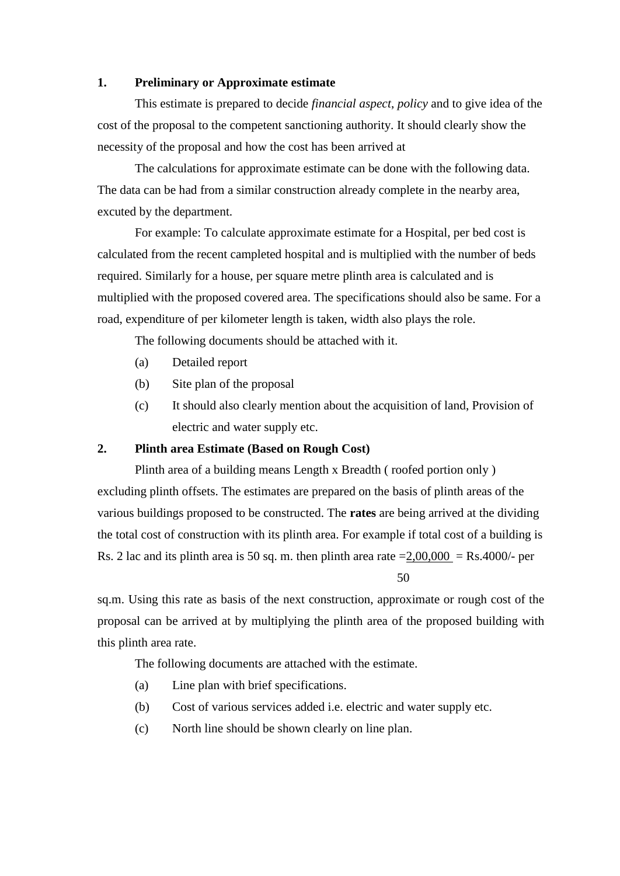#### **1. Preliminary or Approximate estimate**

This estimate is prepared to decide *financial aspect*, *policy* and to give idea of the cost of the proposal to the competent sanctioning authority. It should clearly show the necessity of the proposal and how the cost has been arrived at

The calculations for approximate estimate can be done with the following data. The data can be had from a similar construction already complete in the nearby area, excuted by the department.

For example: To calculate approximate estimate for a Hospital, per bed cost is calculated from the recent campleted hospital and is multiplied with the number of beds required. Similarly for a house, per square metre plinth area is calculated and is multiplied with the proposed covered area. The specifications should also be same. For a road, expenditure of per kilometer length is taken, width also plays the role.

The following documents should be attached with it.

- (a) Detailed report
- (b) Site plan of the proposal
- (c) It should also clearly mention about the acquisition of land, Provision of electric and water supply etc.

#### **2. Plinth area Estimate (Based on Rough Cost)**

Plinth area of a building means Length x Breadth ( roofed portion only ) excluding plinth offsets. The estimates are prepared on the basis of plinth areas of the various buildings proposed to be constructed. The **rates** are being arrived at the dividing the total cost of construction with its plinth area. For example if total cost of a building is Rs. 2 lac and its plinth area is 50 sq. m. then plinth area rate  $=2,00,000 =$ Rs.4000/- per 50

sq.m. Using this rate as basis of the next construction, approximate or rough cost of the proposal can be arrived at by multiplying the plinth area of the proposed building with this plinth area rate.

The following documents are attached with the estimate.

- (a) Line plan with brief specifications.
- (b) Cost of various services added i.e. electric and water supply etc.
- (c) North line should be shown clearly on line plan.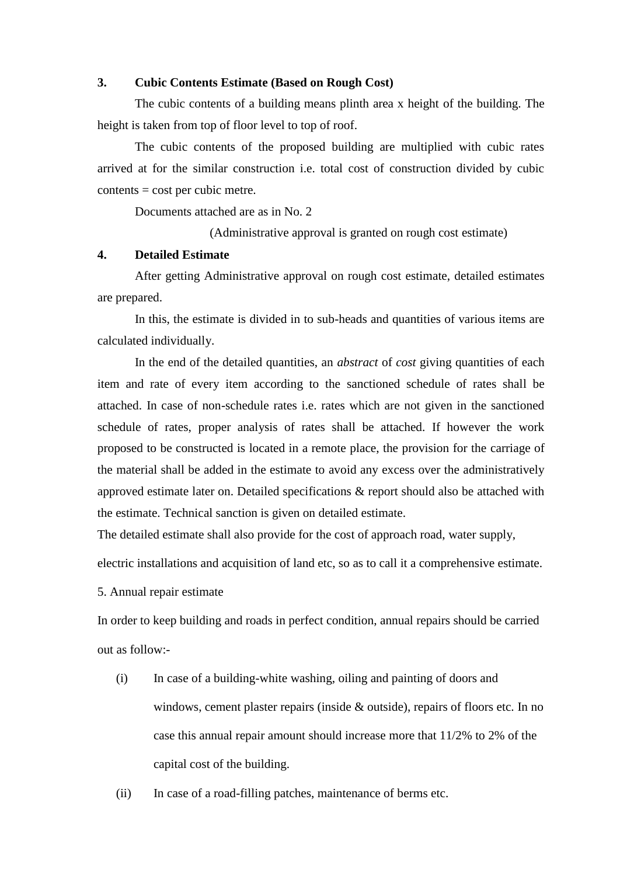#### **3. Cubic Contents Estimate (Based on Rough Cost)**

The cubic contents of a building means plinth area x height of the building. The height is taken from top of floor level to top of roof.

The cubic contents of the proposed building are multiplied with cubic rates arrived at for the similar construction i.e. total cost of construction divided by cubic contents = cost per cubic metre.

Documents attached are as in No. 2

(Administrative approval is granted on rough cost estimate)

#### **4. Detailed Estimate**

After getting Administrative approval on rough cost estimate, detailed estimates are prepared.

In this, the estimate is divided in to sub-heads and quantities of various items are calculated individually.

In the end of the detailed quantities, an *abstract* of *cost* giving quantities of each item and rate of every item according to the sanctioned schedule of rates shall be attached. In case of non-schedule rates i.e. rates which are not given in the sanctioned schedule of rates, proper analysis of rates shall be attached. If however the work proposed to be constructed is located in a remote place, the provision for the carriage of the material shall be added in the estimate to avoid any excess over the administratively approved estimate later on. Detailed specifications & report should also be attached with the estimate. Technical sanction is given on detailed estimate.

The detailed estimate shall also provide for the cost of approach road, water supply,

electric installations and acquisition of land etc, so as to call it a comprehensive estimate.

5. Annual repair estimate

In order to keep building and roads in perfect condition, annual repairs should be carried out as follow:-

(i) In case of a building-white washing, oiling and painting of doors and windows, cement plaster repairs (inside & outside), repairs of floors etc. In no case this annual repair amount should increase more that 11/2% to 2% of the capital cost of the building.

(ii) In case of a road-filling patches, maintenance of berms etc.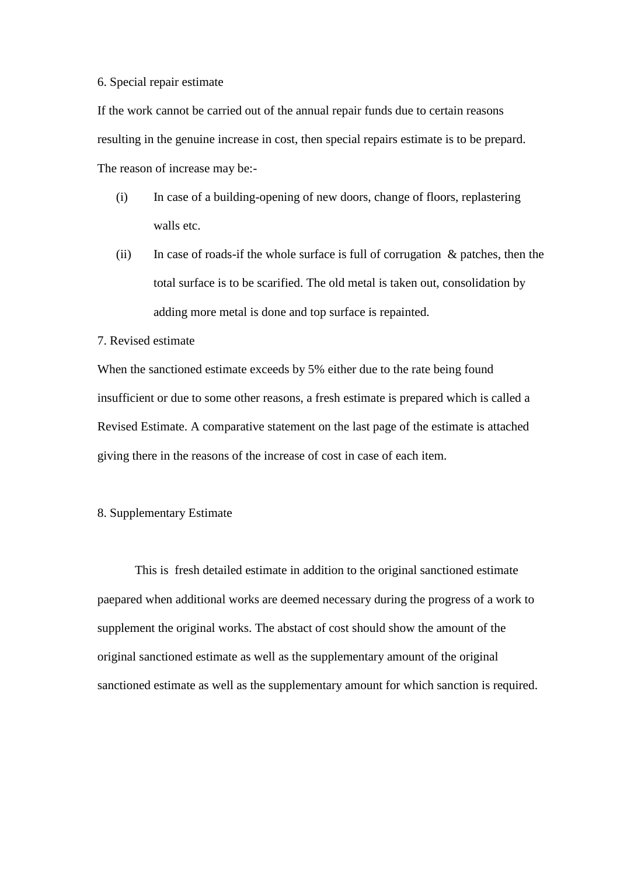#### 6. Special repair estimate

If the work cannot be carried out of the annual repair funds due to certain reasons resulting in the genuine increase in cost, then special repairs estimate is to be prepard. The reason of increase may be:-

- (i) In case of a building-opening of new doors, change of floors, replastering walls etc.
- (ii) In case of roads-if the whole surface is full of corrugation  $\&$  patches, then the total surface is to be scarified. The old metal is taken out, consolidation by adding more metal is done and top surface is repainted.

#### 7. Revised estimate

When the sanctioned estimate exceeds by 5% either due to the rate being found insufficient or due to some other reasons, a fresh estimate is prepared which is called a Revised Estimate. A comparative statement on the last page of the estimate is attached giving there in the reasons of the increase of cost in case of each item.

#### 8. Supplementary Estimate

This is fresh detailed estimate in addition to the original sanctioned estimate paepared when additional works are deemed necessary during the progress of a work to supplement the original works. The abstact of cost should show the amount of the original sanctioned estimate as well as the supplementary amount of the original sanctioned estimate as well as the supplementary amount for which sanction is required.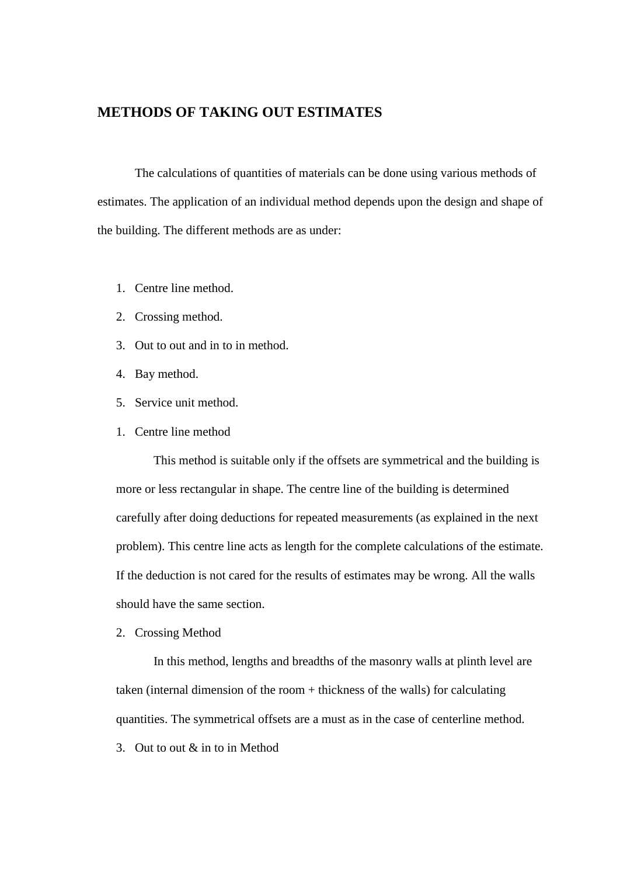#### **METHODS OF TAKING OUT ESTIMATES**

The calculations of quantities of materials can be done using various methods of estimates. The application of an individual method depends upon the design and shape of the building. The different methods are as under:

- 1. Centre line method.
- 2. Crossing method.
- 3. Out to out and in to in method.
- 4. Bay method.
- 5. Service unit method.
- 1. Centre line method

This method is suitable only if the offsets are symmetrical and the building is more or less rectangular in shape. The centre line of the building is determined carefully after doing deductions for repeated measurements (as explained in the next problem). This centre line acts as length for the complete calculations of the estimate. If the deduction is not cared for the results of estimates may be wrong. All the walls should have the same section.

2. Crossing Method

In this method, lengths and breadths of the masonry walls at plinth level are taken (internal dimension of the room + thickness of the walls) for calculating quantities. The symmetrical offsets are a must as in the case of centerline method.

3. Out to out & in to in Method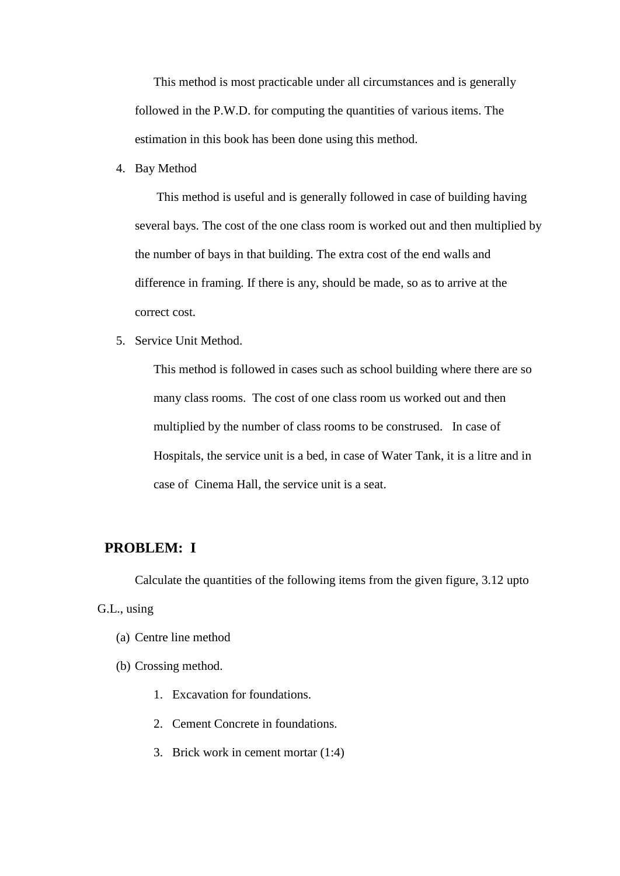This method is most practicable under all circumstances and is generally followed in the P.W.D. for computing the quantities of various items. The estimation in this book has been done using this method.

4. Bay Method

 This method is useful and is generally followed in case of building having several bays. The cost of the one class room is worked out and then multiplied by the number of bays in that building. The extra cost of the end walls and difference in framing. If there is any, should be made, so as to arrive at the correct cost.

5. Service Unit Method.

This method is followed in cases such as school building where there are so many class rooms. The cost of one class room us worked out and then multiplied by the number of class rooms to be constrused. In case of Hospitals, the service unit is a bed, in case of Water Tank, it is a litre and in case of Cinema Hall, the service unit is a seat.

#### **PROBLEM: I**

Calculate the quantities of the following items from the given figure, 3.12 upto G.L., using

- (a) Centre line method
- (b) Crossing method.
	- 1. Excavation for foundations.
	- 2. Cement Concrete in foundations.
	- 3. Brick work in cement mortar (1:4)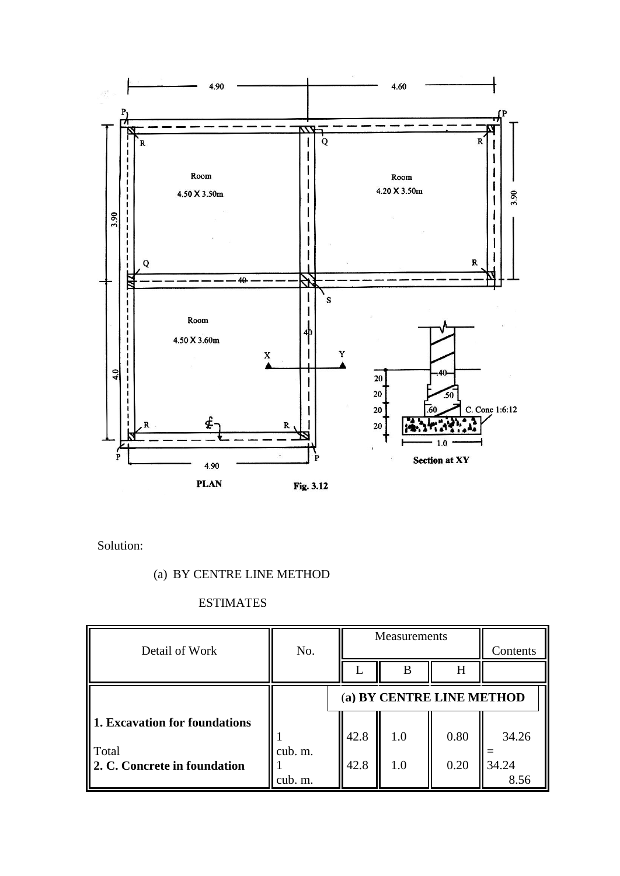

Solution:

# (a) BY CENTRE LINE METHOD

# ESTIMATES

| Detail of Work                                                         | No.                |              | Measurements              | Contents     |                        |
|------------------------------------------------------------------------|--------------------|--------------|---------------------------|--------------|------------------------|
|                                                                        |                    |              | B                         | H            |                        |
|                                                                        |                    |              | (a) BY CENTRE LINE METHOD |              |                        |
| 1. Excavation for foundations<br>Total<br>2. C. Concrete in foundation | cub. m.<br>cub. m. | 42.8<br>42.8 | 1.0<br>1.0                | 0.80<br>0.20 | 34.26<br>34.24<br>8.56 |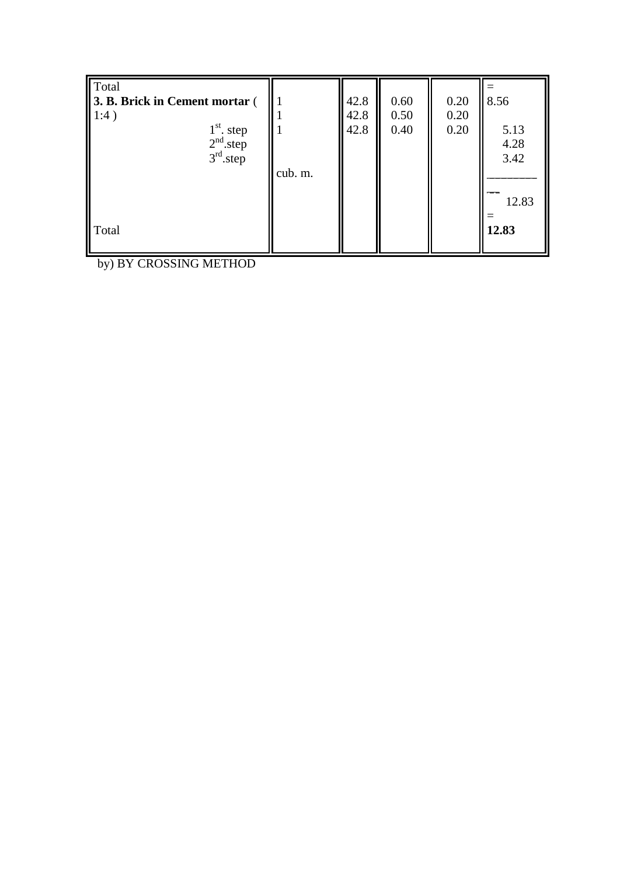| Total<br>3. B. Brick in Cement mortar (<br>1:4)<br>$1st$ . step<br>$2nd$ .step<br>3 <sup>rd</sup> .step | cub. m. | 42.8<br>42.8<br>42.8 | 0.60<br>0.50<br>0.40 | 0.20<br>0.20<br>0.20 | 8.56<br>5.13<br>4.28<br>3.42<br>12.83 |
|---------------------------------------------------------------------------------------------------------|---------|----------------------|----------------------|----------------------|---------------------------------------|
| Total                                                                                                   |         |                      |                      |                      | 12.83                                 |

by) BY CROSSING METHOD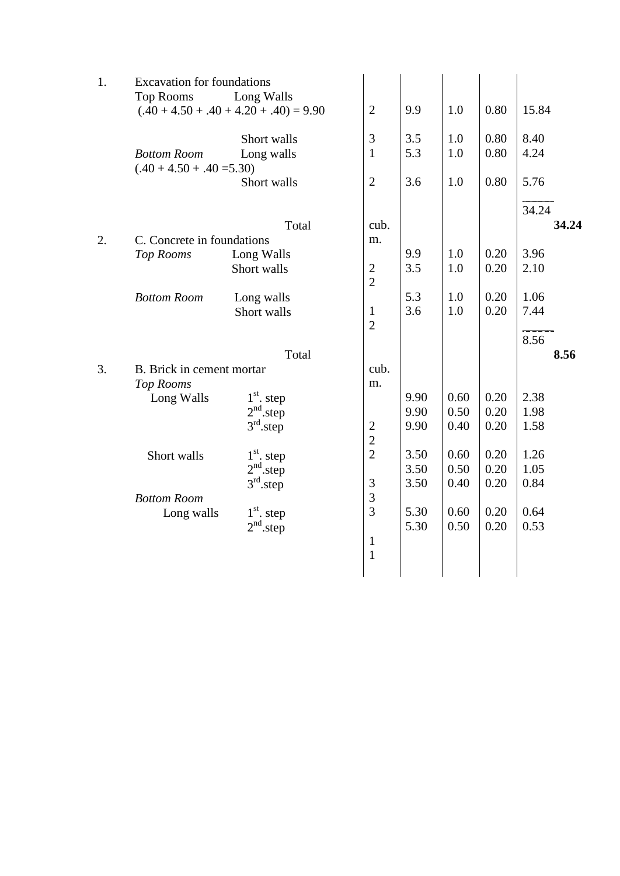| 1. | <b>Excavation for foundations</b><br>Long Walls<br><b>Top Rooms</b><br>$(.40 + 4.50 + .40 + 4.20 + .40) = 9.90$ | $\mathbf{2}$                     | 9.9        | 1.0        | 0.80         | 15.84        |
|----|-----------------------------------------------------------------------------------------------------------------|----------------------------------|------------|------------|--------------|--------------|
|    | Short walls<br>Long walls<br><b>Bottom Room</b><br>$(.40 + 4.50 + .40 = 5.30)$                                  | 3<br>$\mathbf{1}$                | 3.5<br>5.3 | 1.0<br>1.0 | 0.80<br>0.80 | 8.40<br>4.24 |
|    | Short walls                                                                                                     | $\overline{2}$                   | 3.6        | 1.0        | 0.80         | 5.76         |
|    |                                                                                                                 |                                  |            |            |              | 34.24        |
|    | Total                                                                                                           | cub.                             |            |            |              | 34.24        |
| 2. | C. Concrete in foundations                                                                                      | m.                               |            |            |              |              |
|    | Top Rooms<br>Long Walls                                                                                         |                                  | 9.9        | 1.0        | 0.20         | 3.96         |
|    | Short walls                                                                                                     | $\mathbf{2}$<br>$\overline{2}$   | 3.5        | 1.0        | 0.20         | 2.10         |
|    | <b>Bottom Room</b><br>Long walls                                                                                |                                  | 5.3        | 1.0        | 0.20         | 1.06         |
|    | Short walls                                                                                                     | $\mathbf{1}$<br>$\overline{2}$   | 3.6        | 1.0        | 0.20         | 7.44         |
|    |                                                                                                                 |                                  |            |            |              | 8.56         |
|    | Total                                                                                                           |                                  |            |            |              | 8.56         |
| 3. | B. Brick in cement mortar                                                                                       | cub.                             |            |            |              |              |
|    | <b>Top Rooms</b>                                                                                                | m.                               |            |            |              |              |
|    | $1st$ . step<br>Long Walls                                                                                      |                                  | 9.90       | 0.60       | 0.20         | 2.38         |
|    | $2nd$ .step                                                                                                     |                                  | 9.90       | 0.50       | 0.20         | 1.98         |
|    | $3rd$ .step                                                                                                     | $\overline{c}$<br>$\overline{2}$ | 9.90       | 0.40       | 0.20         | 1.58         |
|    | $1st$ , step<br>Short walls                                                                                     | $\overline{2}$                   | 3.50       | 0.60       | 0.20         | 1.26         |
|    | 2 <sup>nd</sup> .step                                                                                           |                                  | 3.50       | 0.50       | 0.20         | 1.05         |
|    | $3rd$ .step                                                                                                     | 3                                | 3.50       | 0.40       | 0.20         | 0.84         |
|    | <b>Bottom Room</b>                                                                                              | 3                                |            |            |              |              |
|    | $1st$ . step<br>Long walls                                                                                      | $\overline{3}$                   | 5.30       | 0.60       | 0.20         | 0.64         |
|    | 2 <sup>nd</sup> .step                                                                                           |                                  | 5.30       | 0.50       | 0.20         | 0.53         |
|    |                                                                                                                 | $\mathbf{1}$                     |            |            |              |              |
|    |                                                                                                                 | $\mathbf{1}$                     |            |            |              |              |
|    |                                                                                                                 |                                  |            |            |              |              |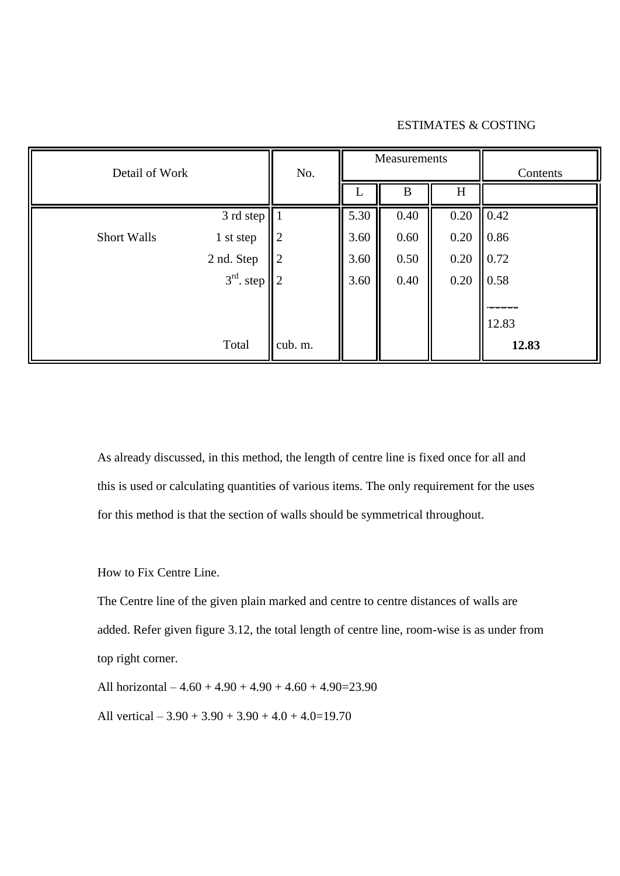#### ESTIMATES & COSTING

| Detail of Work     |                      | No.            |      | Measurements |      | Contents     |
|--------------------|----------------------|----------------|------|--------------|------|--------------|
|                    |                      |                |      | B            | H    |              |
|                    | 3 rd step            |                | 5.30 | 0.40         | 0.20 | $\vert$ 0.42 |
| <b>Short Walls</b> | 1 st step            | $\overline{2}$ | 3.60 | 0.60         | 0.20 | 0.86         |
|                    | 2 nd. Step           | $\overline{2}$ | 3.60 | 0.50         | 0.20 | 0.72         |
|                    | $3^{rd}$ . step    2 |                | 3.60 | 0.40         | 0.20 | 0.58         |
|                    |                      |                |      |              |      |              |
|                    |                      |                |      |              |      | 12.83        |
|                    | Total                | cub. m.        |      |              |      | 12.83        |

As already discussed, in this method, the length of centre line is fixed once for all and this is used or calculating quantities of various items. The only requirement for the uses for this method is that the section of walls should be symmetrical throughout.

How to Fix Centre Line.

The Centre line of the given plain marked and centre to centre distances of walls are added. Refer given figure 3.12, the total length of centre line, room-wise is as under from top right corner.

All horizontal  $-4.60 + 4.90 + 4.90 + 4.60 + 4.90 = 23.90$ 

All vertical  $-3.90 + 3.90 + 3.90 + 4.0 + 4.0 = 19.70$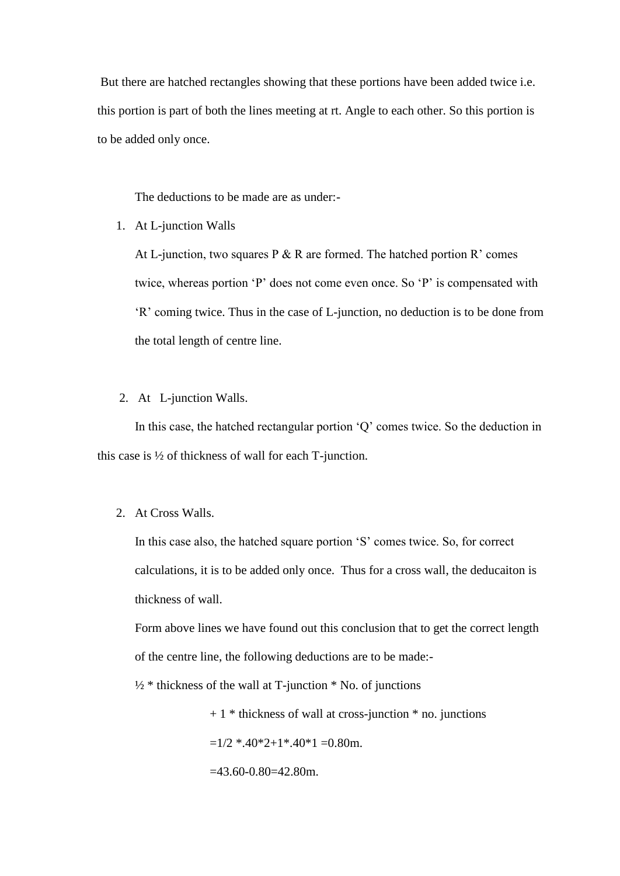But there are hatched rectangles showing that these portions have been added twice i.e. this portion is part of both the lines meeting at rt. Angle to each other. So this portion is to be added only once.

The deductions to be made are as under:-

1. At L-junction Walls

At L-junction, two squares P  $\&$  R are formed. The hatched portion R' comes twice, whereas portion "P" does not come even once. So "P" is compensated with "R" coming twice. Thus in the case of L-junction, no deduction is to be done from the total length of centre line.

#### 2. At L-junction Walls.

In this case, the hatched rectangular portion "Q" comes twice. So the deduction in this case is ½ of thickness of wall for each T-junction.

2. At Cross Walls.

In this case also, the hatched square portion "S" comes twice. So, for correct calculations, it is to be added only once. Thus for a cross wall, the deducaiton is thickness of wall.

Form above lines we have found out this conclusion that to get the correct length of the centre line, the following deductions are to be made:-

 $\frac{1}{2}$  \* thickness of the wall at T-junction \* No. of junctions

 $+ 1$  \* thickness of wall at cross-junction \* no. junctions

 $=1/2$  \*.40\*2+1\*.40\*1 =0.80m.

 $=43.60 - 0.80 = 42.80$ m.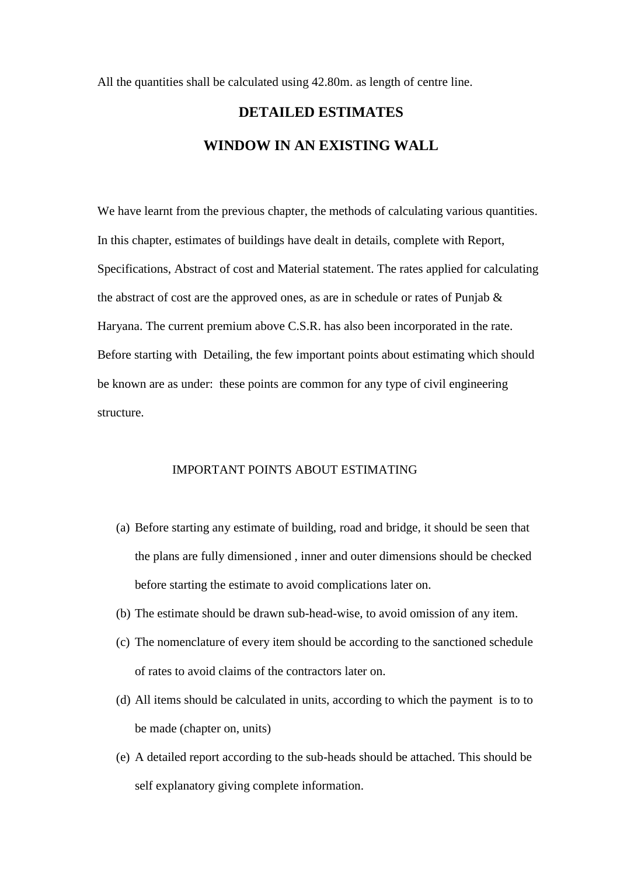All the quantities shall be calculated using 42.80m. as length of centre line.

# **DETAILED ESTIMATES WINDOW IN AN EXISTING WALL**

We have learnt from the previous chapter, the methods of calculating various quantities. In this chapter, estimates of buildings have dealt in details, complete with Report, Specifications, Abstract of cost and Material statement. The rates applied for calculating the abstract of cost are the approved ones, as are in schedule or rates of Punjab  $\&$ Haryana. The current premium above C.S.R. has also been incorporated in the rate. Before starting with Detailing, the few important points about estimating which should be known are as under: these points are common for any type of civil engineering structure.

#### IMPORTANT POINTS ABOUT ESTIMATING

- (a) Before starting any estimate of building, road and bridge, it should be seen that the plans are fully dimensioned , inner and outer dimensions should be checked before starting the estimate to avoid complications later on.
- (b) The estimate should be drawn sub-head-wise, to avoid omission of any item.
- (c) The nomenclature of every item should be according to the sanctioned schedule of rates to avoid claims of the contractors later on.
- (d) All items should be calculated in units, according to which the payment is to to be made (chapter on, units)
- (e) A detailed report according to the sub-heads should be attached. This should be self explanatory giving complete information.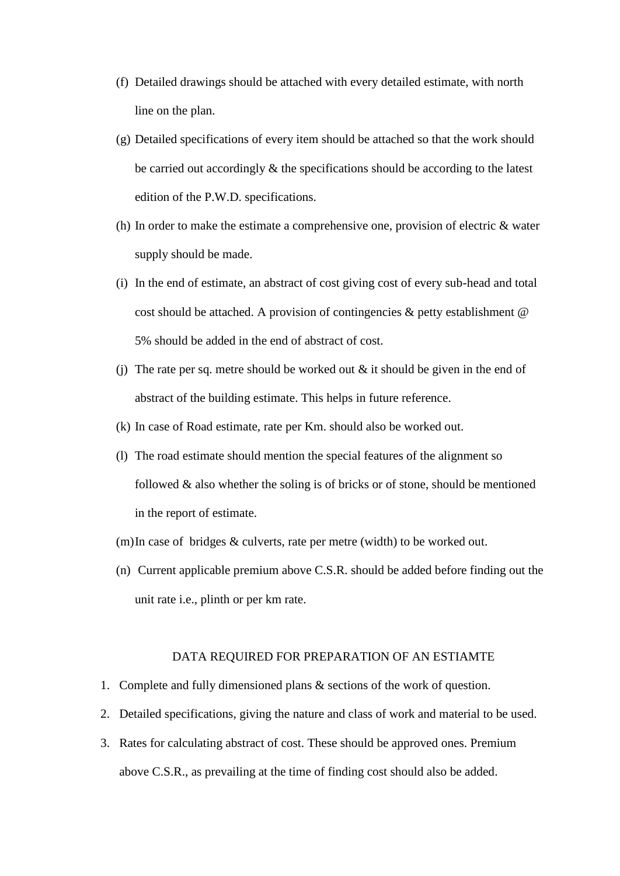- (f) Detailed drawings should be attached with every detailed estimate, with north line on the plan.
- (g) Detailed specifications of every item should be attached so that the work should be carried out accordingly  $\&$  the specifications should be according to the latest edition of the P.W.D. specifications.
- (h) In order to make the estimate a comprehensive one, provision of electric & water supply should be made.
- (i) In the end of estimate, an abstract of cost giving cost of every sub-head and total cost should be attached. A provision of contingencies  $\&$  petty establishment  $\&$ 5% should be added in the end of abstract of cost.
- (i) The rate per sq. metre should be worked out  $\&$  it should be given in the end of abstract of the building estimate. This helps in future reference.
- (k) In case of Road estimate, rate per Km. should also be worked out.
- (l) The road estimate should mention the special features of the alignment so followed & also whether the soling is of bricks or of stone, should be mentioned in the report of estimate.
- (m)In case of bridges & culverts, rate per metre (width) to be worked out.
- (n) Current applicable premium above C.S.R. should be added before finding out the unit rate i.e., plinth or per km rate.

#### DATA REQUIRED FOR PREPARATION OF AN ESTIAMTE

- 1. Complete and fully dimensioned plans & sections of the work of question.
- 2. Detailed specifications, giving the nature and class of work and material to be used.
- 3. Rates for calculating abstract of cost. These should be approved ones. Premium above C.S.R., as prevailing at the time of finding cost should also be added.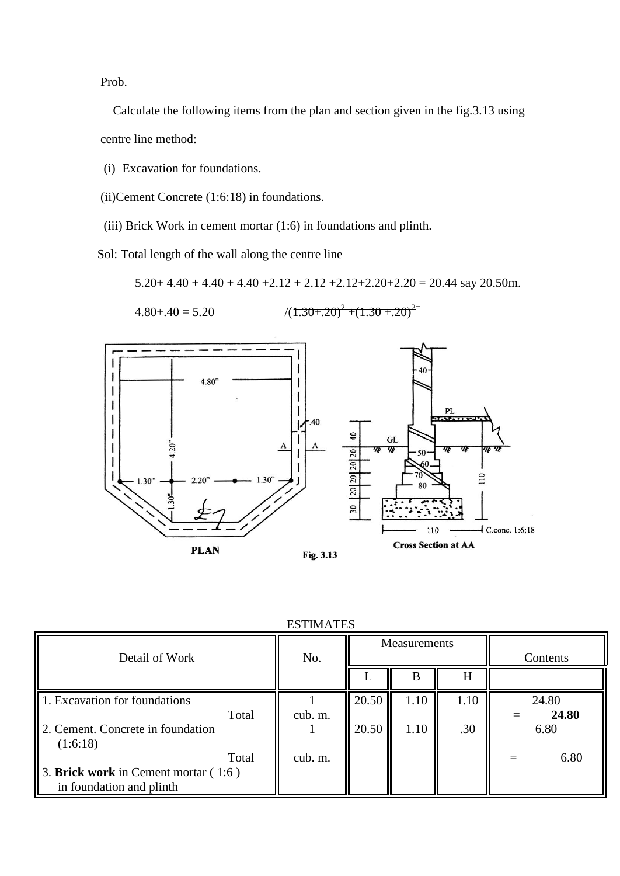Prob.

 Calculate the following items from the plan and section given in the fig.3.13 using centre line method:

(i) Excavation for foundations.

(ii)Cement Concrete (1:6:18) in foundations.

(iii) Brick Work in cement mortar (1:6) in foundations and plinth.

Sol: Total length of the wall along the centre line

 $5.20+4.40+4.40+4.40+2.12+2.12+2.12+2.20+2.20=20.44$  say 20.50m.

$$
4.80 \div 40 = 5.20 \qquad \qquad / (1.30 \div 20)^2 + (1.30 \div 20)^2
$$



| <b>ESTIMATES</b> |  |
|------------------|--|
|------------------|--|

| Detail of Work                                                              | No.     |       | Measurements |      | Contents       |
|-----------------------------------------------------------------------------|---------|-------|--------------|------|----------------|
|                                                                             |         |       | B            | H    |                |
| 1. Excavation for foundations<br>Total                                      | cub. m. | 20.50 | 1.10         | 1.10 | 24.80<br>24.80 |
| 2. Cement. Concrete in foundation<br>(1:6:18)                               |         | 20.50 | 1.10         | .30  | 6.80           |
| Total<br>3. Brick work in Cement mortar $(1:6)$<br>in foundation and plinth | cub. m. |       |              |      | 6.80           |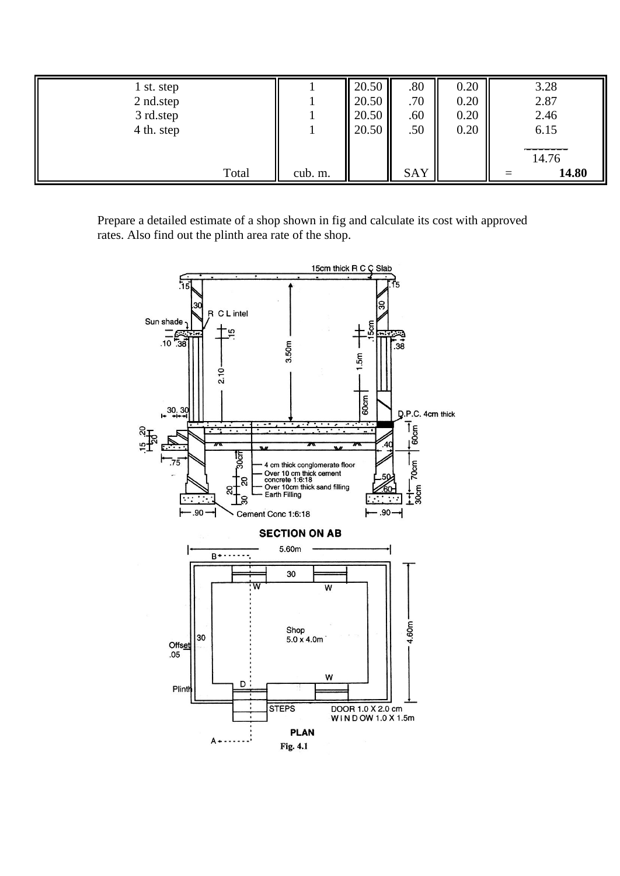| 1 st. step |         | 20.50 | .80 | 0.20 | 3.28  |
|------------|---------|-------|-----|------|-------|
| 2 nd.step  |         | 20.50 | .70 | 0.20 | 2.87  |
| 3 rd.step  |         | 20.50 | .60 | 0.20 | 2.46  |
| 4 th. step |         | 20.50 | .50 | 0.20 | 6.15  |
|            |         |       |     |      |       |
|            |         |       |     |      | 14.76 |
| Total      | cub. m. |       | SAY |      | 14.80 |

Prepare a detailed estimate of a shop shown in fig and calculate its cost with approved rates. Also find out the plinth area rate of the shop.

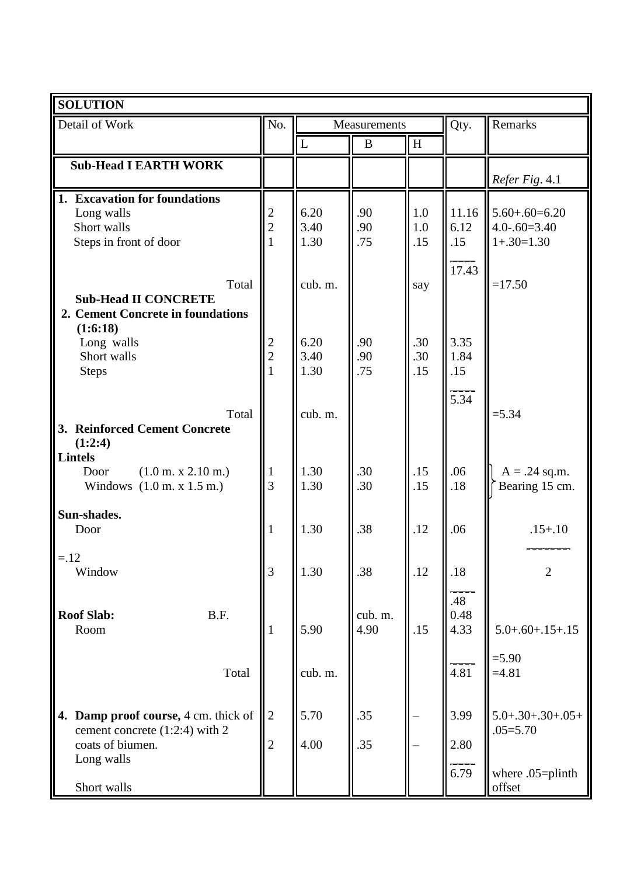| <b>SOLUTION</b>                                                                       |                     |              |              |              |                  |                                   |
|---------------------------------------------------------------------------------------|---------------------|--------------|--------------|--------------|------------------|-----------------------------------|
| Detail of Work                                                                        | No.                 |              | Measurements |              | Qty.             | Remarks                           |
|                                                                                       |                     | L            | $\bf{B}$     | $\, {\rm H}$ |                  |                                   |
| <b>Sub-Head I EARTH WORK</b>                                                          |                     |              |              |              |                  |                                   |
|                                                                                       |                     |              |              |              |                  | Refer Fig. 4.1                    |
| 1. Excavation for foundations                                                         |                     |              |              |              |                  |                                   |
| Long walls                                                                            | 2                   | 6.20         | .90          | 1.0          | 11.16            | $5.60 + .60 = 6.20$               |
| Short walls                                                                           | $\overline{2}$      | 3.40         | .90          | 1.0          | 6.12             | $4.0 - 60 = 3.40$                 |
| Steps in front of door                                                                |                     | 1.30         | .75          | .15          | .15              | $1+.30=1.30$                      |
|                                                                                       |                     |              |              |              | 17.43            |                                   |
| Total                                                                                 |                     | cub. m.      |              | say          |                  | $=17.50$                          |
| <b>Sub-Head II CONCRETE</b>                                                           |                     |              |              |              |                  |                                   |
| 2. Cement Concrete in foundations                                                     |                     |              |              |              |                  |                                   |
| (1:6:18)                                                                              |                     |              |              |              |                  |                                   |
| Long walls<br>Short walls                                                             | 2<br>$\overline{2}$ | 6.20<br>3.40 | .90<br>.90   | .30<br>.30   | 3.35<br>1.84     |                                   |
| <b>Steps</b>                                                                          |                     | 1.30         | .75          | .15          | .15              |                                   |
|                                                                                       |                     |              |              |              |                  |                                   |
|                                                                                       |                     |              |              |              | $\frac{1}{5.34}$ |                                   |
| Total                                                                                 |                     | cub. m.      |              |              |                  | $= 5.34$                          |
| 3. Reinforced Cement Concrete                                                         |                     |              |              |              |                  |                                   |
| (1:2:4)                                                                               |                     |              |              |              |                  |                                   |
| <b>Lintels</b><br>Door                                                                |                     | 1.30         | .30          | .15          | .06              |                                   |
| $(1.0 \text{ m. x } 2.10 \text{ m.})$<br>Windows $(1.0 \text{ m. x } 1.5 \text{ m.})$ | $\perp$<br>3        | 1.30         | .30          | .15          | .18              | $A = .24$ sq.m.<br>Bearing 15 cm. |
|                                                                                       |                     |              |              |              |                  |                                   |
| Sun-shades.                                                                           |                     |              |              |              |                  |                                   |
| Door                                                                                  | 1                   | 1.30         | .38          | .12          | .06              | $.15 + .10$                       |
|                                                                                       |                     |              |              |              |                  |                                   |
| $=.12$                                                                                | $\overline{3}$      |              |              |              |                  | $\overline{2}$                    |
| Window                                                                                |                     | 1.30         | .38          | .12          | .18              |                                   |
|                                                                                       |                     |              |              |              | .48              |                                   |
| <b>Roof Slab:</b><br>B.F.                                                             |                     |              | cub. m.      |              | 0.48             |                                   |
| Room                                                                                  | -1                  | 5.90         | 4.90         | .15          | 4.33             | $5.0 + .60 + .15 + .15$           |
|                                                                                       |                     |              |              |              |                  |                                   |
|                                                                                       |                     |              |              |              |                  | $= 5.90$                          |
| Total                                                                                 |                     | cub. m.      |              |              | 4.81             | $=4.81$                           |
|                                                                                       |                     |              |              |              |                  |                                   |
| 4. Damp proof course, 4 cm. thick of                                                  | $\overline{2}$      | 5.70         | .35          |              | 3.99             | $5.0 + .30 + .30 + .05 +$         |
| cement concrete (1:2:4) with 2                                                        |                     |              |              |              |                  | $.05 = 5.70$                      |
| coats of biumen.                                                                      | $\overline{2}$      | 4.00         | .35          |              | 2.80             |                                   |
| Long walls                                                                            |                     |              |              |              |                  |                                   |
|                                                                                       |                     |              |              |              | 6.79             | where .05=plinth                  |
| Short walls                                                                           |                     |              |              |              |                  | offset                            |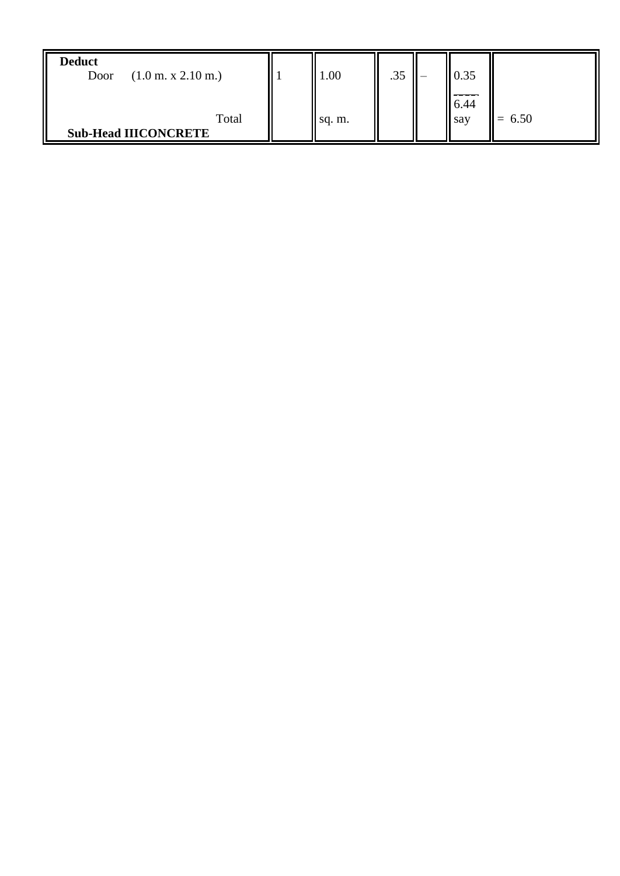| <b>Deduct</b><br>$(1.0 \text{ m. x } 2.10 \text{ m.})$<br>Door | $1.00\,$ | .35 | 0.35        |      |
|----------------------------------------------------------------|----------|-----|-------------|------|
| Total<br><b>Sub-Head IIICONCRETE</b>                           | sq. m.   |     | 6.44<br>say | 6.50 |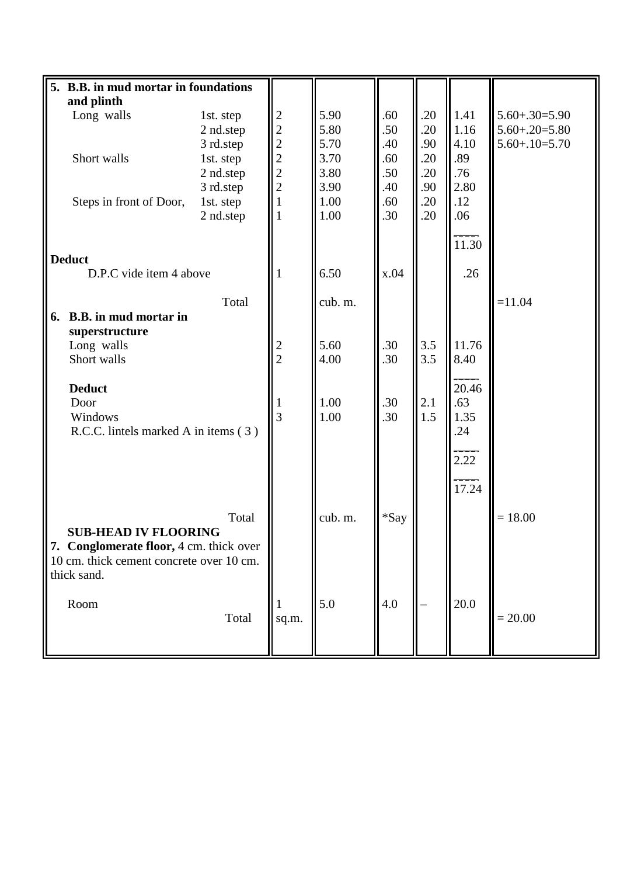| 5. B.B. in mud mortar in foundations     |           |                         |         |         |     |          |                      |
|------------------------------------------|-----------|-------------------------|---------|---------|-----|----------|----------------------|
| and plinth                               |           |                         |         |         |     |          |                      |
| Long walls                               | 1st. step | $\overline{\mathbf{c}}$ | 5.90    | .60     | .20 | 1.41     | $5.60 + .30 = 5.90$  |
|                                          | 2 nd.step | $\overline{c}$          | 5.80    | .50     | .20 | 1.16     | $5.60 + .20 = 5.80$  |
|                                          | 3 rd.step | $\overline{c}$          | 5.70    | .40     | .90 | 4.10     | $5.60 + 0.10 = 5.70$ |
| Short walls                              | 1st. step |                         | 3.70    | .60     | .20 | .89      |                      |
|                                          | 2 nd.step | $\frac{2}{2}$           | 3.80    | .50     | .20 | .76      |                      |
|                                          | 3 rd.step | $\overline{2}$          | 3.90    | .40     | .90 | 2.80     |                      |
| Steps in front of Door,                  | 1st. step |                         | 1.00    | .60     | .20 | .12      |                      |
|                                          | 2 nd.step | 1                       | 1.00    | .30     | .20 | .06      |                      |
|                                          |           |                         |         |         |     |          |                      |
|                                          |           |                         |         |         |     |          |                      |
|                                          |           |                         |         |         |     | 11.30    |                      |
| <b>Deduct</b>                            |           |                         |         |         |     |          |                      |
| D.P.C vide item 4 above                  |           |                         | 6.50    | x.04    |     | .26      |                      |
|                                          |           |                         |         |         |     |          |                      |
|                                          | Total     |                         | cub. m. |         |     |          | $=11.04$             |
| <b>B.B.</b> in mud mortar in<br>6.       |           |                         |         |         |     |          |                      |
| superstructure                           |           |                         |         |         |     |          |                      |
| Long walls                               |           | $\frac{2}{2}$           | 5.60    | .30     | 3.5 | 11.76    |                      |
| Short walls                              |           |                         | 4.00    | .30     | 3.5 | 8.40     |                      |
|                                          |           |                         |         |         |     |          |                      |
| <b>Deduct</b>                            |           |                         |         |         |     | 20.46    |                      |
| Door                                     |           |                         | 1.00    | .30     | 2.1 | .63      |                      |
| Windows                                  |           | $\overline{3}$          | 1.00    | .30     | 1.5 | 1.35     |                      |
| R.C.C. lintels marked A in items (3)     |           |                         |         |         |     | .24      |                      |
|                                          |           |                         |         |         |     |          |                      |
|                                          |           |                         |         |         |     | 2.22     |                      |
|                                          |           |                         |         |         |     | 17.24    |                      |
|                                          |           |                         |         |         |     |          |                      |
|                                          | Total     |                         | cub. m. | $*$ Say |     |          | $= 18.00$            |
| <b>SUB-HEAD IV FLOORING</b>              |           |                         |         |         |     |          |                      |
| 7. Conglomerate floor, 4 cm. thick over  |           |                         |         |         |     |          |                      |
|                                          |           |                         |         |         |     |          |                      |
| 10 cm. thick cement concrete over 10 cm. |           |                         |         |         |     |          |                      |
| thick sand.                              |           |                         |         |         |     |          |                      |
|                                          |           |                         |         |         |     |          |                      |
| Room                                     |           |                         | 5.0     | 4.0     |     | $20.0\,$ |                      |
|                                          | Total     | sq.m.                   |         |         |     |          | $= 20.00$            |
|                                          |           |                         |         |         |     |          |                      |
|                                          |           |                         |         |         |     |          |                      |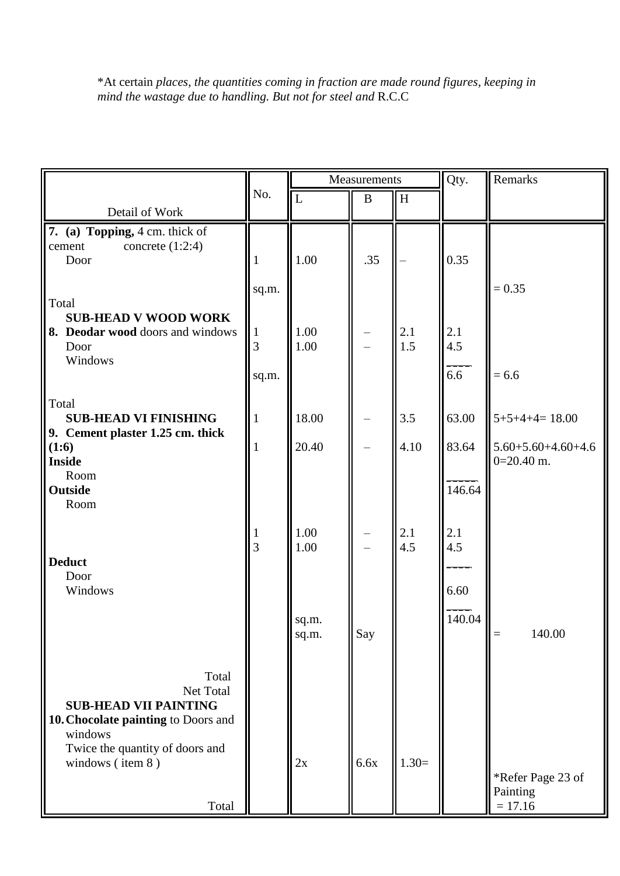\*At certain *places, the quantities coming in fraction are made round figures, keeping in mind the wastage due to handling. But not for steel and* R.C.C

|                                                                                                                                         |                   | Measurements   |          | Qty.                      | Remarks    |                                            |
|-----------------------------------------------------------------------------------------------------------------------------------------|-------------------|----------------|----------|---------------------------|------------|--------------------------------------------|
|                                                                                                                                         | No.               | $\overline{L}$ | $\bf{B}$ | $\boldsymbol{\mathrm{H}}$ |            |                                            |
| Detail of Work                                                                                                                          |                   |                |          |                           |            |                                            |
| 7. (a) Topping, 4 cm. thick of<br>concrete $(1:2:4)$<br>cement<br>Door                                                                  | 1                 | 1.00           | .35      |                           | 0.35       |                                            |
|                                                                                                                                         | sq.m.             |                |          |                           |            | $= 0.35$                                   |
| Total<br><b>SUB-HEAD V WOOD WORK</b><br>8. Deodar wood doors and windows<br>Door<br>Windows                                             | $\mathbf{1}$<br>3 | 1.00<br>1.00   |          | 2.1<br>1.5                | 2.1<br>4.5 |                                            |
|                                                                                                                                         | sq.m.             |                |          |                           | 6.6        | $= 6.6$                                    |
| Total<br><b>SUB-HEAD VI FINISHING</b>                                                                                                   | $\mathbf{1}$      | 18.00          |          | 3.5                       | 63.00      | $5+5+4+4=18.00$                            |
| 9. Cement plaster 1.25 cm. thick<br>(1:6)<br><b>Inside</b><br>Room                                                                      | $\mathbf{1}$      | 20.40          |          | 4.10                      | 83.64      | $5.60 + 5.60 + 4.60 + 4.6$<br>$0=20.40$ m. |
| Outside<br>Room                                                                                                                         |                   |                |          |                           | 146.64     |                                            |
| <b>Deduct</b><br>Door                                                                                                                   | $\mathbf{1}$<br>3 | 1.00<br>1.00   |          | 2.1<br>4.5                | 2.1<br>4.5 |                                            |
| Windows                                                                                                                                 |                   |                |          |                           | 6.60       |                                            |
|                                                                                                                                         |                   | sq.m.<br>sq.m. | Say      |                           | 140.04     | 140.00                                     |
| Total<br>Net Total<br><b>SUB-HEAD VII PAINTING</b><br>10. Chocolate painting to Doors and<br>windows<br>Twice the quantity of doors and |                   |                |          |                           |            |                                            |
| windows (item 8)<br>Total                                                                                                               |                   | 2x             | 6.6x     | $1.30=$                   |            | *Refer Page 23 of<br>Painting<br>$= 17.16$ |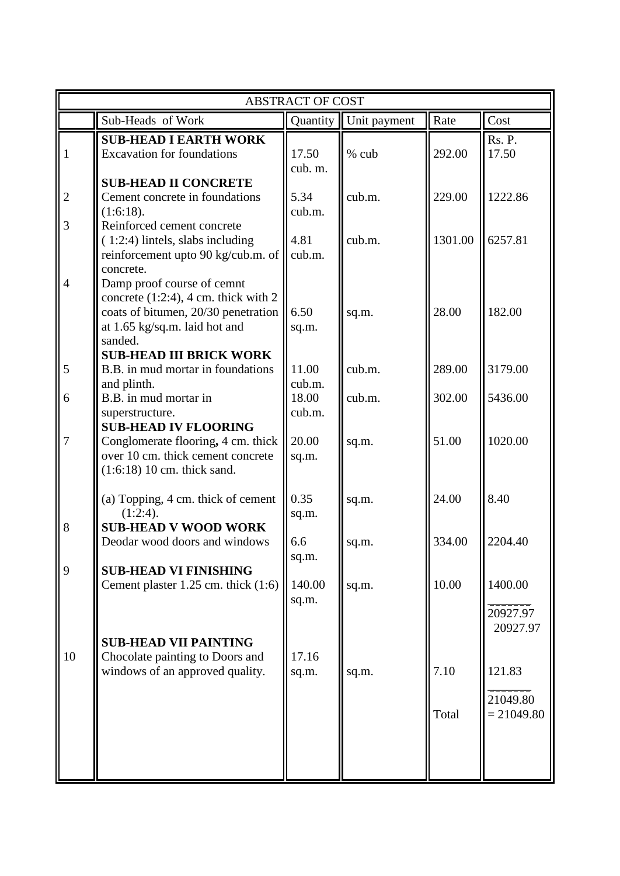|                |                                                                                                                                                          | <b>ABSTRACT OF COST</b> |                         |               |                                    |
|----------------|----------------------------------------------------------------------------------------------------------------------------------------------------------|-------------------------|-------------------------|---------------|------------------------------------|
|                | Sub-Heads of Work                                                                                                                                        |                         | Quantity   Unit payment | Rate          | Cost                               |
| 1              | <b>SUB-HEAD I EARTH WORK</b><br><b>Excavation for foundations</b>                                                                                        | 17.50<br>cub. m.        | % cub                   | 292.00        | Rs. P.<br>17.50                    |
| $\overline{2}$ | <b>SUB-HEAD II CONCRETE</b><br>Cement concrete in foundations<br>(1:6:18).                                                                               | 5.34<br>cub.m.          | cub.m.                  | 229.00        | 1222.86                            |
| 3              | Reinforced cement concrete<br>$(1:2:4)$ lintels, slabs including<br>reinforcement upto 90 kg/cub.m. of<br>concrete.                                      | 4.81<br>cub.m.          | cub.m.                  | 1301.00       | 6257.81                            |
| $\overline{4}$ | Damp proof course of cemnt<br>concrete $(1:2:4)$ , 4 cm. thick with 2<br>coats of bitumen, 20/30 penetration<br>at 1.65 kg/sq.m. laid hot and<br>sanded. | 6.50<br>sq.m.           | sq.m.                   | 28.00         | 182.00                             |
| 5              | <b>SUB-HEAD III BRICK WORK</b><br>B.B. in mud mortar in foundations<br>and plinth.                                                                       | 11.00<br>cub.m.         | cub.m.                  | 289.00        | 3179.00                            |
| 6              | B.B. in mud mortar in<br>superstructure.<br><b>SUB-HEAD IV FLOORING</b>                                                                                  | 18.00<br>cub.m.         | cub.m.                  | 302.00        | 5436.00                            |
| 7              | Conglomerate flooring, 4 cm. thick<br>over 10 cm. thick cement concrete<br>$(1:6:18)$ 10 cm. thick sand.                                                 | 20.00<br>sq.m.          | sq.m.                   | 51.00         | 1020.00                            |
|                | (a) Topping, 4 cm. thick of cement<br>$(1:2:4)$ .                                                                                                        | 0.35<br>sq.m.           | sq.m.                   | 24.00         | 8.40                               |
| 8              | <b>SUB-HEAD V WOOD WORK</b><br>Deodar wood doors and windows                                                                                             | 6.6<br>sq.m.            | sq.m.                   | 334.00        | 2204.40                            |
| $\overline{9}$ | <b>SUB-HEAD VI FINISHING</b><br>Cement plaster 1.25 cm. thick (1:6)                                                                                      | 140.00<br>sq.m.         | sq.m.                   | 10.00         | 1400.00<br>20927.97<br>20927.97    |
| 10             | <b>SUB-HEAD VII PAINTING</b><br>Chocolate painting to Doors and<br>windows of an approved quality.                                                       | 17.16<br>sq.m.          | sq.m.                   | 7.10<br>Total | 121.83<br>21049.80<br>$= 21049.80$ |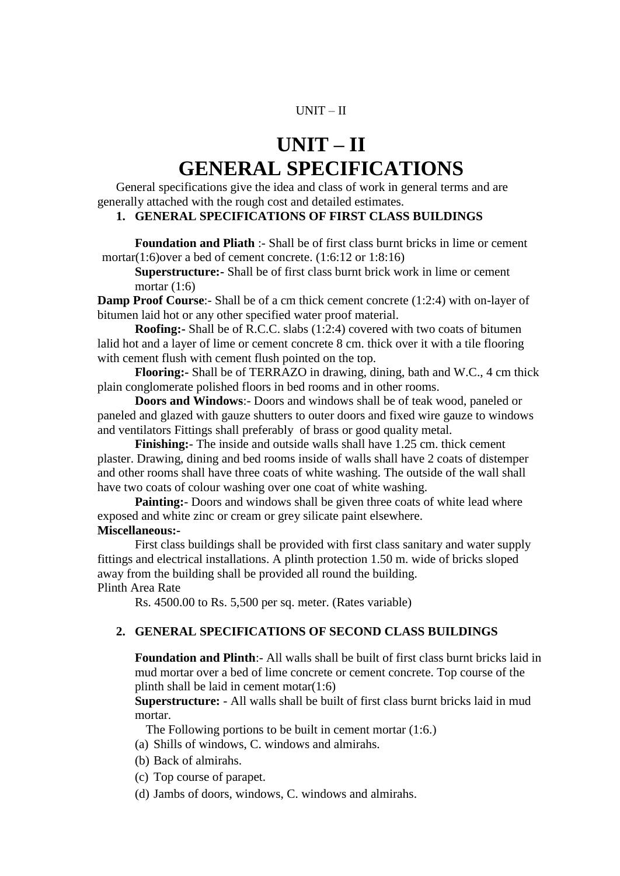#### UNIT – II

# **UNIT – II GENERAL SPECIFICATIONS**

General specifications give the idea and class of work in general terms and are generally attached with the rough cost and detailed estimates.

#### **1. GENERAL SPECIFICATIONS OF FIRST CLASS BUILDINGS**

**Foundation and Pliath** :- Shall be of first class burnt bricks in lime or cement mortar(1:6)over a bed of cement concrete. (1:6:12 or 1:8:16)

**Superstructure:-** Shall be of first class burnt brick work in lime or cement mortar (1:6)

**Damp Proof Course:**- Shall be of a cm thick cement concrete (1:2:4) with on-layer of bitumen laid hot or any other specified water proof material.

**Roofing:** Shall be of R.C.C. slabs (1:2:4) covered with two coats of bitumen lalid hot and a layer of lime or cement concrete 8 cm. thick over it with a tile flooring with cement flush with cement flush pointed on the top.

**Flooring:-** Shall be of TERRAZO in drawing, dining, bath and W.C., 4 cm thick plain conglomerate polished floors in bed rooms and in other rooms.

**Doors and Windows**:- Doors and windows shall be of teak wood, paneled or paneled and glazed with gauze shutters to outer doors and fixed wire gauze to windows and ventilators Fittings shall preferably of brass or good quality metal.

**Finishing:**- The inside and outside walls shall have 1.25 cm. thick cement plaster. Drawing, dining and bed rooms inside of walls shall have 2 coats of distemper and other rooms shall have three coats of white washing. The outside of the wall shall have two coats of colour washing over one coat of white washing.

**Painting:** Doors and windows shall be given three coats of white lead where exposed and white zinc or cream or grey silicate paint elsewhere.

#### **Miscellaneous:-**

First class buildings shall be provided with first class sanitary and water supply fittings and electrical installations. A plinth protection 1.50 m. wide of bricks sloped away from the building shall be provided all round the building. Plinth Area Rate

Rs. 4500.00 to Rs. 5,500 per sq. meter. (Rates variable)

#### **2. GENERAL SPECIFICATIONS OF SECOND CLASS BUILDINGS**

**Foundation and Plinth**:- All walls shall be built of first class burnt bricks laid in mud mortar over a bed of lime concrete or cement concrete. Top course of the plinth shall be laid in cement motar(1:6)

**Superstructure:** - All walls shall be built of first class burnt bricks laid in mud mortar.

The Following portions to be built in cement mortar (1:6.)

- (a) Shills of windows, C. windows and almirahs.
- (b) Back of almirahs.
- (c) Top course of parapet.
- (d) Jambs of doors, windows, C. windows and almirahs.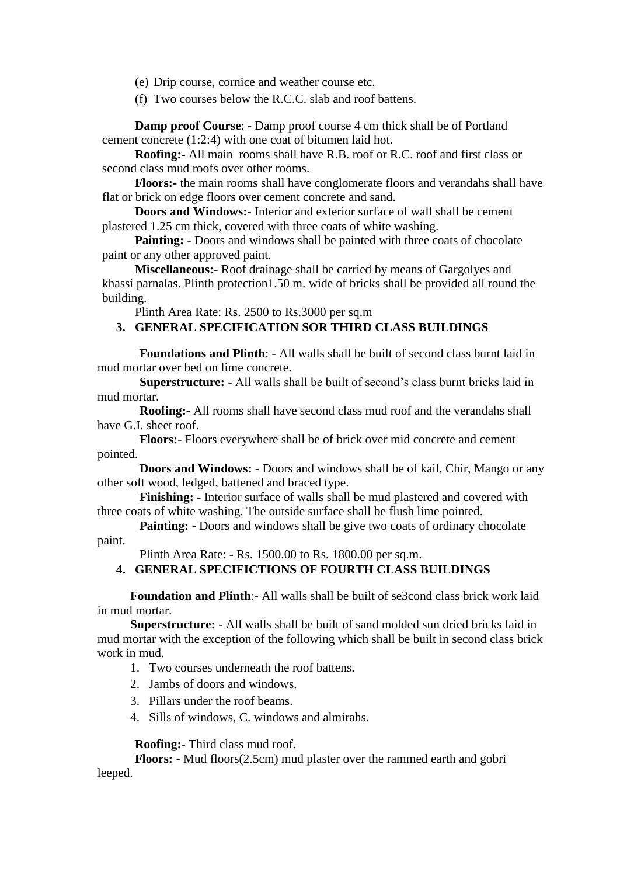(e) Drip course, cornice and weather course etc.

(f) Two courses below the R.C.C. slab and roof battens.

**Damp proof Course**: - Damp proof course 4 cm thick shall be of Portland cement concrete (1:2:4) with one coat of bitumen laid hot.

**Roofing:-** All main rooms shall have R.B. roof or R.C. roof and first class or second class mud roofs over other rooms.

**Floors:-** the main rooms shall have conglomerate floors and verandahs shall have flat or brick on edge floors over cement concrete and sand.

**Doors and Windows:-** Interior and exterior surface of wall shall be cement plastered 1.25 cm thick, covered with three coats of white washing.

**Painting:** - Doors and windows shall be painted with three coats of chocolate paint or any other approved paint.

**Miscellaneous:-** Roof drainage shall be carried by means of Gargolyes and khassi parnalas. Plinth protection1.50 m. wide of bricks shall be provided all round the building.

Plinth Area Rate: Rs. 2500 to Rs.3000 per sq.m

#### **3. GENERAL SPECIFICATION SOR THIRD CLASS BUILDINGS**

**Foundations and Plinth**: - All walls shall be built of second class burnt laid in mud mortar over bed on lime concrete.

**Superstructure: -** All walls shall be built of second"s class burnt bricks laid in mud mortar.

**Roofing:-** All rooms shall have second class mud roof and the verandahs shall have G.I. sheet roof.

**Floors:**- Floors everywhere shall be of brick over mid concrete and cement pointed.

**Doors and Windows: -** Doors and windows shall be of kail, Chir, Mango or any other soft wood, ledged, battened and braced type.

**Finishing: -** Interior surface of walls shall be mud plastered and covered with three coats of white washing. The outside surface shall be flush lime pointed.

**Painting:** - Doors and windows shall be give two coats of ordinary chocolate paint.

Plinth Area Rate: - Rs. 1500.00 to Rs. 1800.00 per sq.m.

#### **4. GENERAL SPECIFICTIONS OF FOURTH CLASS BUILDINGS**

**Foundation and Plinth**:- All walls shall be built of se3cond class brick work laid in mud mortar.

**Superstructure:** - All walls shall be built of sand molded sun dried bricks laid in mud mortar with the exception of the following which shall be built in second class brick work in mud.

- 1. Two courses underneath the roof battens.
- 2. Jambs of doors and windows.
- 3. Pillars under the roof beams.
- 4. Sills of windows, C. windows and almirahs.

**Roofing:**- Third class mud roof.

**Floors: -** Mud floors(2.5cm) mud plaster over the rammed earth and gobri leeped.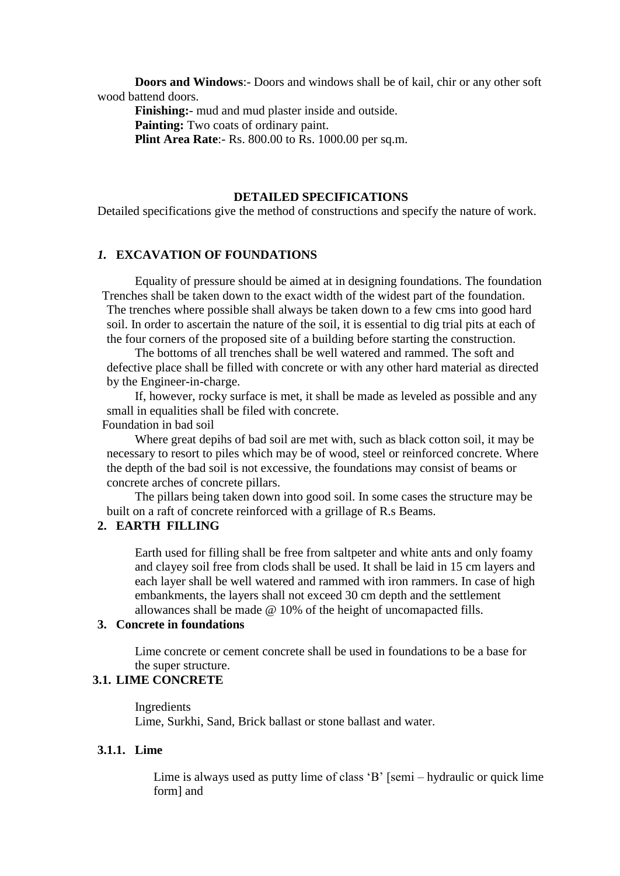**Doors and Windows**:- Doors and windows shall be of kail, chir or any other soft wood battend doors.

**Finishing:**- mud and mud plaster inside and outside. **Painting:** Two coats of ordinary paint. **Plint Area Rate**:- Rs. 800.00 to Rs. 1000.00 per sq.m.

#### **DETAILED SPECIFICATIONS**

Detailed specifications give the method of constructions and specify the nature of work.

#### *1.* **EXCAVATION OF FOUNDATIONS**

Equality of pressure should be aimed at in designing foundations. The foundation Trenches shall be taken down to the exact width of the widest part of the foundation. The trenches where possible shall always be taken down to a few cms into good hard soil. In order to ascertain the nature of the soil, it is essential to dig trial pits at each of the four corners of the proposed site of a building before starting the construction.

The bottoms of all trenches shall be well watered and rammed. The soft and defective place shall be filled with concrete or with any other hard material as directed by the Engineer-in-charge.

If, however, rocky surface is met, it shall be made as leveled as possible and any small in equalities shall be filed with concrete.

Foundation in bad soil

Where great depihs of bad soil are met with, such as black cotton soil, it may be necessary to resort to piles which may be of wood, steel or reinforced concrete. Where the depth of the bad soil is not excessive, the foundations may consist of beams or concrete arches of concrete pillars.

The pillars being taken down into good soil. In some cases the structure may be built on a raft of concrete reinforced with a grillage of R.s Beams.

#### **2. EARTH FILLING**

Earth used for filling shall be free from saltpeter and white ants and only foamy and clayey soil free from clods shall be used. It shall be laid in 15 cm layers and each layer shall be well watered and rammed with iron rammers. In case of high embankments, the layers shall not exceed 30 cm depth and the settlement allowances shall be made @ 10% of the height of uncomapacted fills.

#### **3. Concrete in foundations**

Lime concrete or cement concrete shall be used in foundations to be a base for the super structure.

#### **3.1. LIME CONCRETE**

Ingredients Lime, Surkhi, Sand, Brick ballast or stone ballast and water.

#### **3.1.1. Lime**

Lime is always used as putty lime of class "B" [semi – hydraulic or quick lime form] and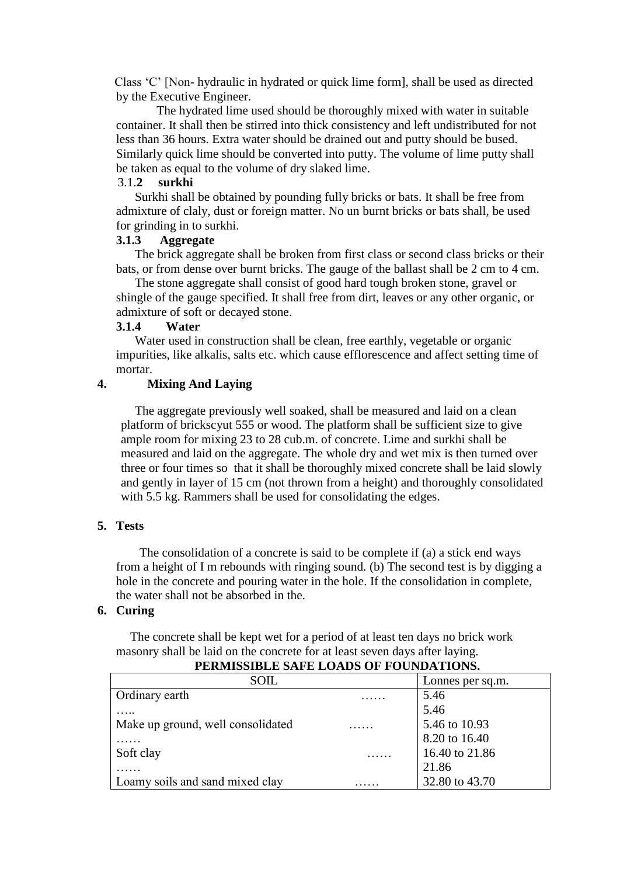Class "C" [Non- hydraulic in hydrated or quick lime form], shall be used as directed by the Executive Engineer.

 The hydrated lime used should be thoroughly mixed with water in suitable container. It shall then be stirred into thick consistency and left undistributed for not less than 36 hours. Extra water should be drained out and putty should be bused. Similarly quick lime should be converted into putty. The volume of lime putty shall be taken as equal to the volume of dry slaked lime.

#### 3.1.**2 surkhi**

Surkhi shall be obtained by pounding fully bricks or bats. It shall be free from admixture of claly, dust or foreign matter. No un burnt bricks or bats shall, be used for grinding in to surkhi.

#### **3.1.3 Aggregate**

The brick aggregate shall be broken from first class or second class bricks or their bats, or from dense over burnt bricks. The gauge of the ballast shall be 2 cm to 4 cm.

The stone aggregate shall consist of good hard tough broken stone, gravel or shingle of the gauge specified. It shall free from dirt, leaves or any other organic, or admixture of soft or decayed stone.

#### **3.1.4 Water**

Water used in construction shall be clean, free earthly, vegetable or organic impurities, like alkalis, salts etc. which cause efflorescence and affect setting time of mortar.

#### **4. Mixing And Laying**

The aggregate previously well soaked, shall be measured and laid on a clean platform of brickscyut 555 or wood. The platform shall be sufficient size to give ample room for mixing 23 to 28 cub.m. of concrete. Lime and surkhi shall be measured and laid on the aggregate. The whole dry and wet mix is then turned over three or four times so that it shall be thoroughly mixed concrete shall be laid slowly and gently in layer of 15 cm (not thrown from a height) and thoroughly consolidated with 5.5 kg. Rammers shall be used for consolidating the edges.

#### **5. Tests**

The consolidation of a concrete is said to be complete if (a) a stick end ways from a height of I m rebounds with ringing sound. (b) The second test is by digging a hole in the concrete and pouring water in the hole. If the consolidation in complete, the water shall not be absorbed in the.

#### **6. Curing**

The concrete shall be kept wet for a period of at least ten days no brick work masonry shall be laid on the concrete for at least seven days after laying.

| SOIL.                             | Lonnes per sq.m. |
|-----------------------------------|------------------|
| Ordinary earth                    | 5.46             |
|                                   | 5.46             |
| Make up ground, well consolidated | 5.46 to 10.93    |
|                                   | 8.20 to 16.40    |
| Soft clay                         | 16.40 to 21.86   |
|                                   | 21.86            |
| Loamy soils and sand mixed clay   | 32.80 to 43.70   |

#### **PERMISSIBLE SAFE LOADS OF FOUNDATIONS.**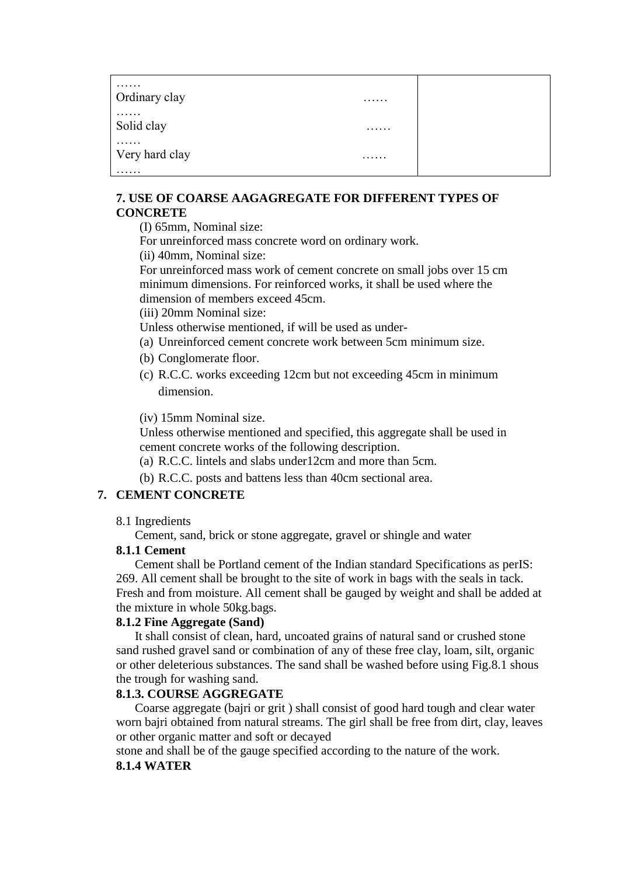| .<br>Ordinary clay  | . |  |
|---------------------|---|--|
| .<br>Solid clay     | . |  |
| .<br>Very hard clay | . |  |
| .                   |   |  |

#### **7. USE OF COARSE AAGAGREGATE FOR DIFFERENT TYPES OF CONCRETE**

(I) 65mm, Nominal size:

For unreinforced mass concrete word on ordinary work.

(ii) 40mm, Nominal size:

For unreinforced mass work of cement concrete on small jobs over 15 cm minimum dimensions. For reinforced works, it shall be used where the dimension of members exceed 45cm.

(iii) 20mm Nominal size:

Unless otherwise mentioned, if will be used as under-

- (a) Unreinforced cement concrete work between 5cm minimum size.
- (b) Conglomerate floor.
- (c) R.C.C. works exceeding 12cm but not exceeding 45cm in minimum dimension.

(iv) 15mm Nominal size.

Unless otherwise mentioned and specified, this aggregate shall be used in cement concrete works of the following description.

- (a) R.C.C. lintels and slabs under12cm and more than 5cm.
- (b) R.C.C. posts and battens less than 40cm sectional area.

#### **7. CEMENT CONCRETE**

8.1 Ingredients

Cement, sand, brick or stone aggregate, gravel or shingle and water

#### **8.1.1 Cement**

Cement shall be Portland cement of the Indian standard Specifications as perIS: 269. All cement shall be brought to the site of work in bags with the seals in tack. Fresh and from moisture. All cement shall be gauged by weight and shall be added at the mixture in whole 50kg.bags.

#### **8.1.2 Fine Aggregate (Sand)**

It shall consist of clean, hard, uncoated grains of natural sand or crushed stone sand rushed gravel sand or combination of any of these free clay, loam, silt, organic or other deleterious substances. The sand shall be washed before using Fig.8.1 shous the trough for washing sand.

#### **8.1.3. COURSE AGGREGATE**

Coarse aggregate (bajri or grit ) shall consist of good hard tough and clear water worn bajri obtained from natural streams. The girl shall be free from dirt, clay, leaves or other organic matter and soft or decayed

stone and shall be of the gauge specified according to the nature of the work.

### **8.1.4 WATER**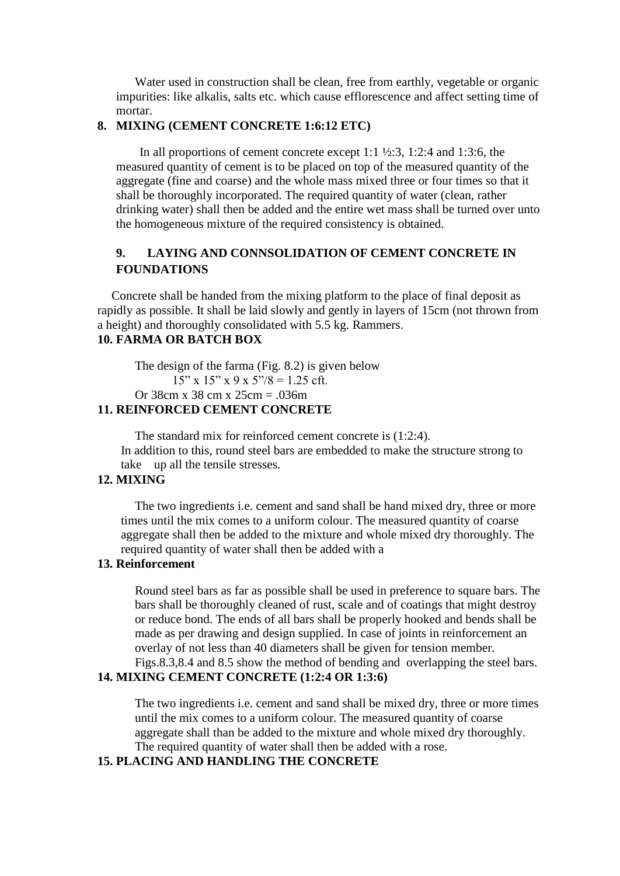Water used in construction shall be clean, free from earthly, vegetable or organic impurities: like alkalis, salts etc. which cause efflorescence and affect setting time of mortar.

#### **8. MIXING (CEMENT CONCRETE 1:6:12 ETC)**

In all proportions of cement concrete except 1:1  $\frac{1}{2}$ :3, 1:2:4 and 1:3:6, the measured quantity of cement is to be placed on top of the measured quantity of the aggregate (fine and coarse) and the whole mass mixed three or four times so that it shall be thoroughly incorporated. The required quantity of water (clean, rather drinking water) shall then be added and the entire wet mass shall be turned over unto the homogeneous mixture of the required consistency is obtained.

#### **9. LAYING AND CONNSOLIDATION OF CEMENT CONCRETE IN FOUNDATIONS**

Concrete shall be handed from the mixing platform to the place of final deposit as rapidly as possible. It shall be laid slowly and gently in layers of 15cm (not thrown from a height) and thoroughly consolidated with 5.5 kg. Rammers.

## **10. FARMA OR BATCH BOX**

The design of the farma (Fig. 8.2) is given below  $15"$  x  $15"$  x  $9$  x  $5"$ / $8 = 1.25$  cft. Or 38cm x 38 cm x  $25cm = 036m$ 

#### **11. REINFORCED CEMENT CONCRETE**

The standard mix for reinforced cement concrete is (1:2:4). In addition to this, round steel bars are embedded to make the structure strong to take up all the tensile stresses.

#### **12. MIXING**

The two ingredients i.e. cement and sand shall be hand mixed dry, three or more times until the mix comes to a uniform colour. The measured quantity of coarse aggregate shall then be added to the mixture and whole mixed dry thoroughly. The required quantity of water shall then be added with a

#### **13. Reinforcement**

Round steel bars as far as possible shall be used in preference to square bars. The bars shall be thoroughly cleaned of rust, scale and of coatings that might destroy or reduce bond. The ends of all bars shall be properly hooked and bends shall be made as per drawing and design supplied. In case of joints in reinforcement an overlay of not less than 40 diameters shall be given for tension member. Figs.8.3,8.4 and 8.5 show the method of bending and overlapping the steel bars.

#### **14. MIXING CEMENT CONCRETE (1:2:4 OR 1:3:6)**

The two ingredients i.e. cement and sand shall be mixed dry, three or more times until the mix comes to a uniform colour. The measured quantity of coarse aggregate shall than be added to the mixture and whole mixed dry thoroughly. The required quantity of water shall then be added with a rose.

#### **15. PLACING AND HANDLING THE CONCRETE**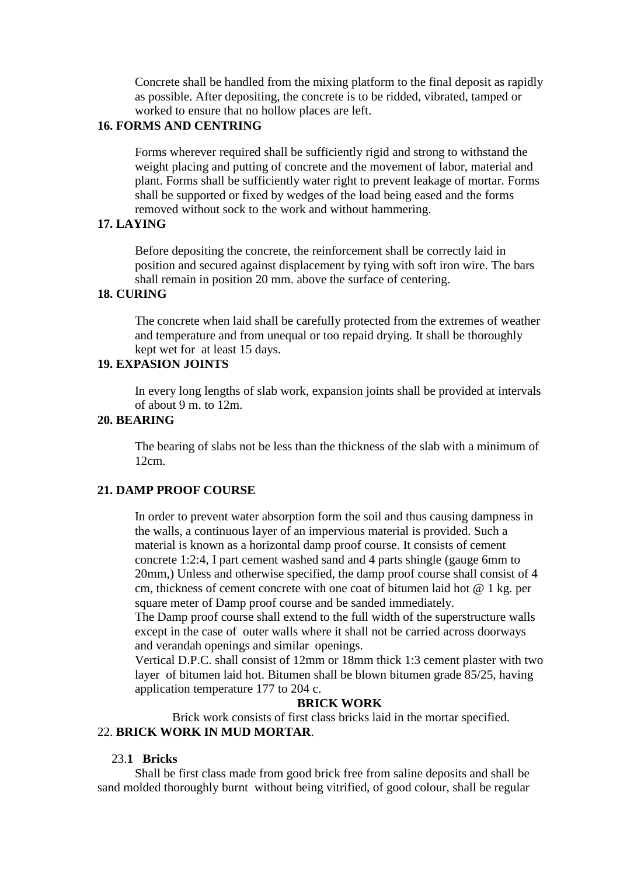Concrete shall be handled from the mixing platform to the final deposit as rapidly as possible. After depositing, the concrete is to be ridded, vibrated, tamped or worked to ensure that no hollow places are left.

#### **16. FORMS AND CENTRING**

Forms wherever required shall be sufficiently rigid and strong to withstand the weight placing and putting of concrete and the movement of labor, material and plant. Forms shall be sufficiently water right to prevent leakage of mortar. Forms shall be supported or fixed by wedges of the load being eased and the forms removed without sock to the work and without hammering.

#### **17. LAYING**

Before depositing the concrete, the reinforcement shall be correctly laid in position and secured against displacement by tying with soft iron wire. The bars shall remain in position 20 mm. above the surface of centering.

### **18. CURING**

The concrete when laid shall be carefully protected from the extremes of weather and temperature and from unequal or too repaid drying. It shall be thoroughly kept wet for at least 15 days.

### **19. EXPASION JOINTS**

In every long lengths of slab work, expansion joints shall be provided at intervals of about 9 m. to 12m.

#### **20. BEARING**

The bearing of slabs not be less than the thickness of the slab with a minimum of 12cm.

#### **21. DAMP PROOF COURSE**

In order to prevent water absorption form the soil and thus causing dampness in the walls, a continuous layer of an impervious material is provided. Such a material is known as a horizontal damp proof course. It consists of cement concrete 1:2:4, I part cement washed sand and 4 parts shingle (gauge 6mm to 20mm,) Unless and otherwise specified, the damp proof course shall consist of 4 cm, thickness of cement concrete with one coat of bitumen laid hot @ 1 kg. per square meter of Damp proof course and be sanded immediately.

The Damp proof course shall extend to the full width of the superstructure walls except in the case of outer walls where it shall not be carried across doorways and verandah openings and similar openings.

Vertical D.P.C. shall consist of 12mm or 18mm thick 1:3 cement plaster with two layer of bitumen laid hot. Bitumen shall be blown bitumen grade 85/25, having application temperature 177 to 204 c.

#### **BRICK WORK**

Brick work consists of first class bricks laid in the mortar specified. 22. **BRICK WORK IN MUD MORTAR**.

#### 23.**1 Bricks**

Shall be first class made from good brick free from saline deposits and shall be sand molded thoroughly burnt without being vitrified, of good colour, shall be regular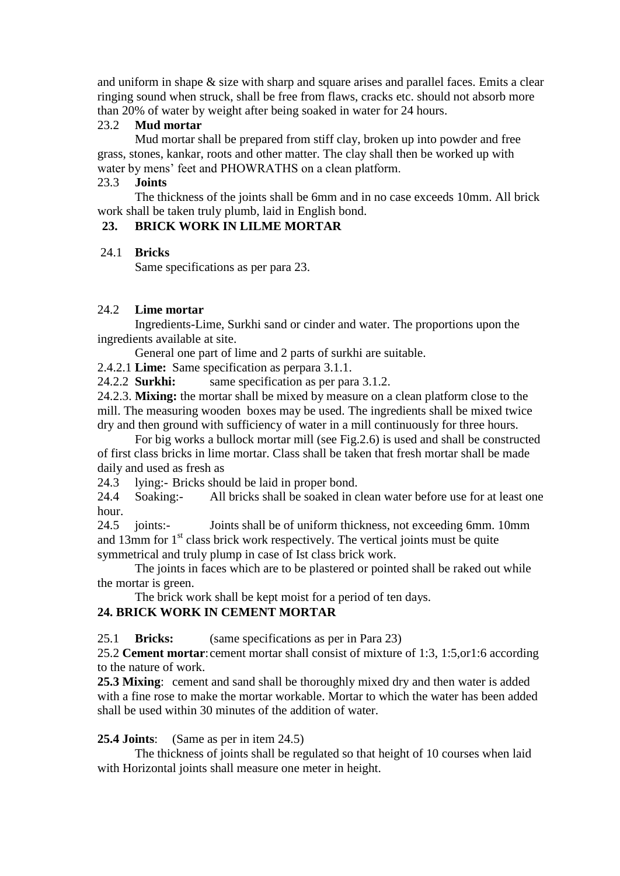and uniform in shape & size with sharp and square arises and parallel faces. Emits a clear ringing sound when struck, shall be free from flaws, cracks etc. should not absorb more than 20% of water by weight after being soaked in water for 24 hours.

#### 23.2 **Mud mortar**

Mud mortar shall be prepared from stiff clay, broken up into powder and free grass, stones, kankar, roots and other matter. The clay shall then be worked up with water by mens' feet and PHOWRATHS on a clean platform.

#### 23.3 **Joints**

The thickness of the joints shall be 6mm and in no case exceeds 10mm. All brick work shall be taken truly plumb, laid in English bond.

### **23. BRICK WORK IN LILME MORTAR**

#### 24.1 **Bricks**

Same specifications as per para 23.

#### 24.2 **Lime mortar**

Ingredients-Lime, Surkhi sand or cinder and water. The proportions upon the ingredients available at site.

General one part of lime and 2 parts of surkhi are suitable.

2.4.2.1 **Lime:** Same specification as perpara 3.1.1.

24.2.2 **Surkhi:** same specification as per para 3.1.2.

24.2.3. **Mixing:** the mortar shall be mixed by measure on a clean platform close to the mill. The measuring wooden boxes may be used. The ingredients shall be mixed twice dry and then ground with sufficiency of water in a mill continuously for three hours.

For big works a bullock mortar mill (see Fig.2.6) is used and shall be constructed of first class bricks in lime mortar. Class shall be taken that fresh mortar shall be made daily and used as fresh as

24.3 lying:- Bricks should be laid in proper bond.

24.4 Soaking:- All bricks shall be soaked in clean water before use for at least one hour.

24.5 joints:- Joints shall be of uniform thickness, not exceeding 6mm. 10mm and  $13$ mm for  $1<sup>st</sup>$  class brick work respectively. The vertical joints must be quite symmetrical and truly plump in case of Ist class brick work.

The joints in faces which are to be plastered or pointed shall be raked out while the mortar is green.

The brick work shall be kept moist for a period of ten days.

#### **24. BRICK WORK IN CEMENT MORTAR**

25.1 **Bricks:** (same specifications as per in Para 23)

25.2 **Cement mortar**:cement mortar shall consist of mixture of 1:3, 1:5,or1:6 according to the nature of work.

**25.3 Mixing**: cement and sand shall be thoroughly mixed dry and then water is added with a fine rose to make the mortar workable. Mortar to which the water has been added shall be used within 30 minutes of the addition of water.

#### **25.4 Joints**: (Same as per in item 24.5)

The thickness of joints shall be regulated so that height of 10 courses when laid with Horizontal joints shall measure one meter in height.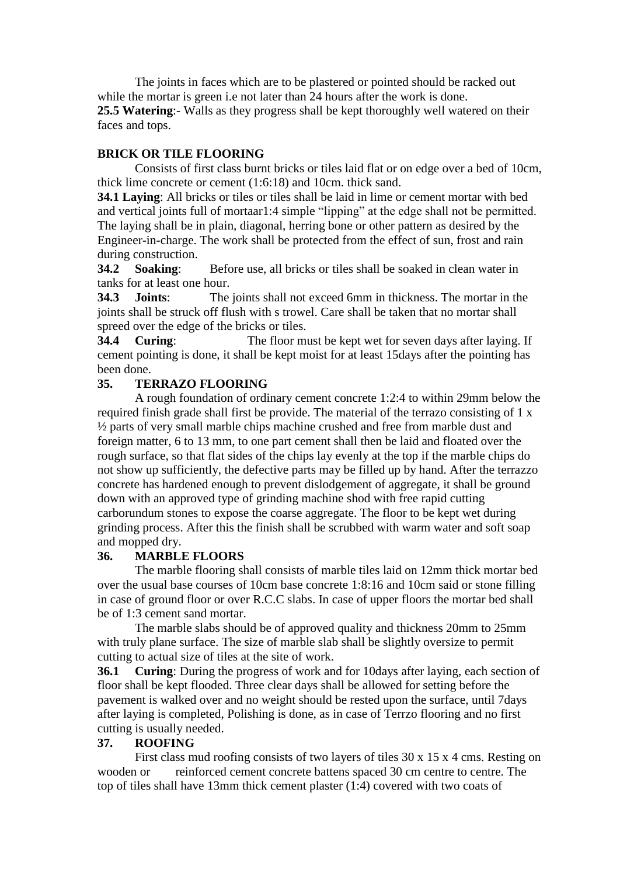The joints in faces which are to be plastered or pointed should be racked out while the mortar is green i.e not later than 24 hours after the work is done. **25.5 Watering**:- Walls as they progress shall be kept thoroughly well watered on their faces and tops.

#### **BRICK OR TILE FLOORING**

Consists of first class burnt bricks or tiles laid flat or on edge over a bed of 10cm, thick lime concrete or cement (1:6:18) and 10cm. thick sand.

**34.1 Laying**: All bricks or tiles or tiles shall be laid in lime or cement mortar with bed and vertical joints full of mortaar1:4 simple "lipping" at the edge shall not be permitted. The laying shall be in plain, diagonal, herring bone or other pattern as desired by the Engineer-in-charge. The work shall be protected from the effect of sun, frost and rain during construction.

**34.2 Soaking**: Before use, all bricks or tiles shall be soaked in clean water in tanks for at least one hour.

**34.3 Joints**: The joints shall not exceed 6mm in thickness. The mortar in the joints shall be struck off flush with s trowel. Care shall be taken that no mortar shall spreed over the edge of the bricks or tiles.

**34.4 Curing**: The floor must be kept wet for seven days after laying. If cement pointing is done, it shall be kept moist for at least 15days after the pointing has been done.

#### **35. TERRAZO FLOORING**

A rough foundation of ordinary cement concrete 1:2:4 to within 29mm below the required finish grade shall first be provide. The material of the terrazo consisting of 1 x ½ parts of very small marble chips machine crushed and free from marble dust and foreign matter, 6 to 13 mm, to one part cement shall then be laid and floated over the rough surface, so that flat sides of the chips lay evenly at the top if the marble chips do not show up sufficiently, the defective parts may be filled up by hand. After the terrazzo concrete has hardened enough to prevent dislodgement of aggregate, it shall be ground down with an approved type of grinding machine shod with free rapid cutting carborundum stones to expose the coarse aggregate. The floor to be kept wet during grinding process. After this the finish shall be scrubbed with warm water and soft soap and mopped dry.

#### **36. MARBLE FLOORS**

The marble flooring shall consists of marble tiles laid on 12mm thick mortar bed over the usual base courses of 10cm base concrete 1:8:16 and 10cm said or stone filling in case of ground floor or over R.C.C slabs. In case of upper floors the mortar bed shall be of 1:3 cement sand mortar.

The marble slabs should be of approved quality and thickness 20mm to 25mm with truly plane surface. The size of marble slab shall be slightly oversize to permit cutting to actual size of tiles at the site of work.

**36.1 Curing**: During the progress of work and for 10days after laying, each section of floor shall be kept flooded. Three clear days shall be allowed for setting before the pavement is walked over and no weight should be rested upon the surface, until 7days after laying is completed, Polishing is done, as in case of Terrzo flooring and no first cutting is usually needed.

#### **37. ROOFING**

First class mud roofing consists of two layers of tiles 30 x 15 x 4 cms. Resting on wooden or reinforced cement concrete battens spaced 30 cm centre to centre. The top of tiles shall have 13mm thick cement plaster (1:4) covered with two coats of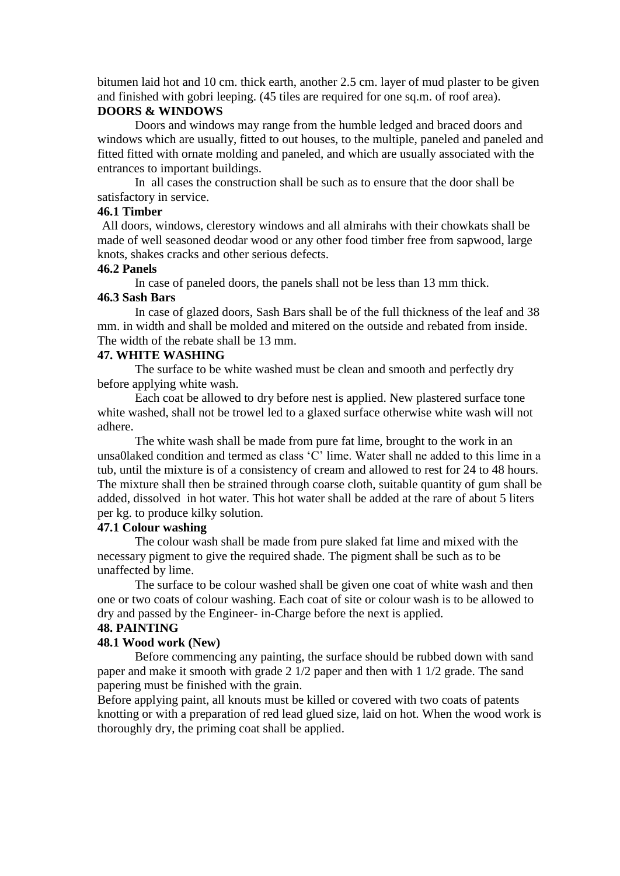bitumen laid hot and 10 cm. thick earth, another 2.5 cm. layer of mud plaster to be given and finished with gobri leeping. (45 tiles are required for one sq.m. of roof area).

#### **DOORS & WINDOWS**

Doors and windows may range from the humble ledged and braced doors and windows which are usually, fitted to out houses, to the multiple, paneled and paneled and fitted fitted with ornate molding and paneled, and which are usually associated with the entrances to important buildings.

In all cases the construction shall be such as to ensure that the door shall be satisfactory in service.

#### **46.1 Timber**

All doors, windows, clerestory windows and all almirahs with their chowkats shall be made of well seasoned deodar wood or any other food timber free from sapwood, large knots, shakes cracks and other serious defects.

#### **46.2 Panels**

In case of paneled doors, the panels shall not be less than 13 mm thick.

#### **46.3 Sash Bars**

In case of glazed doors, Sash Bars shall be of the full thickness of the leaf and 38 mm. in width and shall be molded and mitered on the outside and rebated from inside. The width of the rebate shall be 13 mm.

#### **47. WHITE WASHING**

The surface to be white washed must be clean and smooth and perfectly dry before applying white wash.

Each coat be allowed to dry before nest is applied. New plastered surface tone white washed, shall not be trowel led to a glaxed surface otherwise white wash will not adhere.

The white wash shall be made from pure fat lime, brought to the work in an unsa0laked condition and termed as class "C" lime. Water shall ne added to this lime in a tub, until the mixture is of a consistency of cream and allowed to rest for 24 to 48 hours. The mixture shall then be strained through coarse cloth, suitable quantity of gum shall be added, dissolved in hot water. This hot water shall be added at the rare of about 5 liters per kg. to produce kilky solution.

#### **47.1 Colour washing**

The colour wash shall be made from pure slaked fat lime and mixed with the necessary pigment to give the required shade. The pigment shall be such as to be unaffected by lime.

The surface to be colour washed shall be given one coat of white wash and then one or two coats of colour washing. Each coat of site or colour wash is to be allowed to dry and passed by the Engineer- in-Charge before the next is applied.

#### **48. PAINTING**

#### **48.1 Wood work (New)**

Before commencing any painting, the surface should be rubbed down with sand paper and make it smooth with grade 2 1/2 paper and then with 1 1/2 grade. The sand papering must be finished with the grain.

Before applying paint, all knouts must be killed or covered with two coats of patents knotting or with a preparation of red lead glued size, laid on hot. When the wood work is thoroughly dry, the priming coat shall be applied.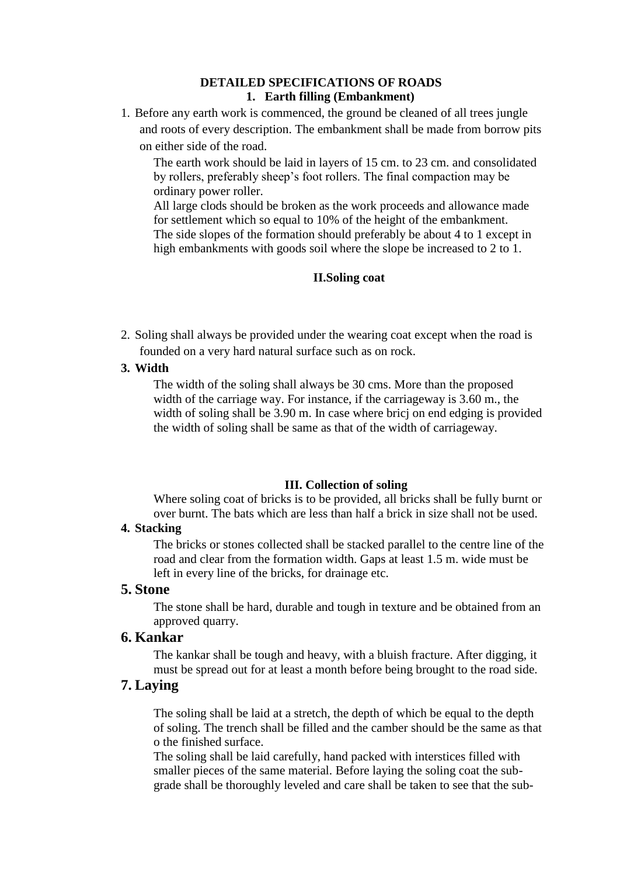#### **DETAILED SPECIFICATIONS OF ROADS 1. Earth filling (Embankment)**

1. Before any earth work is commenced, the ground be cleaned of all trees jungle and roots of every description. The embankment shall be made from borrow pits on either side of the road.

The earth work should be laid in layers of 15 cm. to 23 cm. and consolidated by rollers, preferably sheep"s foot rollers. The final compaction may be ordinary power roller.

All large clods should be broken as the work proceeds and allowance made for settlement which so equal to 10% of the height of the embankment. The side slopes of the formation should preferably be about 4 to 1 except in high embankments with goods soil where the slope be increased to 2 to 1.

#### **II.Soling coat**

- 2. Soling shall always be provided under the wearing coat except when the road is founded on a very hard natural surface such as on rock.
- **3. Width**

The width of the soling shall always be 30 cms. More than the proposed width of the carriage way. For instance, if the carriageway is 3.60 m., the width of soling shall be 3.90 m. In case where bricj on end edging is provided the width of soling shall be same as that of the width of carriageway.

#### **III. Collection of soling**

Where soling coat of bricks is to be provided, all bricks shall be fully burnt or over burnt. The bats which are less than half a brick in size shall not be used.

#### **4. Stacking**

The bricks or stones collected shall be stacked parallel to the centre line of the road and clear from the formation width. Gaps at least 1.5 m. wide must be left in every line of the bricks, for drainage etc.

#### **5. Stone**

The stone shall be hard, durable and tough in texture and be obtained from an approved quarry.

# **6. Kankar**

The kankar shall be tough and heavy, with a bluish fracture. After digging, it must be spread out for at least a month before being brought to the road side.

#### **7. Laying**

The soling shall be laid at a stretch, the depth of which be equal to the depth of soling. The trench shall be filled and the camber should be the same as that o the finished surface.

The soling shall be laid carefully, hand packed with interstices filled with smaller pieces of the same material. Before laying the soling coat the subgrade shall be thoroughly leveled and care shall be taken to see that the sub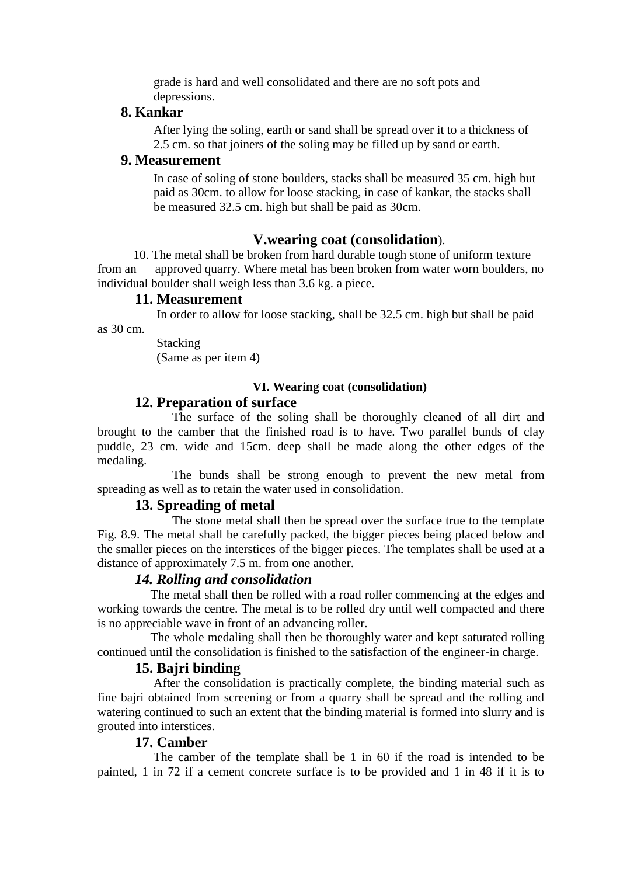grade is hard and well consolidated and there are no soft pots and depressions.

### **8. Kankar**

After lying the soling, earth or sand shall be spread over it to a thickness of 2.5 cm. so that joiners of the soling may be filled up by sand or earth.

#### **9. Measurement**

In case of soling of stone boulders, stacks shall be measured 35 cm. high but paid as 30cm. to allow for loose stacking, in case of kankar, the stacks shall be measured 32.5 cm. high but shall be paid as 30cm.

#### **V.wearing coat (consolidation**).

 10. The metal shall be broken from hard durable tough stone of uniform texture from an approved quarry. Where metal has been broken from water worn boulders, no individual boulder shall weigh less than 3.6 kg. a piece.

#### **11. Measurement**

In order to allow for loose stacking, shall be 32.5 cm. high but shall be paid

as 30 cm.

**Stacking** (Same as per item 4)

#### **VI. Wearing coat (consolidation)**

#### **12. Preparation of surface**

The surface of the soling shall be thoroughly cleaned of all dirt and brought to the camber that the finished road is to have. Two parallel bunds of clay puddle, 23 cm. wide and 15cm. deep shall be made along the other edges of the medaling.

The bunds shall be strong enough to prevent the new metal from spreading as well as to retain the water used in consolidation.

#### **13. Spreading of metal**

The stone metal shall then be spread over the surface true to the template Fig. 8.9. The metal shall be carefully packed, the bigger pieces being placed below and the smaller pieces on the interstices of the bigger pieces. The templates shall be used at a distance of approximately 7.5 m. from one another.

#### *14. Rolling and consolidation*

 The metal shall then be rolled with a road roller commencing at the edges and working towards the centre. The metal is to be rolled dry until well compacted and there is no appreciable wave in front of an advancing roller.

 The whole medaling shall then be thoroughly water and kept saturated rolling continued until the consolidation is finished to the satisfaction of the engineer-in charge.

#### **15. Bajri binding**

 After the consolidation is practically complete, the binding material such as fine bajri obtained from screening or from a quarry shall be spread and the rolling and watering continued to such an extent that the binding material is formed into slurry and is grouted into interstices.

#### **17. Camber**

 The camber of the template shall be 1 in 60 if the road is intended to be painted, 1 in 72 if a cement concrete surface is to be provided and 1 in 48 if it is to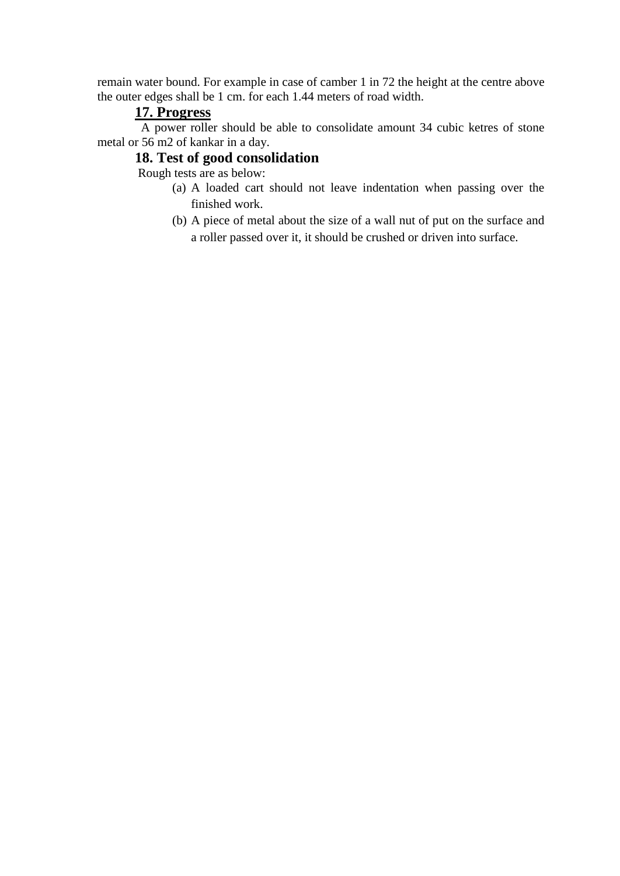remain water bound. For example in case of camber 1 in 72 the height at the centre above the outer edges shall be 1 cm. for each 1.44 meters of road width.

### **17. Progress**

 A power roller should be able to consolidate amount 34 cubic ketres of stone metal or 56 m2 of kankar in a day.

# **18. Test of good consolidation**

Rough tests are as below:

- (a) A loaded cart should not leave indentation when passing over the finished work.
- (b) A piece of metal about the size of a wall nut of put on the surface and a roller passed over it, it should be crushed or driven into surface.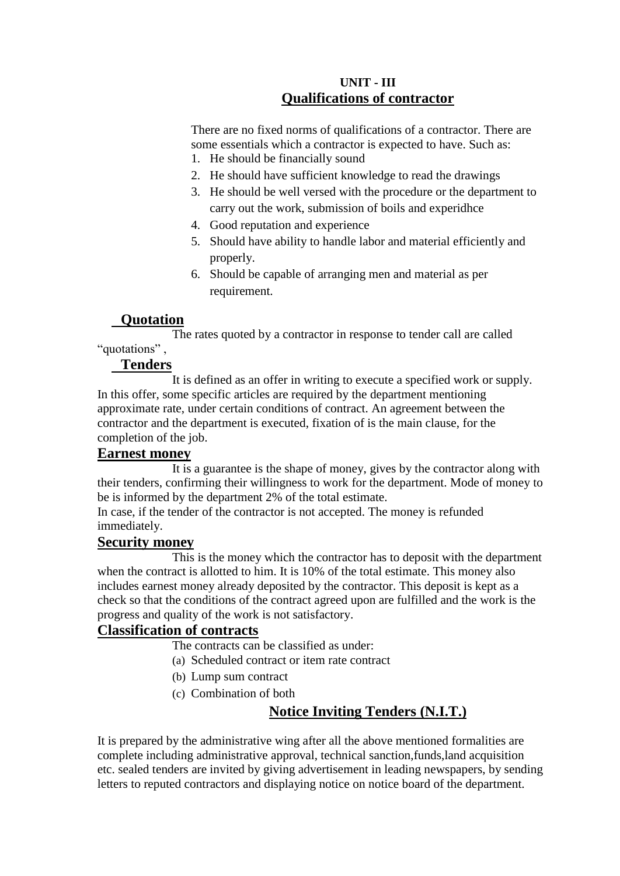# **UNIT - III Qualifications of contractor**

There are no fixed norms of qualifications of a contractor. There are some essentials which a contractor is expected to have. Such as: 1. He should be financially sound

- 
- 2. He should have sufficient knowledge to read the drawings
- 3. He should be well versed with the procedure or the department to carry out the work, submission of boils and experidhce
- 4. Good reputation and experience
- 5. Should have ability to handle labor and material efficiently and properly.
- 6. Should be capable of arranging men and material as per requirement.

# **Quotation**

The rates quoted by a contractor in response to tender call are called "quotations" ,

# **Tenders**

It is defined as an offer in writing to execute a specified work or supply. In this offer, some specific articles are required by the department mentioning approximate rate, under certain conditions of contract. An agreement between the contractor and the department is executed, fixation of is the main clause, for the completion of the job.

# **Earnest money**

It is a guarantee is the shape of money, gives by the contractor along with their tenders, confirming their willingness to work for the department. Mode of money to be is informed by the department 2% of the total estimate.

In case, if the tender of the contractor is not accepted. The money is refunded immediately.

# **Security money**

This is the money which the contractor has to deposit with the department when the contract is allotted to him. It is 10% of the total estimate. This money also includes earnest money already deposited by the contractor. This deposit is kept as a check so that the conditions of the contract agreed upon are fulfilled and the work is the progress and quality of the work is not satisfactory.

# **Classification of contracts**

The contracts can be classified as under:

- (a) Scheduled contract or item rate contract
- (b) Lump sum contract
- (c) Combination of both

# **Notice Inviting Tenders (N.I.T.)**

It is prepared by the administrative wing after all the above mentioned formalities are complete including administrative approval, technical sanction,funds,land acquisition etc. sealed tenders are invited by giving advertisement in leading newspapers, by sending letters to reputed contractors and displaying notice on notice board of the department.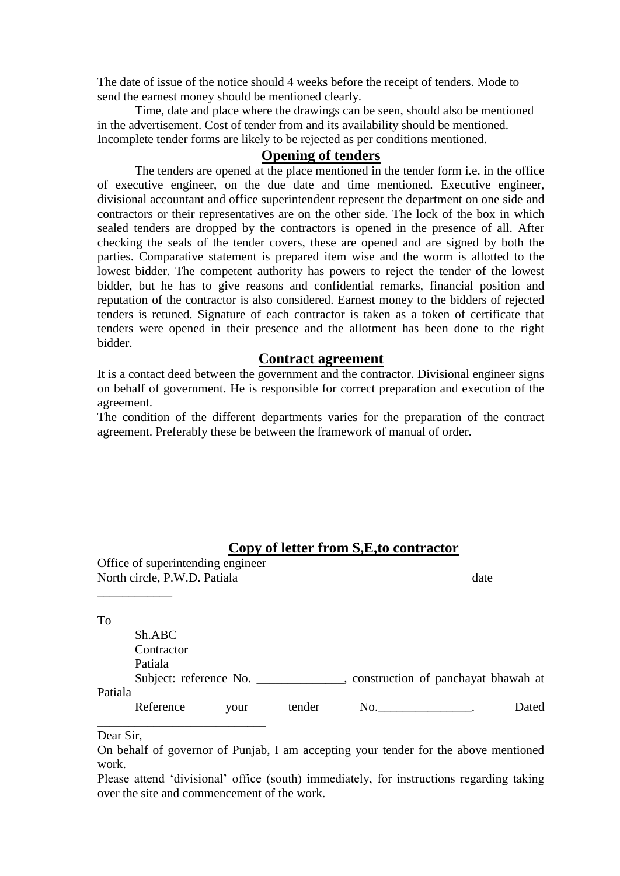The date of issue of the notice should 4 weeks before the receipt of tenders. Mode to send the earnest money should be mentioned clearly.

Time, date and place where the drawings can be seen, should also be mentioned in the advertisement. Cost of tender from and its availability should be mentioned. Incomplete tender forms are likely to be rejected as per conditions mentioned.

#### **Opening of tenders**

The tenders are opened at the place mentioned in the tender form i.e. in the office of executive engineer, on the due date and time mentioned. Executive engineer, divisional accountant and office superintendent represent the department on one side and contractors or their representatives are on the other side. The lock of the box in which sealed tenders are dropped by the contractors is opened in the presence of all. After checking the seals of the tender covers, these are opened and are signed by both the parties. Comparative statement is prepared item wise and the worm is allotted to the lowest bidder. The competent authority has powers to reject the tender of the lowest bidder, but he has to give reasons and confidential remarks, financial position and reputation of the contractor is also considered. Earnest money to the bidders of rejected tenders is retuned. Signature of each contractor is taken as a token of certificate that tenders were opened in their presence and the allotment has been done to the right bidder.

#### **Contract agreement**

It is a contact deed between the government and the contractor. Divisional engineer signs on behalf of government. He is responsible for correct preparation and execution of the agreement.

The condition of the different departments varies for the preparation of the contract agreement. Preferably these be between the framework of manual of order.

# **Copy of letter from S,E,to contractor**

|         | Office of superintending engineer<br>North circle, P.W.D. Patiala | date                   |        |              |                                     |
|---------|-------------------------------------------------------------------|------------------------|--------|--------------|-------------------------------------|
|         |                                                                   |                        |        |              |                                     |
| To      |                                                                   |                        |        |              |                                     |
|         | Sh.ABC                                                            |                        |        |              |                                     |
|         | Contractor                                                        |                        |        |              |                                     |
|         | Patiala                                                           |                        |        |              |                                     |
|         |                                                                   | Subject: reference No. |        | $\mathbf{r}$ | construction of panchayat bhawah at |
| Patiala |                                                                   |                        |        |              |                                     |
|         | Reference                                                         | your                   | tender | No.          | Dated                               |

#### Dear Sir,

On behalf of governor of Punjab, I am accepting your tender for the above mentioned work.

Please attend 'divisional' office (south) immediately, for instructions regarding taking over the site and commencement of the work.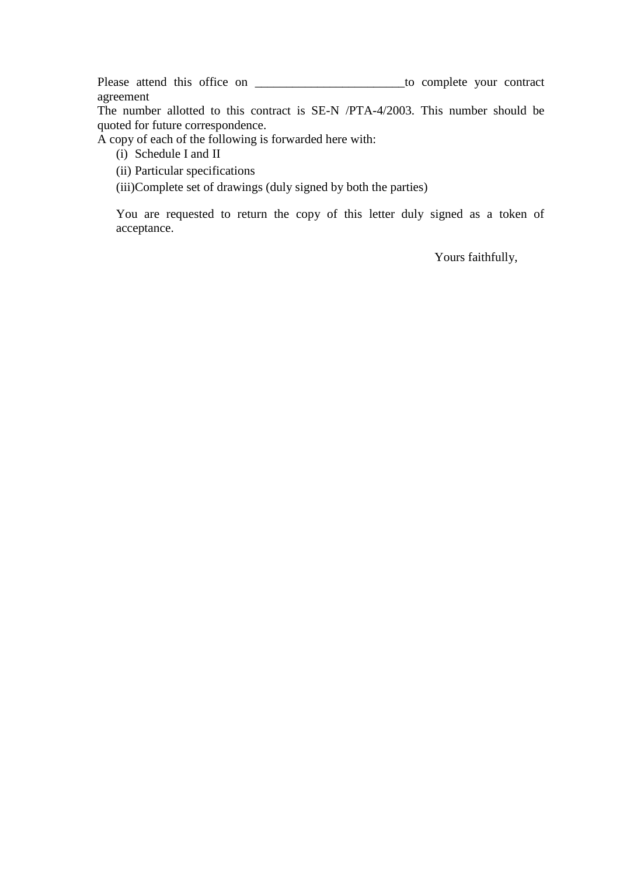Please attend this office on \_\_\_\_\_\_\_\_\_\_\_\_\_\_\_\_\_\_\_\_\_\_\_\_\_\_\_\_\_to complete your contract agreement

The number allotted to this contract is SE-N /PTA-4/2003. This number should be quoted for future correspondence.

A copy of each of the following is forwarded here with:

- (i) Schedule I and II
- (ii) Particular specifications
- (iii)Complete set of drawings (duly signed by both the parties)

You are requested to return the copy of this letter duly signed as a token of acceptance.

Yours faithfully,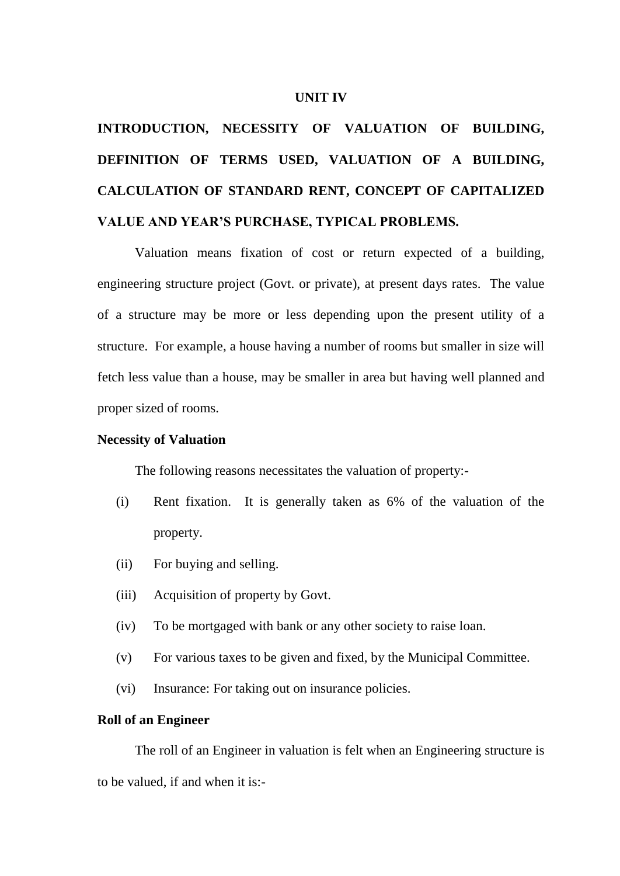#### **UNIT IV**

# **INTRODUCTION, NECESSITY OF VALUATION OF BUILDING, DEFINITION OF TERMS USED, VALUATION OF A BUILDING, CALCULATION OF STANDARD RENT, CONCEPT OF CAPITALIZED VALUE AND YEAR'S PURCHASE, TYPICAL PROBLEMS.**

Valuation means fixation of cost or return expected of a building, engineering structure project (Govt. or private), at present days rates. The value of a structure may be more or less depending upon the present utility of a structure. For example, a house having a number of rooms but smaller in size will fetch less value than a house, may be smaller in area but having well planned and proper sized of rooms.

#### **Necessity of Valuation**

The following reasons necessitates the valuation of property:-

- (i) Rent fixation. It is generally taken as 6% of the valuation of the property.
- (ii) For buying and selling.
- (iii) Acquisition of property by Govt.
- (iv) To be mortgaged with bank or any other society to raise loan.
- (v) For various taxes to be given and fixed, by the Municipal Committee.
- (vi) Insurance: For taking out on insurance policies.

#### **Roll of an Engineer**

The roll of an Engineer in valuation is felt when an Engineering structure is to be valued, if and when it is:-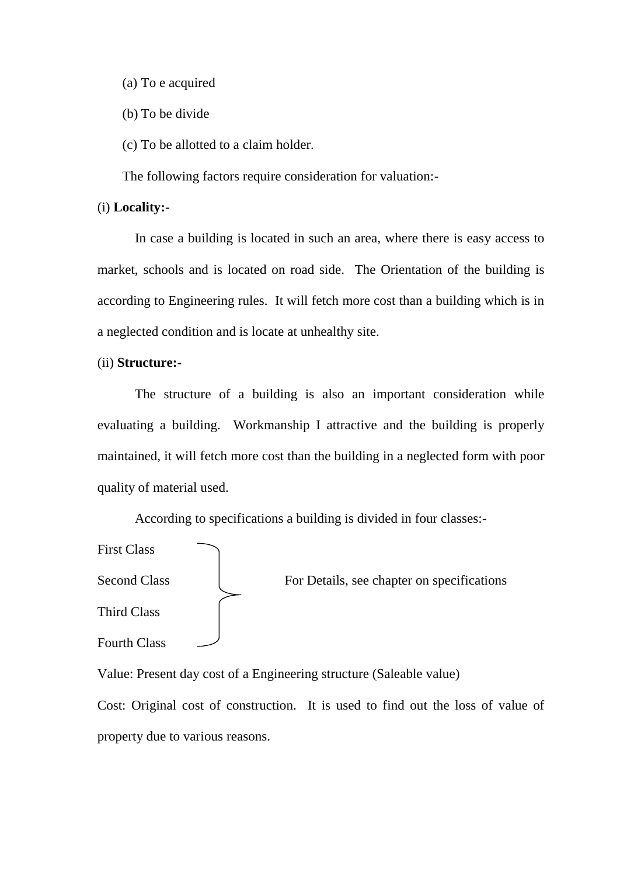(a) To e acquired

(b) To be divide

(c) To be allotted to a claim holder.

The following factors require consideration for valuation:-

#### (i) **Locality:-**

In case a building is located in such an area, where there is easy access to market, schools and is located on road side. The Orientation of the building is according to Engineering rules. It will fetch more cost than a building which is in a neglected condition and is locate at unhealthy site.

#### (ii) **Structure:-**

The structure of a building is also an important consideration while evaluating a building. Workmanship I attractive and the building is properly maintained, it will fetch more cost than the building in a neglected form with poor quality of material used.

According to specifications a building is divided in four classes:-

| <b>First Class</b>  |                                            |
|---------------------|--------------------------------------------|
| <b>Second Class</b> | For Details, see chapter on specifications |
| Third Class         |                                            |
| <b>Fourth Class</b> |                                            |

Value: Present day cost of a Engineering structure (Saleable value)

Cost: Original cost of construction. It is used to find out the loss of value of property due to various reasons.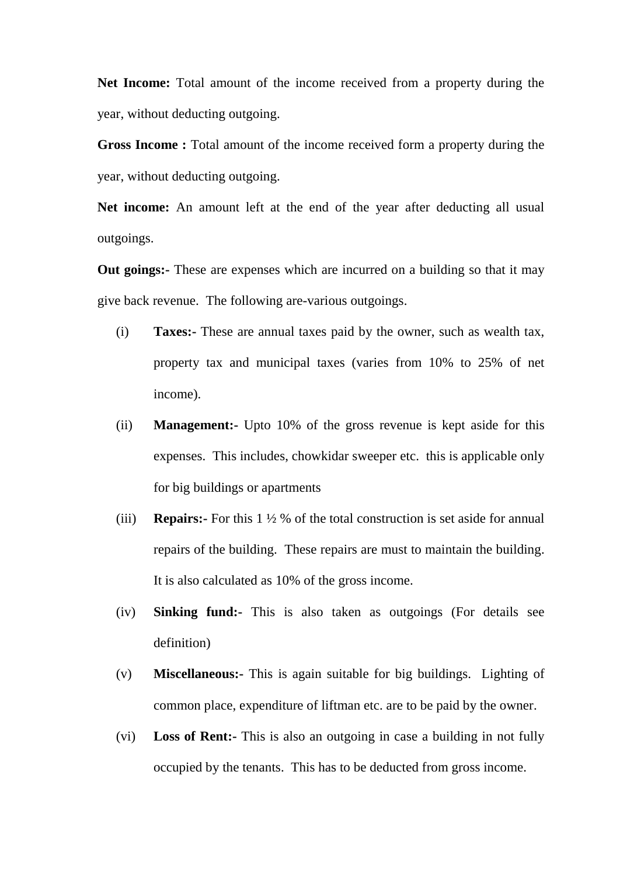**Net Income:** Total amount of the income received from a property during the year, without deducting outgoing.

**Gross Income :** Total amount of the income received form a property during the year, without deducting outgoing.

**Net income:** An amount left at the end of the year after deducting all usual outgoings.

**Out goings:** These are expenses which are incurred on a building so that it may give back revenue. The following are-various outgoings.

- (i) **Taxes:-** These are annual taxes paid by the owner, such as wealth tax, property tax and municipal taxes (varies from 10% to 25% of net income).
- (ii) **Management:-** Upto 10% of the gross revenue is kept aside for this expenses. This includes, chowkidar sweeper etc. this is applicable only for big buildings or apartments
- (iii) **Repairs:-** For this 1 ½ % of the total construction is set aside for annual repairs of the building. These repairs are must to maintain the building. It is also calculated as 10% of the gross income.
- (iv) **Sinking fund:-** This is also taken as outgoings (For details see definition)
- (v) **Miscellaneous:-** This is again suitable for big buildings. Lighting of common place, expenditure of liftman etc. are to be paid by the owner.
- (vi) **Loss of Rent:-** This is also an outgoing in case a building in not fully occupied by the tenants. This has to be deducted from gross income.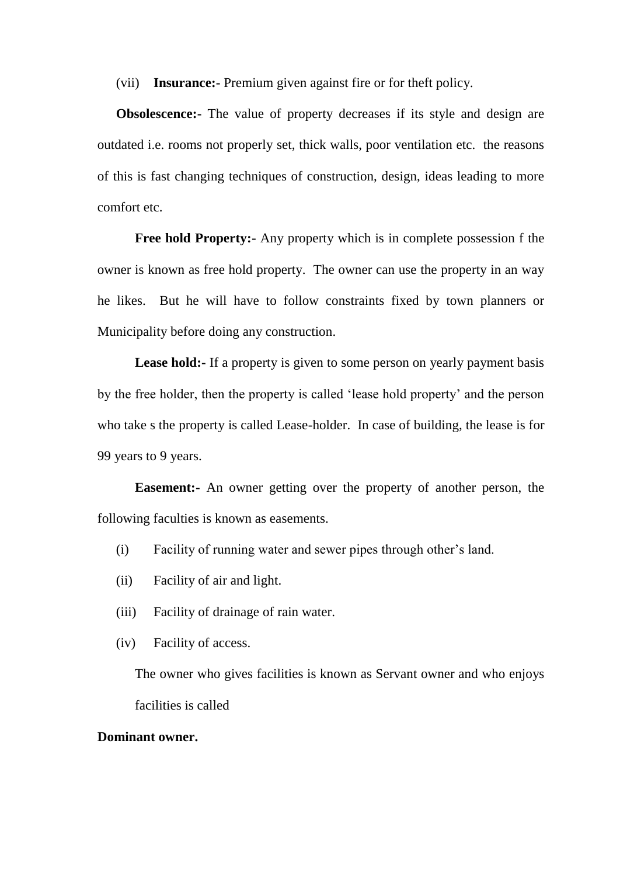(vii) **Insurance:-** Premium given against fire or for theft policy.

**Obsolescence:**- The value of property decreases if its style and design are outdated i.e. rooms not properly set, thick walls, poor ventilation etc. the reasons of this is fast changing techniques of construction, design, ideas leading to more comfort etc.

**Free hold Property:-** Any property which is in complete possession f the owner is known as free hold property. The owner can use the property in an way he likes. But he will have to follow constraints fixed by town planners or Municipality before doing any construction.

Lease hold:- If a property is given to some person on yearly payment basis by the free holder, then the property is called "lease hold property" and the person who take s the property is called Lease-holder. In case of building, the lease is for 99 years to 9 years.

**Easement:-** An owner getting over the property of another person, the following faculties is known as easements.

- (i) Facility of running water and sewer pipes through other"s land.
- (ii) Facility of air and light.
- (iii) Facility of drainage of rain water.
- (iv) Facility of access.

The owner who gives facilities is known as Servant owner and who enjoys facilities is called

#### **Dominant owner.**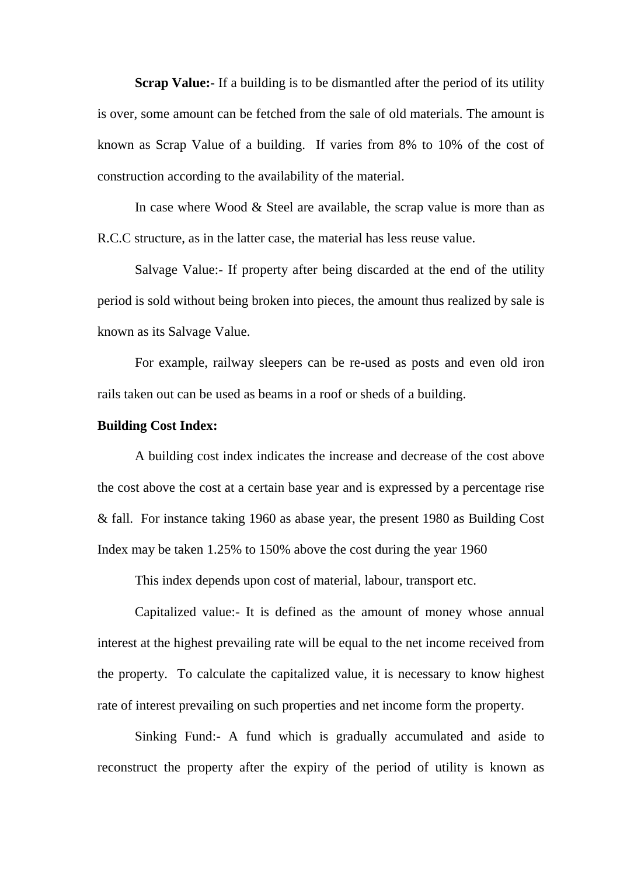**Scrap Value:-** If a building is to be dismantled after the period of its utility is over, some amount can be fetched from the sale of old materials. The amount is known as Scrap Value of a building. If varies from 8% to 10% of the cost of construction according to the availability of the material.

In case where Wood & Steel are available, the scrap value is more than as R.C.C structure, as in the latter case, the material has less reuse value.

Salvage Value:- If property after being discarded at the end of the utility period is sold without being broken into pieces, the amount thus realized by sale is known as its Salvage Value.

For example, railway sleepers can be re-used as posts and even old iron rails taken out can be used as beams in a roof or sheds of a building.

#### **Building Cost Index:**

A building cost index indicates the increase and decrease of the cost above the cost above the cost at a certain base year and is expressed by a percentage rise & fall. For instance taking 1960 as abase year, the present 1980 as Building Cost Index may be taken 1.25% to 150% above the cost during the year 1960

This index depends upon cost of material, labour, transport etc.

Capitalized value:- It is defined as the amount of money whose annual interest at the highest prevailing rate will be equal to the net income received from the property. To calculate the capitalized value, it is necessary to know highest rate of interest prevailing on such properties and net income form the property.

Sinking Fund:- A fund which is gradually accumulated and aside to reconstruct the property after the expiry of the period of utility is known as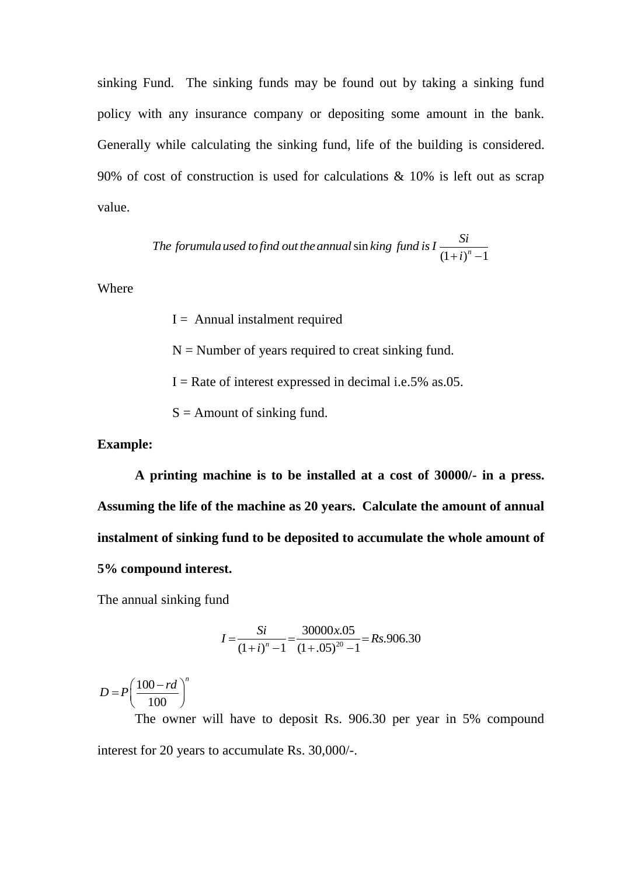sinking Fund. The sinking funds may be found out by taking a sinking fund policy with any insurance company or depositing some amount in the bank. Generally while calculating the sinking fund, life of the building is considered. 90% of cost of construction is used for calculations & 10% is left out as scrap value.

The formula used to find out the annual sin king fund is 
$$
I \frac{Si}{(1+i)^n - 1}
$$

Where

 $I =$  Annual instalment required

 $N =$  Number of years required to creat sinking fund.

 $I =$ Rate of interest expressed in decimal i.e.5% as.05.

 $S =$  Amount of sinking fund.

**Example:**

**A printing machine is to be installed at a cost of 30000/- in a press. Assuming the life of the machine as 20 years. Calculate the amount of annual instalment of sinking fund to be deposited to accumulate the whole amount of 5% compound interest.** 

The annual sinking fund

$$
I = \frac{Si}{(1+i)^n - 1} = \frac{30000x.05}{(1+.05)^{20} - 1} = Rs.906.30
$$

100 100  $D = P\left(\frac{100 - rd}{100}\right)^n$  $= P\left(\frac{100/7a}{100}\right)$ 

The owner will have to deposit Rs. 906.30 per year in 5% compound interest for 20 years to accumulate Rs. 30,000/-.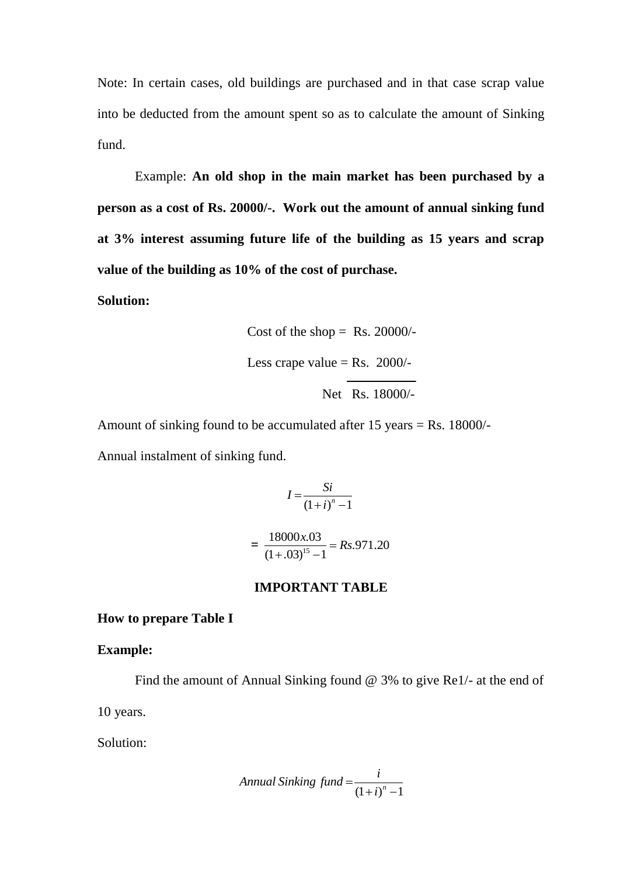Note: In certain cases, old buildings are purchased and in that case scrap value into be deducted from the amount spent so as to calculate the amount of Sinking fund.

Example: **An old shop in the main market has been purchased by a person as a cost of Rs. 20000/-. Work out the amount of annual sinking fund at 3% interest assuming future life of the building as 15 years and scrap value of the building as 10% of the cost of purchase.** 

**Solution:**

Cost of the shop = Rs. 20000/  
Less crape value = Rs. 2000/
$$
\sqrt{\frac{1.88 \times 18000}{1.5 \times 18000}}
$$

Amount of sinking found to be accumulated after 15 years = Rs. 18000/- Annual instalment of sinking fund.

$$
I = \frac{Si}{(1+i)^n - 1}
$$

$$
= \frac{18000x.03}{(1+.03)^{15} - 1} = Rs.971.20
$$

#### **IMPORTANT TABLE**

#### **How to prepare Table I**

#### **Example:**

Find the amount of Annual Sinking found @ 3% to give Re1/- at the end of

10 years.

Solution:

$$
Annual\,\,, find = \frac{i}{(1+i)^n - 1}
$$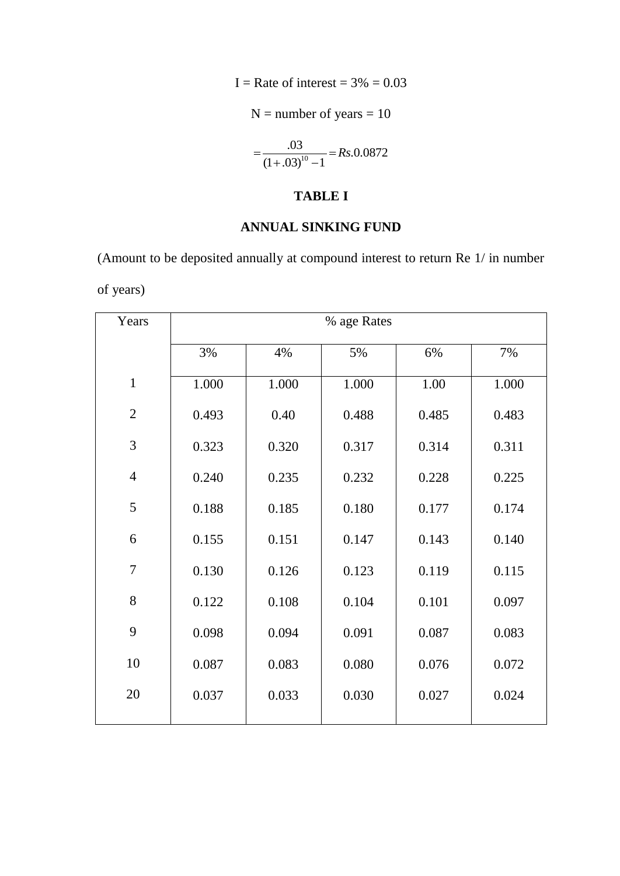I = Rate of interest =  $3\% = 0.03$ 

 $N =$  number of years  $= 10$ 

 $\frac{.03}{22^{10}-1}$  = Rs.0.0872  $\frac{165}{(1+.03)^{10}-1}$  $=\frac{.03}{(1+.02)^{10} - 1}$  = Rs.  $\frac{103}{(100-1)^{10}-1} =$ 

# **TABLE I**

# **ANNUAL SINKING FUND**

(Amount to be deposited annually at compound interest to return Re 1/ in number of years)

| Years          | % age Rates |       |       |       |       |  |  |
|----------------|-------------|-------|-------|-------|-------|--|--|
|                | 3%          | 4%    | 5%    | 6%    | 7%    |  |  |
| $\mathbf{1}$   | 1.000       | 1.000 | 1.000 | 1.00  | 1.000 |  |  |
| $\overline{2}$ | 0.493       | 0.40  | 0.488 | 0.485 | 0.483 |  |  |
| 3              | 0.323       | 0.320 | 0.317 | 0.314 | 0.311 |  |  |
| $\overline{4}$ | 0.240       | 0.235 | 0.232 | 0.228 | 0.225 |  |  |
| 5              | 0.188       | 0.185 | 0.180 | 0.177 | 0.174 |  |  |
| 6              | 0.155       | 0.151 | 0.147 | 0.143 | 0.140 |  |  |
| $\overline{7}$ | 0.130       | 0.126 | 0.123 | 0.119 | 0.115 |  |  |
| 8              | 0.122       | 0.108 | 0.104 | 0.101 | 0.097 |  |  |
| 9              | 0.098       | 0.094 | 0.091 | 0.087 | 0.083 |  |  |
| 10             | 0.087       | 0.083 | 0.080 | 0.076 | 0.072 |  |  |
| 20             | 0.037       | 0.033 | 0.030 | 0.027 | 0.024 |  |  |
|                |             |       |       |       |       |  |  |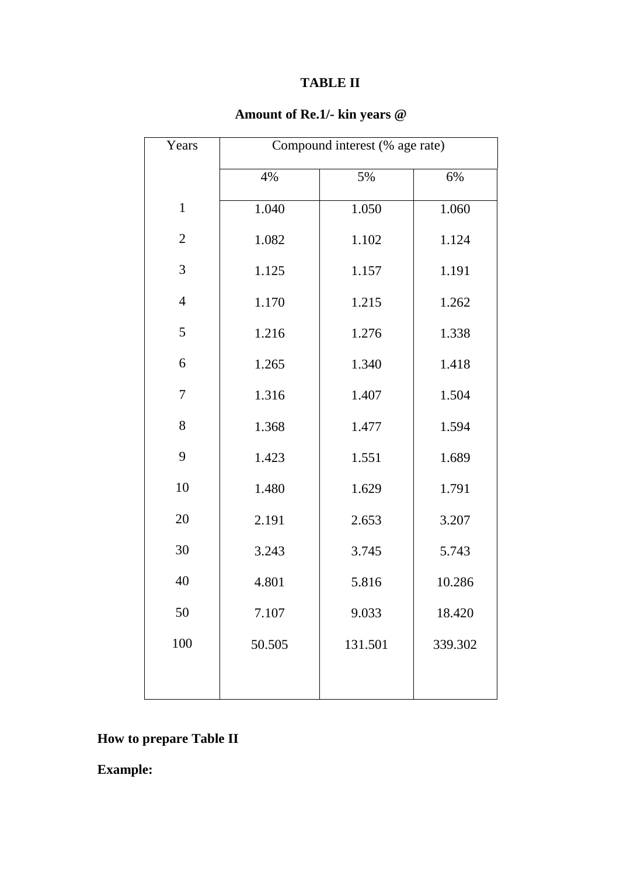# **TABLE II**

# **Amount of Re.1/- kin years @**

| Years          | Compound interest (% age rate) |         |         |  |  |
|----------------|--------------------------------|---------|---------|--|--|
|                | 4%                             | 5%      | 6%      |  |  |
| $\mathbf{1}$   | 1.040                          | 1.050   | 1.060   |  |  |
| $\overline{2}$ | 1.082                          | 1.102   | 1.124   |  |  |
| 3              | 1.125                          | 1.157   | 1.191   |  |  |
| $\overline{4}$ | 1.170                          | 1.215   | 1.262   |  |  |
| 5              | 1.216                          | 1.276   | 1.338   |  |  |
| 6              | 1.265                          | 1.340   | 1.418   |  |  |
| $\tau$         | 1.316                          | 1.407   | 1.504   |  |  |
| 8              | 1.368                          | 1.477   | 1.594   |  |  |
| 9              | 1.423                          | 1.551   | 1.689   |  |  |
| 10             | 1.480                          | 1.629   | 1.791   |  |  |
| 20             | 2.191                          | 2.653   | 3.207   |  |  |
| 30             | 3.243                          | 3.745   | 5.743   |  |  |
| 40             | 4.801                          | 5.816   | 10.286  |  |  |
| 50             | 7.107                          | 9.033   | 18.420  |  |  |
| 100            | 50.505                         | 131.501 | 339.302 |  |  |
|                |                                |         |         |  |  |

# **How to prepare Table II**

**Example:**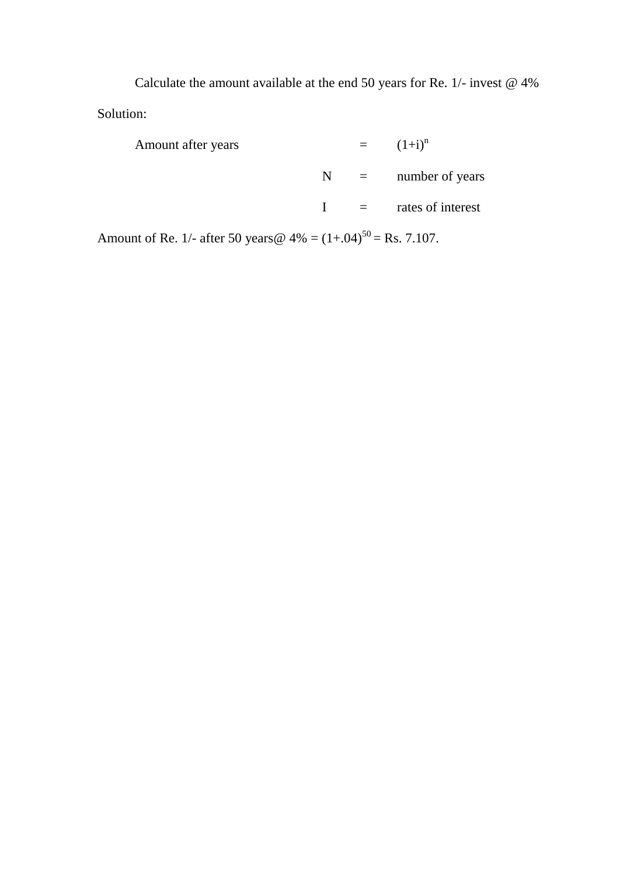Calculate the amount available at the end 50 years for Re. 1/- invest @ 4% Solution:

Amount after years  $=$   $(1+i)^n$  $N =$  number of years I = rates of interest

Amount of Re. 1/- after 50 years @  $4\% = (1+.04)^{50} = \text{Rs. } 7.107$ .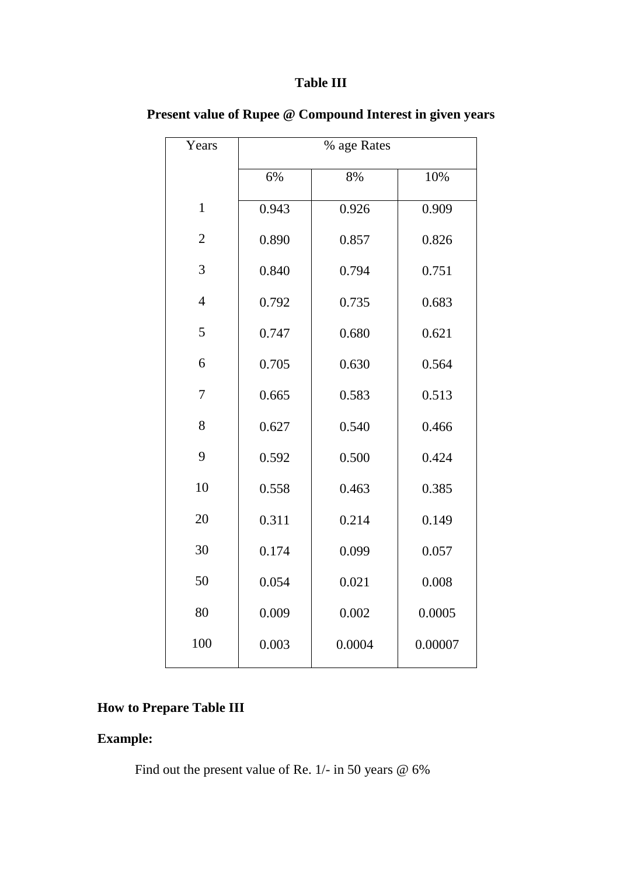# **Table III**

| Years          | % age Rates |        |         |  |  |
|----------------|-------------|--------|---------|--|--|
|                | 6%          | 8%     | 10%     |  |  |
| $\mathbf{1}$   | 0.943       | 0.926  | 0.909   |  |  |
| $\overline{2}$ | 0.890       | 0.857  | 0.826   |  |  |
| 3              | 0.840       | 0.794  | 0.751   |  |  |
| $\overline{4}$ | 0.792       | 0.735  | 0.683   |  |  |
| 5              | 0.747       | 0.680  | 0.621   |  |  |
| 6              | 0.705       | 0.630  | 0.564   |  |  |
| $\overline{7}$ | 0.665       | 0.583  | 0.513   |  |  |
| 8              | 0.627       | 0.540  | 0.466   |  |  |
| 9              | 0.592       | 0.500  | 0.424   |  |  |
| 10             | 0.558       | 0.463  | 0.385   |  |  |
| 20             | 0.311       | 0.214  | 0.149   |  |  |
| 30             | 0.174       | 0.099  | 0.057   |  |  |
| 50             | 0.054       | 0.021  | 0.008   |  |  |
| 80             | 0.009       | 0.002  | 0.0005  |  |  |
| 100            | 0.003       | 0.0004 | 0.00007 |  |  |

**Present value of Rupee @ Compound Interest in given years**

# **How to Prepare Table III**

# **Example:**

Find out the present value of Re. 1/- in 50 years @ 6%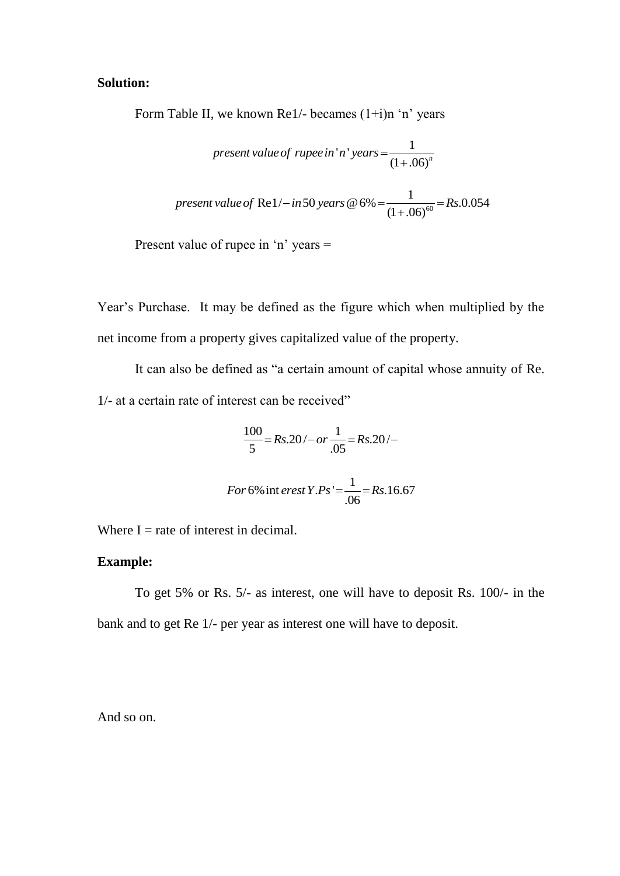### **Solution:**

Form Table II, we known Re1/- becames  $(1+i)n$  'n' years

present value of rupee in' n' years = 
$$
\frac{1}{(1+.06)^n}
$$
present value of Re1/- in 50 years @ 6% = 
$$
\frac{1}{(1+.06)^{60}} = Rs.0.054
$$

Present value of rupee in 'n' years  $=$ 

Year"s Purchase. It may be defined as the figure which when multiplied by the net income from a property gives capitalized value of the property.

It can also be defined as "a certain amount of capital whose annuity of Re. 1/- at a certain rate of interest can be received"

$$
\frac{100}{5} = Rs.20 / - or \frac{1}{.05} = Rs.20 / -
$$

$$
For 6\% \text{ int }erset \ Y.Ps' = \frac{1}{.06} = Rs.16.67
$$

Where  $I =$  rate of interest in decimal.

#### **Example:**

To get 5% or Rs. 5/- as interest, one will have to deposit Rs. 100/- in the bank and to get Re 1/- per year as interest one will have to deposit.

And so on.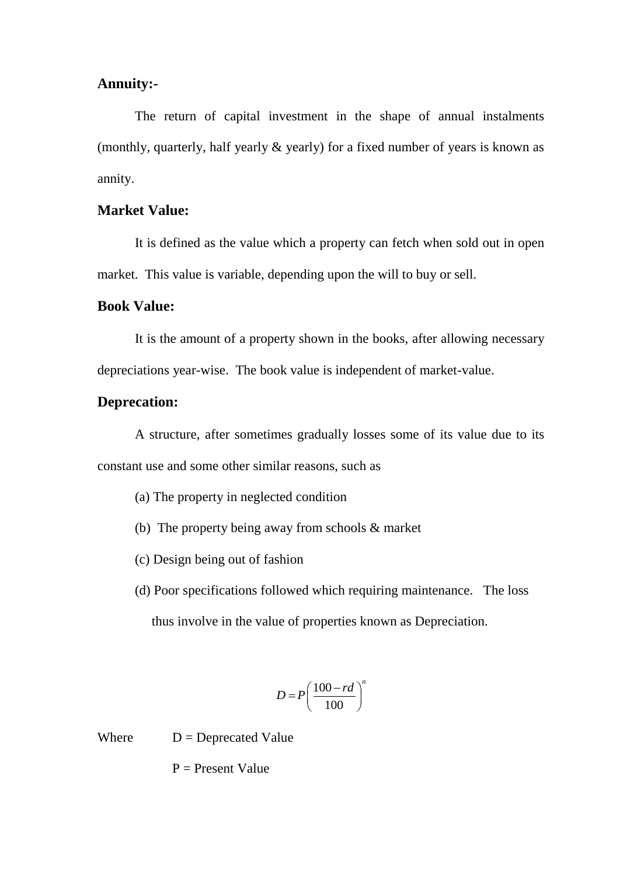# **Annuity:-**

The return of capital investment in the shape of annual instalments (monthly, quarterly, half yearly & yearly) for a fixed number of years is known as annity.

### **Market Value:**

It is defined as the value which a property can fetch when sold out in open market. This value is variable, depending upon the will to buy or sell.

## **Book Value:**

It is the amount of a property shown in the books, after allowing necessary depreciations year-wise. The book value is independent of market-value.

#### **Deprecation:**

A structure, after sometimes gradually losses some of its value due to its constant use and some other similar reasons, such as

- (a) The property in neglected condition
- (b) The property being away from schools & market
- (c) Design being out of fashion
- (d) Poor specifications followed which requiring maintenance. The loss thus involve in the value of properties known as Depreciation.

$$
D = P \left(\frac{100 - rd}{100}\right)^n
$$

Where  $D = Deprecated Value$ 

 $P =$  Present Value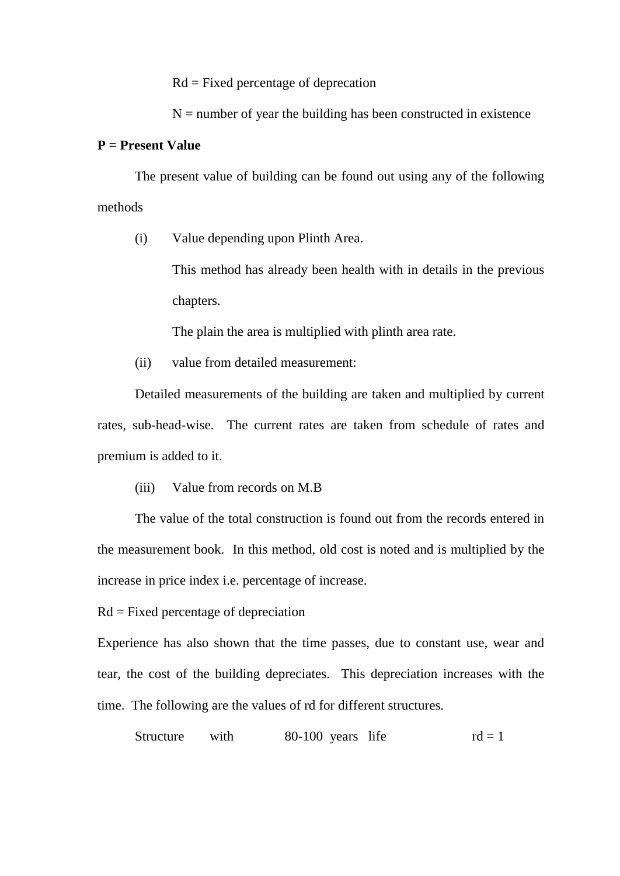Rd = Fixed percentage of deprecation

 $N =$  number of year the building has been constructed in existence

#### **P = Present Value**

The present value of building can be found out using any of the following methods

(i) Value depending upon Plinth Area.

This method has already been health with in details in the previous chapters.

The plain the area is multiplied with plinth area rate.

(ii) value from detailed measurement:

Detailed measurements of the building are taken and multiplied by current rates, sub-head-wise. The current rates are taken from schedule of rates and premium is added to it.

(iii) Value from records on M.B

The value of the total construction is found out from the records entered in the measurement book. In this method, old cost is noted and is multiplied by the increase in price index i.e. percentage of increase.

Rd = Fixed percentage of depreciation

Experience has also shown that the time passes, due to constant use, wear and tear, the cost of the building depreciates. This depreciation increases with the time. The following are the values of rd for different structures.

Structure with  $80-100$  years life  $rd = 1$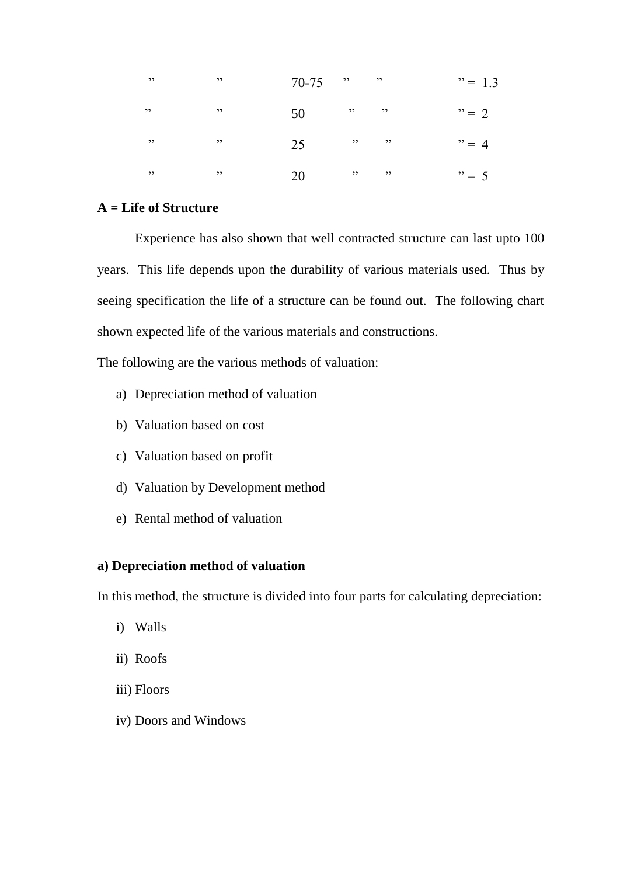|                          | $\overline{\phantom{a}}$ | $70-75$ "            |  | $" = 1.3$ |
|--------------------------|--------------------------|----------------------|--|-----------|
| , ,                      | $\overline{\phantom{a}}$ | $50 \qquad$ "        |  | $"=2$     |
| $\overline{\phantom{a}}$ | $\overline{\phantom{a}}$ |                      |  | $"=4$     |
| $\overline{\phantom{a}}$ | $\overline{\phantom{a}}$ | $20 \qquad \qquad$ " |  | $" = 5$   |

#### **A = Life of Structure**

Experience has also shown that well contracted structure can last upto 100 years. This life depends upon the durability of various materials used. Thus by seeing specification the life of a structure can be found out. The following chart shown expected life of the various materials and constructions.

The following are the various methods of valuation:

- a) Depreciation method of valuation
- b) Valuation based on cost
- c) Valuation based on profit
- d) Valuation by Development method
- e) Rental method of valuation

#### **a) Depreciation method of valuation**

In this method, the structure is divided into four parts for calculating depreciation:

- i) Walls
- ii) Roofs
- iii) Floors
- iv) Doors and Windows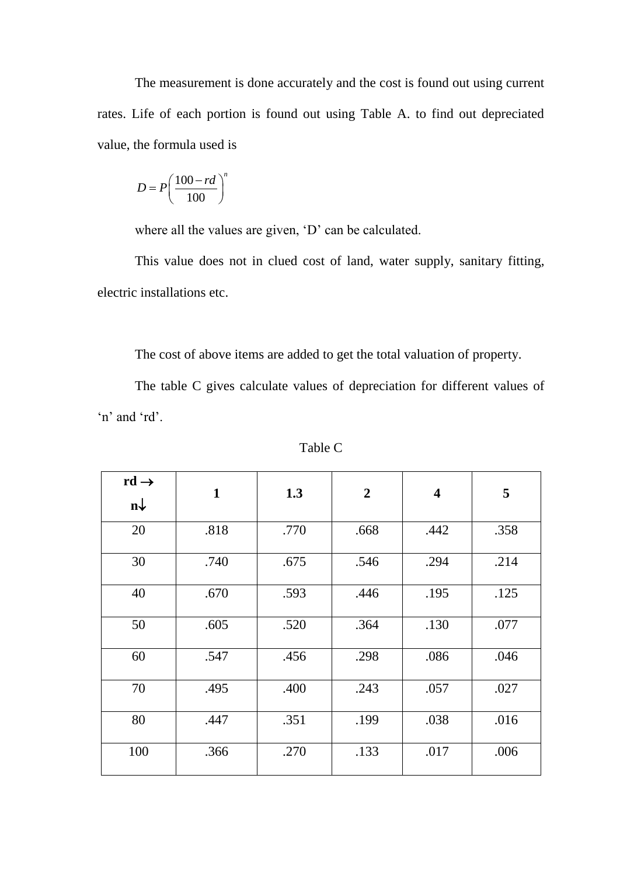The measurement is done accurately and the cost is found out using current rates. Life of each portion is found out using Table A. to find out depreciated value, the formula used is

$$
D = P\left(\frac{100 - rd}{100}\right)^n
$$

where all the values are given, 'D' can be calculated.

This value does not in clued cost of land, water supply, sanitary fitting, electric installations etc.

The cost of above items are added to get the total valuation of property.

The table C gives calculate values of depreciation for different values of 'n' and 'rd'.

| $rd \rightarrow$ |              |      |                |                         |      |
|------------------|--------------|------|----------------|-------------------------|------|
| $n\downarrow$    | $\mathbf{1}$ | 1.3  | $\overline{2}$ | $\overline{\mathbf{4}}$ | 5    |
| 20               | .818         | .770 | .668           | .442                    | .358 |
| 30               | .740         | .675 | .546           | .294                    | .214 |
| 40               | .670         | .593 | .446           | .195                    | .125 |
| 50               | .605         | .520 | .364           | .130                    | .077 |
| 60               | .547         | .456 | .298           | .086                    | .046 |
| 70               | .495         | .400 | .243           | .057                    | .027 |
| 80               | .447         | .351 | .199           | .038                    | .016 |
| 100              | .366         | .270 | .133           | .017                    | .006 |

Table C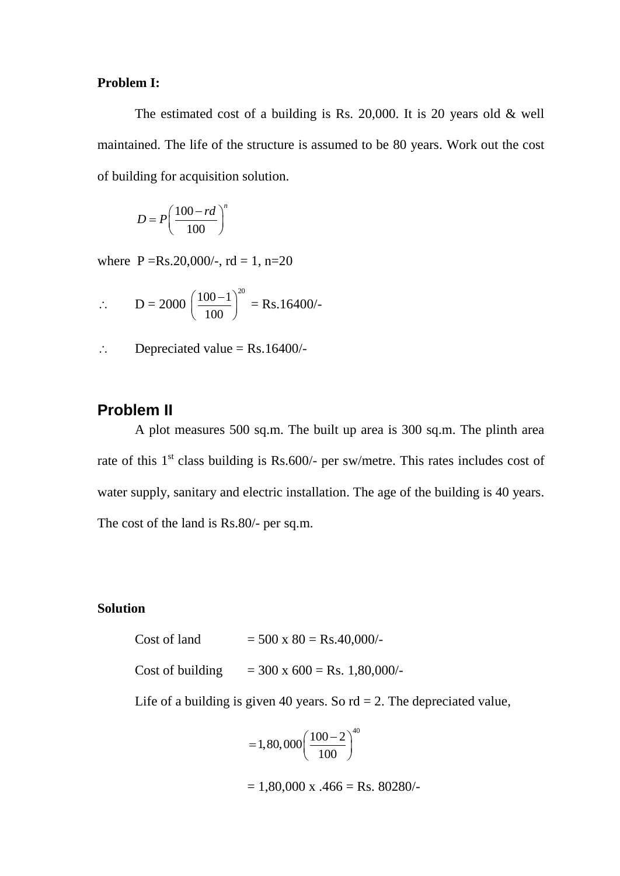#### **Problem I:**

The estimated cost of a building is Rs. 20,000. It is 20 years old & well maintained. The life of the structure is assumed to be 80 years. Work out the cost of building for acquisition solution.

$$
D = P\left(\frac{100 - rd}{100}\right)^n
$$

where  $P = Rs.20,000/$ -,  $rd = 1, n=20$ 

$$
\therefore \qquad D = 2000 \left( \frac{100 - 1}{100} \right)^{20} = \text{Rs.16400/}
$$

 $\therefore$  Depreciated value = Rs.16400/-

# **Problem II**

A plot measures 500 sq.m. The built up area is 300 sq.m. The plinth area rate of this  $1<sup>st</sup>$  class building is Rs.600/- per sw/metre. This rates includes cost of water supply, sanitary and electric installation. The age of the building is 40 years. The cost of the land is Rs.80/- per sq.m.

#### **Solution**

Cost of land  $= 500 \times 80 = \text{Rs}.40,000/$ -

Cost of building  $= 300 \times 600 = \text{Rs. } 1,80,000/$ -

Life of a building is given 40 years. So  $\text{rd} = 2$ . The depreciated value,

$$
=1,80,000\left(\frac{100-2}{100}\right)^{40}
$$

 $= 1,80,000 \text{ x } .466 = \text{Rs. }80280/-$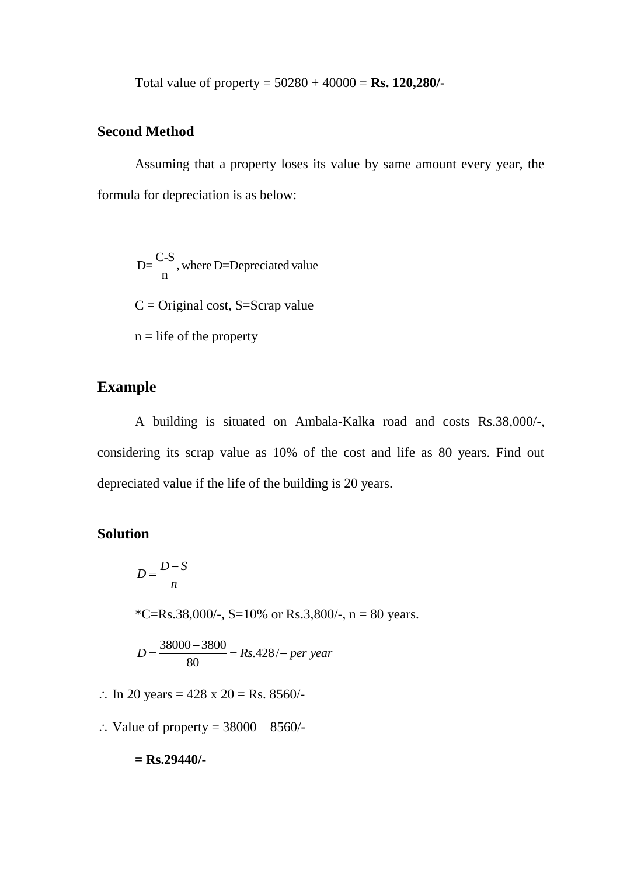Total value of property = 50280 + 40000 = **Rs. 120,280/-**

# **Second Method**

Assuming that a property loses its value by same amount every year, the formula for depreciation is as below:

 $D=\frac{C-S}{n}$ , where D=Depreciated value  $C = Original cost, S = Scrap value$  $n =$  life of the property

# **Example**

A building is situated on Ambala-Kalka road and costs Rs.38,000/-, considering its scrap value as 10% of the cost and life as 80 years. Find out depreciated value if the life of the building is 20 years.

# **Solution**

$$
D = \frac{D - S}{n}
$$

\*C=Rs.38,000/-, S=10% or Rs.3,800/-, n = 80 years.

$$
D = \frac{38000 - 3800}{80} = Rs.428 / - per year
$$

- :. In 20 years =  $428 \times 20 = \text{Rs. } 8560/$ -
- $\therefore$  Value of property = 38000 8560/-

**= Rs.29440/-**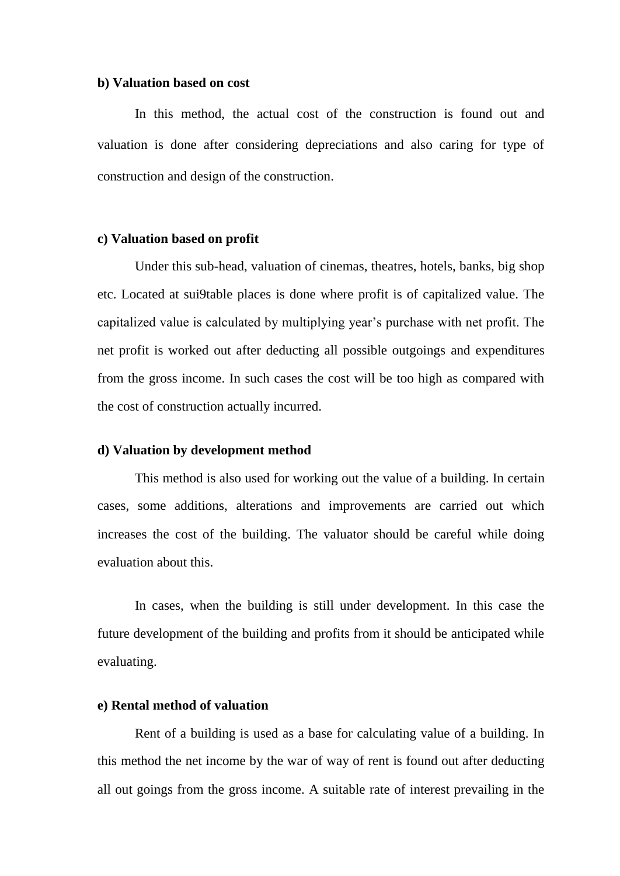#### **b) Valuation based on cost**

In this method, the actual cost of the construction is found out and valuation is done after considering depreciations and also caring for type of construction and design of the construction.

#### **c) Valuation based on profit**

Under this sub-head, valuation of cinemas, theatres, hotels, banks, big shop etc. Located at sui9table places is done where profit is of capitalized value. The capitalized value is calculated by multiplying year"s purchase with net profit. The net profit is worked out after deducting all possible outgoings and expenditures from the gross income. In such cases the cost will be too high as compared with the cost of construction actually incurred.

#### **d) Valuation by development method**

This method is also used for working out the value of a building. In certain cases, some additions, alterations and improvements are carried out which increases the cost of the building. The valuator should be careful while doing evaluation about this.

In cases, when the building is still under development. In this case the future development of the building and profits from it should be anticipated while evaluating.

#### **e) Rental method of valuation**

Rent of a building is used as a base for calculating value of a building. In this method the net income by the war of way of rent is found out after deducting all out goings from the gross income. A suitable rate of interest prevailing in the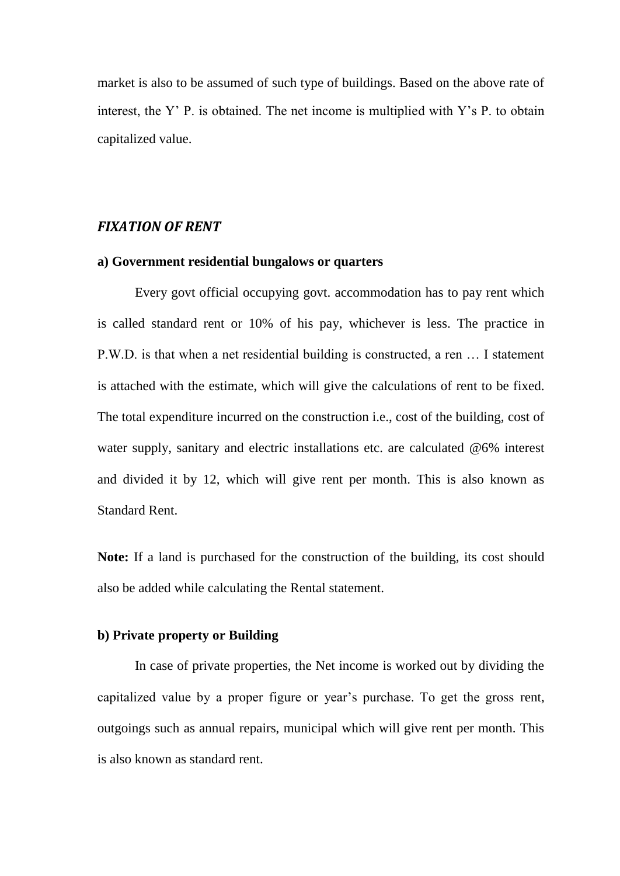market is also to be assumed of such type of buildings. Based on the above rate of interest, the Y" P. is obtained. The net income is multiplied with Y"s P. to obtain capitalized value.

#### *FIXATION OF RENT*

#### **a) Government residential bungalows or quarters**

Every govt official occupying govt. accommodation has to pay rent which is called standard rent or 10% of his pay, whichever is less. The practice in P.W.D. is that when a net residential building is constructed, a ren … I statement is attached with the estimate, which will give the calculations of rent to be fixed. The total expenditure incurred on the construction i.e., cost of the building, cost of water supply, sanitary and electric installations etc. are calculated @6% interest and divided it by 12, which will give rent per month. This is also known as Standard Rent.

**Note:** If a land is purchased for the construction of the building, its cost should also be added while calculating the Rental statement.

# **b) Private property or Building**

In case of private properties, the Net income is worked out by dividing the capitalized value by a proper figure or year"s purchase. To get the gross rent, outgoings such as annual repairs, municipal which will give rent per month. This is also known as standard rent.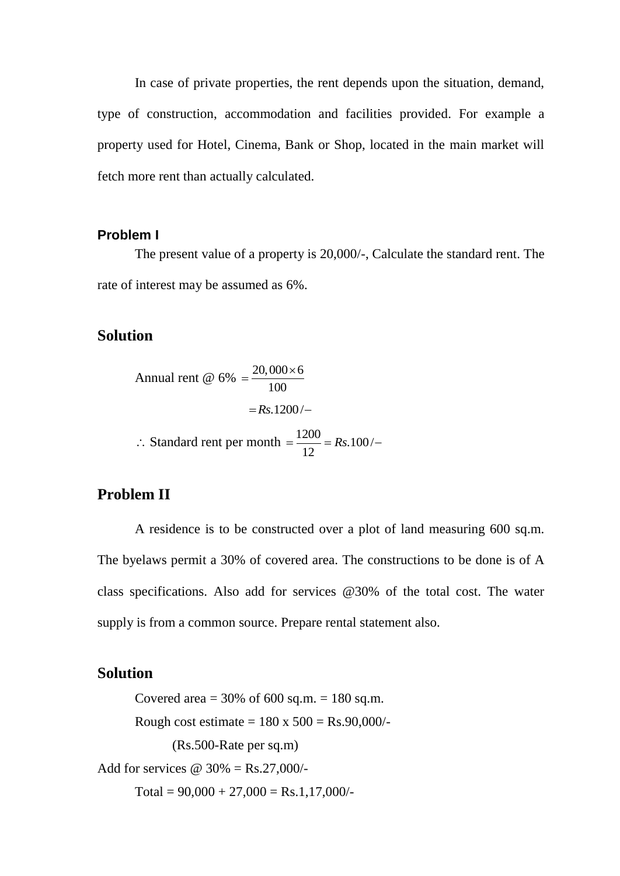In case of private properties, the rent depends upon the situation, demand, type of construction, accommodation and facilities provided. For example a property used for Hotel, Cinema, Bank or Shop, located in the main market will fetch more rent than actually calculated.

#### **Problem I**

The present value of a property is 20,000/-, Calculate the standard rent. The rate of interest may be assumed as 6%.

# **Solution**

Annual rent @  $6\% = \frac{20,000 \times 6}{100}$ 100  $=\frac{20,000\times}{100}$  $=Rs.1200/ \therefore$  Standard rent per month  $=\frac{1200}{12}$  = Rs.100/ 12  $=\frac{1200}{12}$  = Rs.100/-

# **Problem II**

A residence is to be constructed over a plot of land measuring 600 sq.m. The byelaws permit a 30% of covered area. The constructions to be done is of A class specifications. Also add for services @30% of the total cost. The water supply is from a common source. Prepare rental statement also.

#### **Solution**

Covered area  $=$  30% of 600 sq.m.  $=$  180 sq.m. Rough cost estimate =  $180 \times 500 = \text{Rs}.90,000/$ -(Rs.500-Rate per sq.m) Add for services  $\omega$  30% = Rs.27,000/- $Total = 90,000 + 27,000 = Rs.1,17,000/$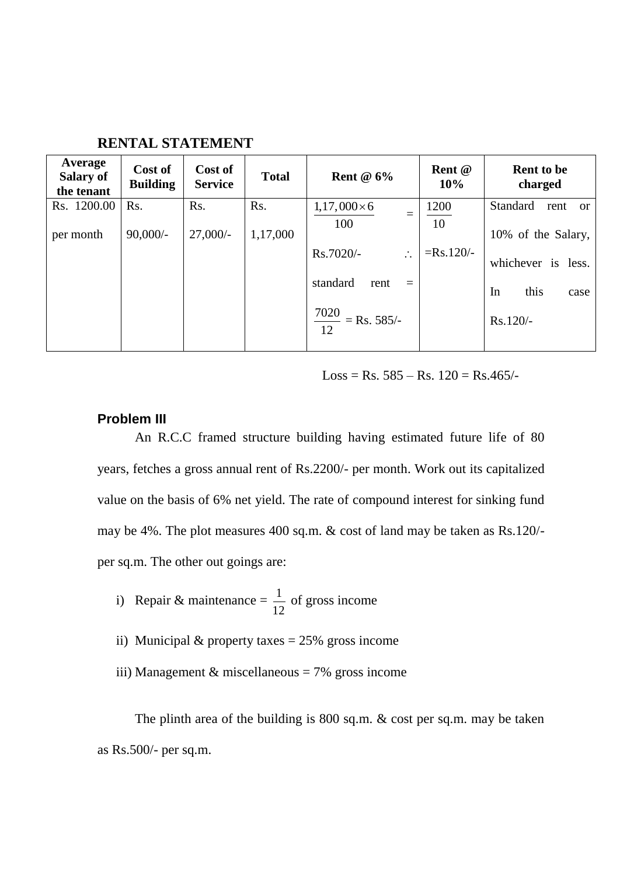| Average<br>Salary of<br>the tenant | Cost of<br><b>Building</b> | Cost of<br><b>Service</b> | <b>Total</b> | Rent $@6\%$                                                                                                      | Rent @<br>10%     | <b>Rent to be</b><br>charged                                                 |
|------------------------------------|----------------------------|---------------------------|--------------|------------------------------------------------------------------------------------------------------------------|-------------------|------------------------------------------------------------------------------|
| Rs. 1200.00                        | Rs.                        | Rs.                       | Rs.          | $1,17,000\times 6$                                                                                               | 1200              | Standard<br>rent<br><sub>or</sub>                                            |
| per month                          | $90,000/-$                 | $27,000/-$                | 1,17,000     | $=$<br>100<br>Rs.7020/-<br>$\ddot{\cdot}$<br>standard<br>rent<br>$=$<br>$\frac{7020}{\text{}}$ = Rs. 585/-<br>12 | 10<br>$=Rs.120/-$ | 10% of the Salary,<br>whichever is less.<br>this<br>In<br>case<br>$Rs.120/-$ |

**RENTAL STATEMENT** 

 $Loss = Rs. 585 - Rs. 120 = Rs.465/$ 

#### **Problem III**

An R.C.C framed structure building having estimated future life of 80 years, fetches a gross annual rent of Rs.2200/- per month. Work out its capitalized value on the basis of 6% net yield. The rate of compound interest for sinking fund may be 4%. The plot measures 400 sq.m. & cost of land may be taken as Rs.120/ per sq.m. The other out goings are:

- i) Repair & maintenance =  $\frac{1}{16}$ 12 of gross income
- ii) Municipal  $&$  property taxes = 25% gross income
- iii) Management & miscellaneous =  $7\%$  gross income

The plinth area of the building is 800 sq.m. & cost per sq.m. may be taken as Rs.500/- per sq.m.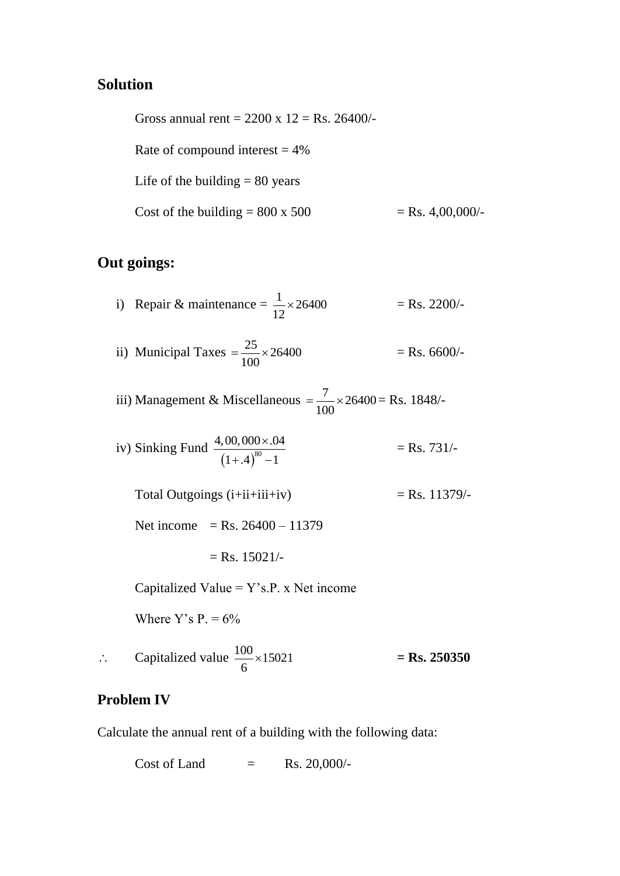# **Solution**

Gross annual rent =  $2200 \times 12 = \text{Rs. } 26400/$ -Rate of compound interest  $= 4\%$ Life of the building  $= 80$  years Cost of the building =  $800 \times 500$  = Rs. 4,00,000/-

# **Out goings:**

- i) Repair & maintenance =  $\frac{1}{12} \times 26400$ 12  $\times$  $=$  Rs. 2200/-
- ii) Municipal Taxes  $=\frac{25}{100} \times 26400$ 100  $=\frac{25}{100} \times 2$  $=$  Rs. 6600/-
- iii) Management & Miscellaneous =  $\frac{7}{100} \times 26400$ 100  $=\frac{7}{100} \times 26400 = \text{Rs. } 1848/$
- iv) Sinking Fund  $(1+.4)^{80}$  $4,00,000 \times 0.04$  $(1+.4)^{60} - 1$  $\times$  $(+.4)^{80} - 1$  $=$  Rs. 731/-
	- Total Outgoings  $(i+ii+iii+iv)$  = Rs. 11379/-

Net income = Rs.  $26400 - 11379$ 

$$
=
$$
 Rs. 15021/-

Capitalized Value =  $Y$ 's.P. x Net income

Where Y's P.  $= 6\%$ 

 $\therefore$  Capitalized value  $\frac{100}{100} \times 15021$ 6  $\times$ **= Rs. 250350**

## **Problem IV**

Calculate the annual rent of a building with the following data:

Cost of Land  $=$  Rs. 20,000/-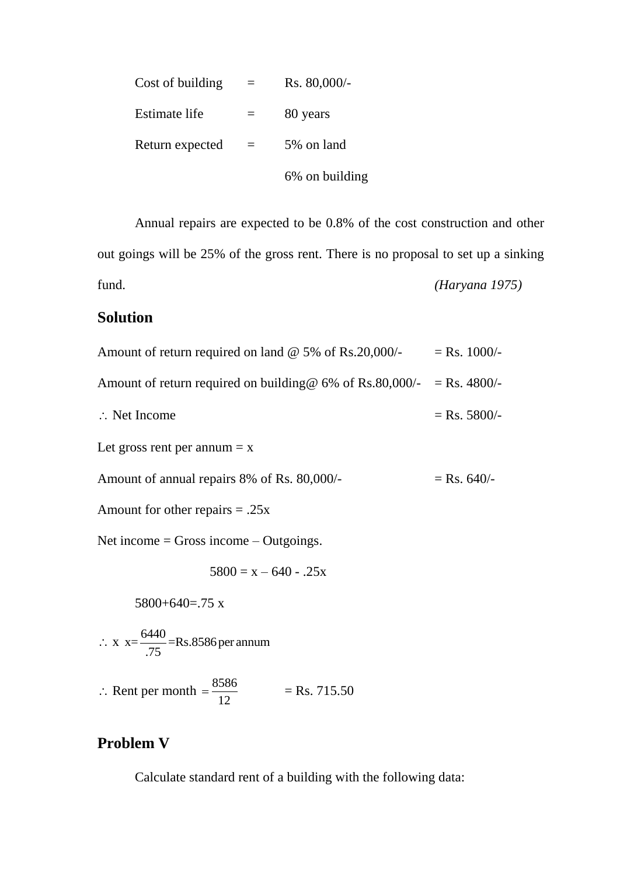| Cost of building |     | Rs. 80,000/-   |
|------------------|-----|----------------|
| Estimate life    |     | 80 years       |
| Return expected  | $=$ | 5% on land     |
|                  |     | 6% on building |

Annual repairs are expected to be 0.8% of the cost construction and other out goings will be 25% of the gross rent. There is no proposal to set up a sinking fund. *(Haryana 1975)* 

# **Solution**

| Amount of return required on land $\omega$ 5% of Rs.20,000/-                  | $=$ Rs. 1000/- |
|-------------------------------------------------------------------------------|----------------|
| Amount of return required on building $\omega$ 6% of Rs.80,000/- = Rs. 4800/- |                |
| $\therefore$ Net Income                                                       | $=$ Rs. 5800/- |
| Let gross rent per annum $= x$                                                |                |
| Amount of annual repairs 8% of Rs. 80,000/-                                   | $=$ Rs. 640/-  |
| Amount for other repairs $= .25x$                                             |                |
| Net income = Gross income $-$ Outgoings.                                      |                |
| $5800 = x - 640 - 0.25x$                                                      |                |
| $5800+640=0.75$ x                                                             |                |
| $\therefore$ x x= $\frac{6440}{75}$ =Rs.8586 per annum                        |                |
| $\therefore$ Rent per month = $\frac{8586}{12}$<br>$=$ Rs. 715.50             |                |

# **Problem V**

Calculate standard rent of a building with the following data: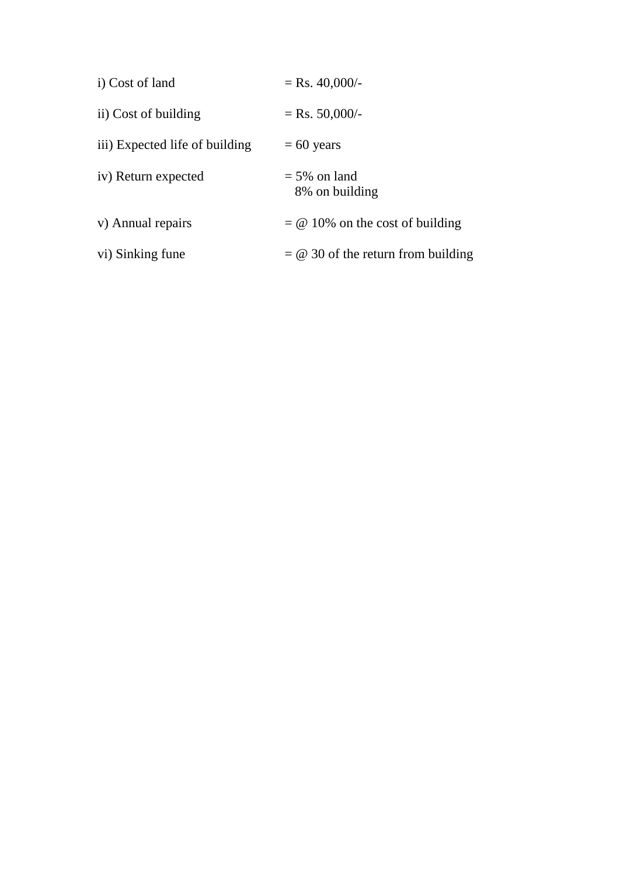| i) Cost of land                | $=$ Rs. 40,000/-                     |
|--------------------------------|--------------------------------------|
| ii) Cost of building           | $=$ Rs. 50,000/-                     |
| iii) Expected life of building | $= 60$ years                         |
| iv) Return expected            | $=$ 5% on land<br>8% on building     |
| v) Annual repairs              | $= 0$ 10% on the cost of building    |
| vi) Sinking fune               | $= 0$ 30 of the return from building |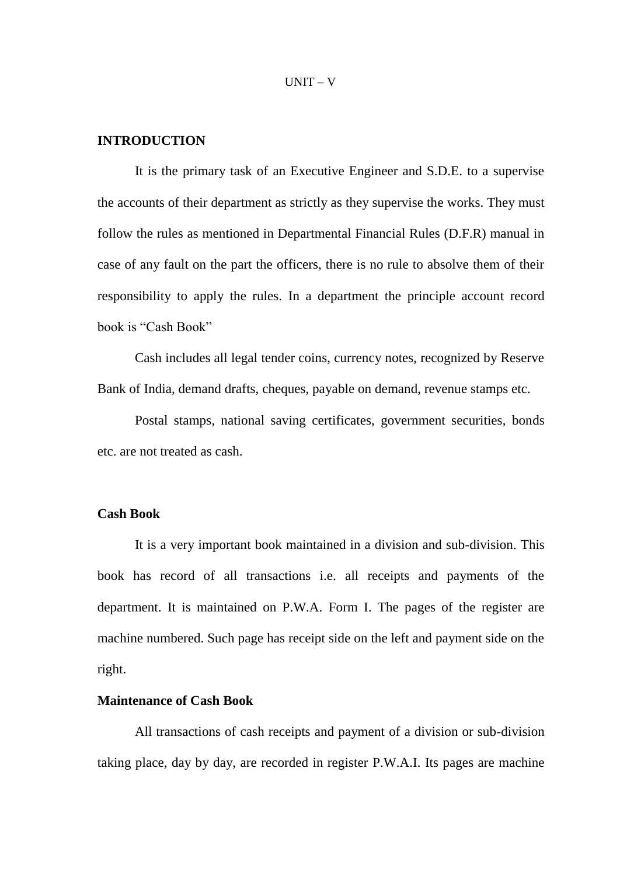#### **INTRODUCTION**

It is the primary task of an Executive Engineer and S.D.E. to a supervise the accounts of their department as strictly as they supervise the works. They must follow the rules as mentioned in Departmental Financial Rules (D.F.R) manual in case of any fault on the part the officers, there is no rule to absolve them of their responsibility to apply the rules. In a department the principle account record book is "Cash Book"

Cash includes all legal tender coins, currency notes, recognized by Reserve Bank of India, demand drafts, cheques, payable on demand, revenue stamps etc.

Postal stamps, national saving certificates, government securities, bonds etc. are not treated as cash.

#### **Cash Book**

It is a very important book maintained in a division and sub-division. This book has record of all transactions i.e. all receipts and payments of the department. It is maintained on P.W.A. Form I. The pages of the register are machine numbered. Such page has receipt side on the left and payment side on the right.

#### **Maintenance of Cash Book**

All transactions of cash receipts and payment of a division or sub-division taking place, day by day, are recorded in register P.W.A.I. Its pages are machine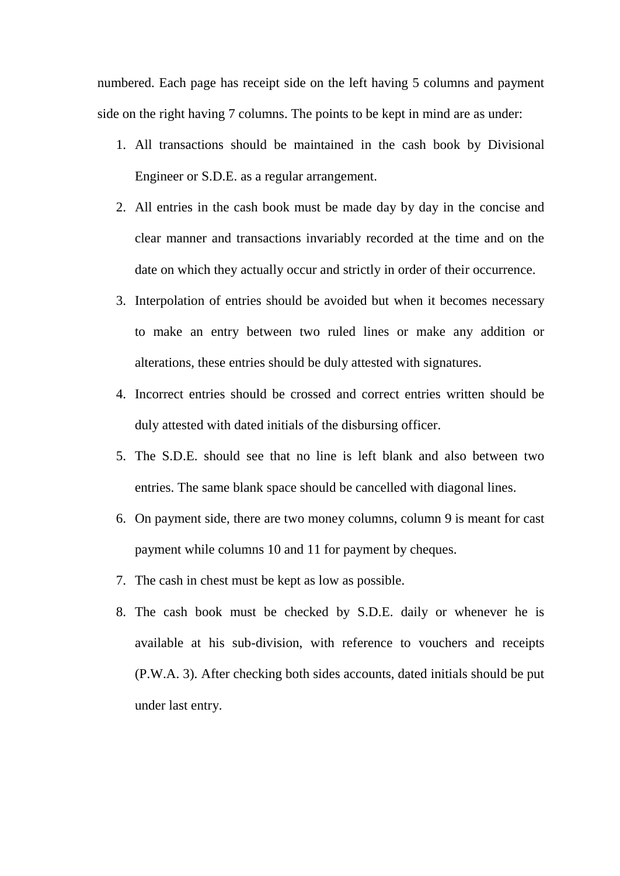numbered. Each page has receipt side on the left having 5 columns and payment side on the right having 7 columns. The points to be kept in mind are as under:

- 1. All transactions should be maintained in the cash book by Divisional Engineer or S.D.E. as a regular arrangement.
- 2. All entries in the cash book must be made day by day in the concise and clear manner and transactions invariably recorded at the time and on the date on which they actually occur and strictly in order of their occurrence.
- 3. Interpolation of entries should be avoided but when it becomes necessary to make an entry between two ruled lines or make any addition or alterations, these entries should be duly attested with signatures.
- 4. Incorrect entries should be crossed and correct entries written should be duly attested with dated initials of the disbursing officer.
- 5. The S.D.E. should see that no line is left blank and also between two entries. The same blank space should be cancelled with diagonal lines.
- 6. On payment side, there are two money columns, column 9 is meant for cast payment while columns 10 and 11 for payment by cheques.
- 7. The cash in chest must be kept as low as possible.
- 8. The cash book must be checked by S.D.E. daily or whenever he is available at his sub-division, with reference to vouchers and receipts (P.W.A. 3). After checking both sides accounts, dated initials should be put under last entry.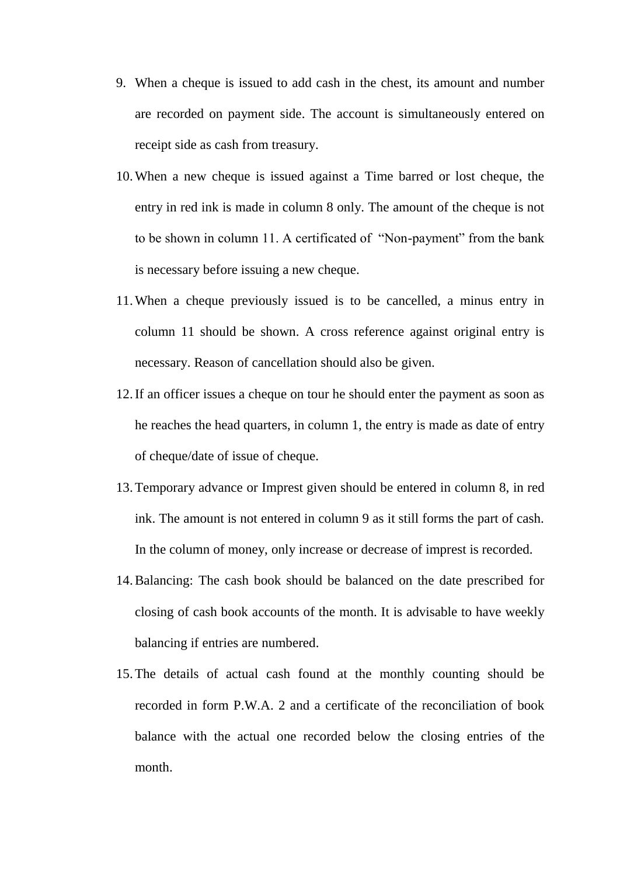- 9. When a cheque is issued to add cash in the chest, its amount and number are recorded on payment side. The account is simultaneously entered on receipt side as cash from treasury.
- 10.When a new cheque is issued against a Time barred or lost cheque, the entry in red ink is made in column 8 only. The amount of the cheque is not to be shown in column 11. A certificated of "Non-payment" from the bank is necessary before issuing a new cheque.
- 11.When a cheque previously issued is to be cancelled, a minus entry in column 11 should be shown. A cross reference against original entry is necessary. Reason of cancellation should also be given.
- 12.If an officer issues a cheque on tour he should enter the payment as soon as he reaches the head quarters, in column 1, the entry is made as date of entry of cheque/date of issue of cheque.
- 13.Temporary advance or Imprest given should be entered in column 8, in red ink. The amount is not entered in column 9 as it still forms the part of cash. In the column of money, only increase or decrease of imprest is recorded.
- 14.Balancing: The cash book should be balanced on the date prescribed for closing of cash book accounts of the month. It is advisable to have weekly balancing if entries are numbered.
- 15.The details of actual cash found at the monthly counting should be recorded in form P.W.A. 2 and a certificate of the reconciliation of book balance with the actual one recorded below the closing entries of the month.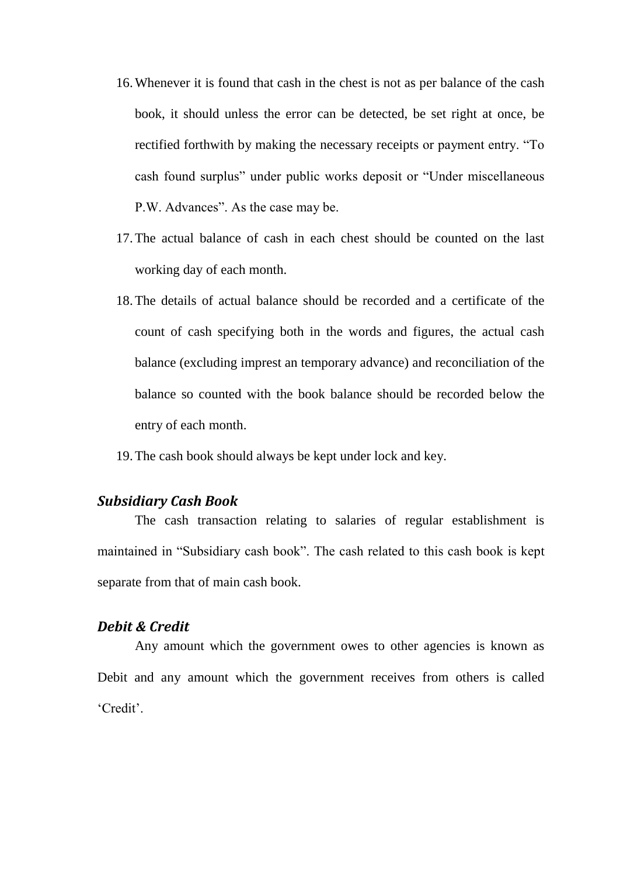- 16.Whenever it is found that cash in the chest is not as per balance of the cash book, it should unless the error can be detected, be set right at once, be rectified forthwith by making the necessary receipts or payment entry. "To cash found surplus" under public works deposit or "Under miscellaneous P.W. Advances". As the case may be.
- 17.The actual balance of cash in each chest should be counted on the last working day of each month.
- 18.The details of actual balance should be recorded and a certificate of the count of cash specifying both in the words and figures, the actual cash balance (excluding imprest an temporary advance) and reconciliation of the balance so counted with the book balance should be recorded below the entry of each month.

19.The cash book should always be kept under lock and key.

#### *Subsidiary Cash Book*

The cash transaction relating to salaries of regular establishment is maintained in "Subsidiary cash book". The cash related to this cash book is kept separate from that of main cash book.

#### *Debit & Credit*

Any amount which the government owes to other agencies is known as Debit and any amount which the government receives from others is called "Credit".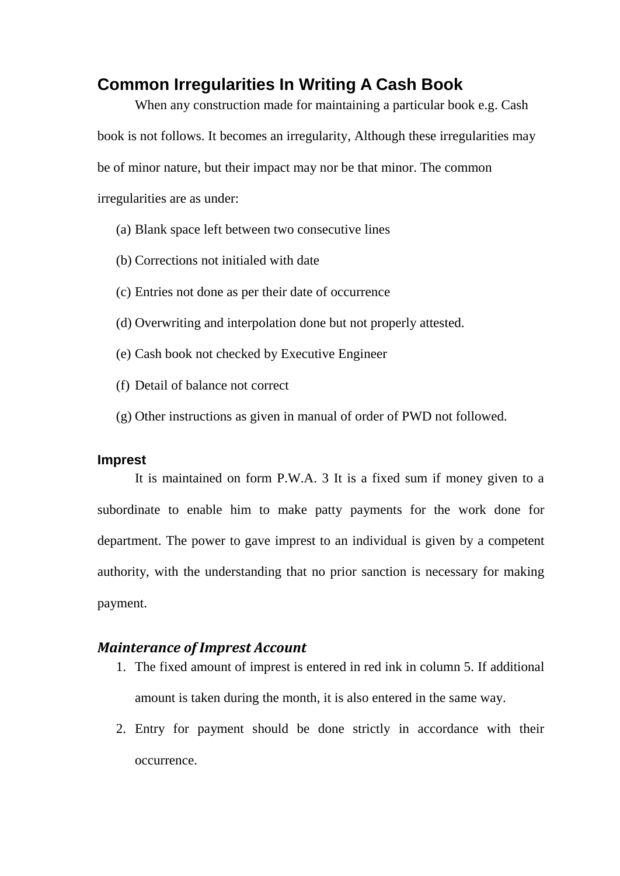# **Common Irregularities In Writing A Cash Book**

When any construction made for maintaining a particular book e.g. Cash book is not follows. It becomes an irregularity, Although these irregularities may be of minor nature, but their impact may nor be that minor. The common irregularities are as under:

- (a) Blank space left between two consecutive lines
- (b) Corrections not initialed with date
- (c) Entries not done as per their date of occurrence
- (d) Overwriting and interpolation done but not properly attested.
- (e) Cash book not checked by Executive Engineer
- (f) Detail of balance not correct
- (g) Other instructions as given in manual of order of PWD not followed.

#### **Imprest**

It is maintained on form P.W.A. 3 It is a fixed sum if money given to a subordinate to enable him to make patty payments for the work done for department. The power to gave imprest to an individual is given by a competent authority, with the understanding that no prior sanction is necessary for making payment.

# *Mainterance of Imprest Account*

- 1. The fixed amount of imprest is entered in red ink in column 5. If additional amount is taken during the month, it is also entered in the same way.
- 2. Entry for payment should be done strictly in accordance with their occurrence.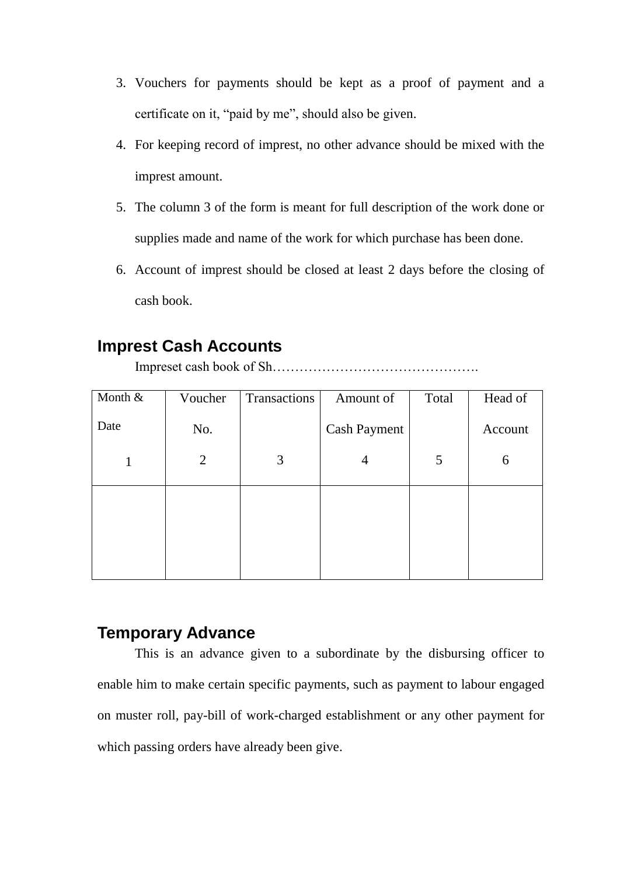- 3. Vouchers for payments should be kept as a proof of payment and a certificate on it, "paid by me", should also be given.
- 4. For keeping record of imprest, no other advance should be mixed with the imprest amount.
- 5. The column 3 of the form is meant for full description of the work done or supplies made and name of the work for which purchase has been done.
- 6. Account of imprest should be closed at least 2 days before the closing of cash book.

# **Imprest Cash Accounts**

Impreset cash book of Sh……………………………………….

| Month & | Voucher        | Transactions | Amount of           | Total | Head of |
|---------|----------------|--------------|---------------------|-------|---------|
| Date    | No.            |              | <b>Cash Payment</b> |       | Account |
|         | $\overline{2}$ | 3            | 4                   | 5     | 6       |
|         |                |              |                     |       |         |
|         |                |              |                     |       |         |
|         |                |              |                     |       |         |

# **Temporary Advance**

This is an advance given to a subordinate by the disbursing officer to enable him to make certain specific payments, such as payment to labour engaged on muster roll, pay-bill of work-charged establishment or any other payment for which passing orders have already been give.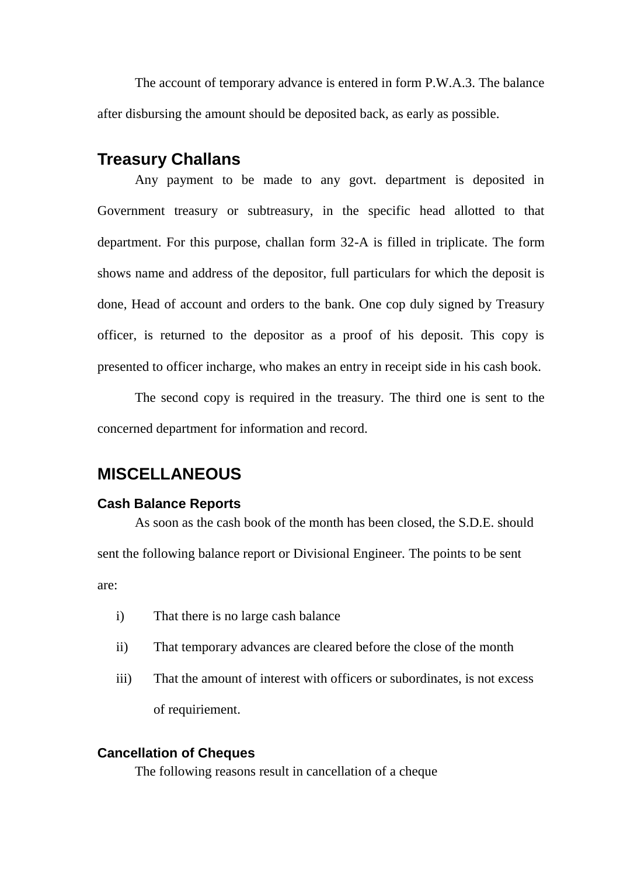The account of temporary advance is entered in form P.W.A.3. The balance after disbursing the amount should be deposited back, as early as possible.

# **Treasury Challans**

Any payment to be made to any govt. department is deposited in Government treasury or subtreasury, in the specific head allotted to that department. For this purpose, challan form 32-A is filled in triplicate. The form shows name and address of the depositor, full particulars for which the deposit is done, Head of account and orders to the bank. One cop duly signed by Treasury officer, is returned to the depositor as a proof of his deposit. This copy is presented to officer incharge, who makes an entry in receipt side in his cash book.

The second copy is required in the treasury. The third one is sent to the concerned department for information and record.

# **MISCELLANEOUS**

#### **Cash Balance Reports**

As soon as the cash book of the month has been closed, the S.D.E. should sent the following balance report or Divisional Engineer. The points to be sent are:

- i) That there is no large cash balance
- ii) That temporary advances are cleared before the close of the month
- iii) That the amount of interest with officers or subordinates, is not excess of requiriement.

## **Cancellation of Cheques**

The following reasons result in cancellation of a cheque